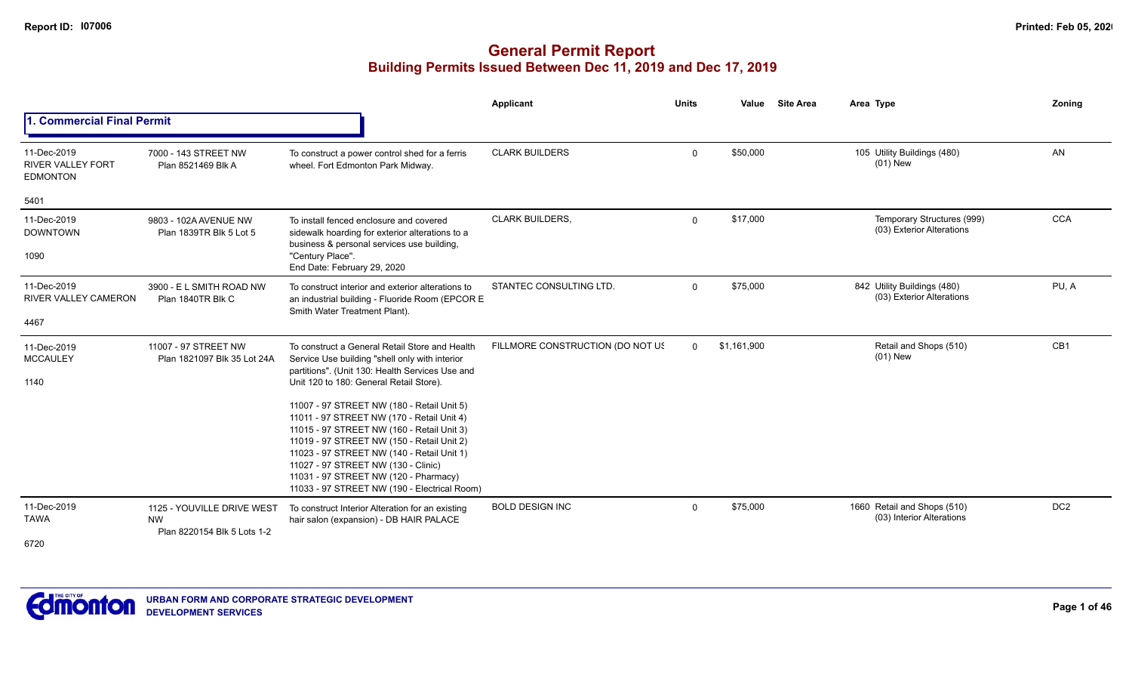|                                                            |                                                                        |                                                                                                                                                                                                                                                                                                                                                                    | <b>Applicant</b>                 | <b>Units</b> | Value       | <b>Site Area</b> | Area Type                                                | Zoning          |
|------------------------------------------------------------|------------------------------------------------------------------------|--------------------------------------------------------------------------------------------------------------------------------------------------------------------------------------------------------------------------------------------------------------------------------------------------------------------------------------------------------------------|----------------------------------|--------------|-------------|------------------|----------------------------------------------------------|-----------------|
| . Commercial Final Permit                                  |                                                                        |                                                                                                                                                                                                                                                                                                                                                                    |                                  |              |             |                  |                                                          |                 |
| 11-Dec-2019<br><b>RIVER VALLEY FORT</b><br><b>EDMONTON</b> | 7000 - 143 STREET NW<br>Plan 8521469 Blk A                             | To construct a power control shed for a ferris<br>wheel. Fort Edmonton Park Midway.                                                                                                                                                                                                                                                                                | <b>CLARK BUILDERS</b>            | $\mathbf 0$  | \$50,000    |                  | 105 Utility Buildings (480)<br>$(01)$ New                | AN              |
| 5401                                                       |                                                                        |                                                                                                                                                                                                                                                                                                                                                                    |                                  |              |             |                  |                                                          |                 |
| 11-Dec-2019<br><b>DOWNTOWN</b>                             | 9803 - 102A AVENUE NW<br>Plan 1839TR Blk 5 Lot 5                       | To install fenced enclosure and covered<br>sidewalk hoarding for exterior alterations to a<br>business & personal services use building,                                                                                                                                                                                                                           | CLARK BUILDERS,                  | $\mathbf{0}$ | \$17,000    |                  | Temporary Structures (999)<br>(03) Exterior Alterations  | CCA             |
| 1090                                                       |                                                                        | "Century Place".<br>End Date: February 29, 2020                                                                                                                                                                                                                                                                                                                    |                                  |              |             |                  |                                                          |                 |
| 11-Dec-2019<br><b>RIVER VALLEY CAMERON</b>                 | 3900 - E L SMITH ROAD NW<br>Plan 1840TR Blk C                          | To construct interior and exterior alterations to<br>an industrial building - Fluoride Room (EPCOR E<br>Smith Water Treatment Plant).                                                                                                                                                                                                                              | STANTEC CONSULTING LTD.          | $\mathbf 0$  | \$75,000    |                  | 842 Utility Buildings (480)<br>(03) Exterior Alterations | PU, A           |
| 4467                                                       |                                                                        |                                                                                                                                                                                                                                                                                                                                                                    |                                  |              |             |                  |                                                          |                 |
| 11-Dec-2019<br><b>MCCAULEY</b>                             | 11007 - 97 STREET NW<br>Plan 1821097 Blk 35 Lot 24A                    | To construct a General Retail Store and Health<br>Service Use building "shell only with interior<br>partitions". (Unit 130: Health Services Use and                                                                                                                                                                                                                | FILLMORE CONSTRUCTION (DO NOT US | $\Omega$     | \$1,161,900 |                  | Retail and Shops (510)<br>$(01)$ New                     | CB <sub>1</sub> |
| 1140                                                       |                                                                        | Unit 120 to 180: General Retail Store).                                                                                                                                                                                                                                                                                                                            |                                  |              |             |                  |                                                          |                 |
|                                                            |                                                                        | 11007 - 97 STREET NW (180 - Retail Unit 5)<br>11011 - 97 STREET NW (170 - Retail Unit 4)<br>11015 - 97 STREET NW (160 - Retail Unit 3)<br>11019 - 97 STREET NW (150 - Retail Unit 2)<br>11023 - 97 STREET NW (140 - Retail Unit 1)<br>11027 - 97 STREET NW (130 - Clinic)<br>11031 - 97 STREET NW (120 - Pharmacy)<br>11033 - 97 STREET NW (190 - Electrical Room) |                                  |              |             |                  |                                                          |                 |
| 11-Dec-2019<br><b>TAWA</b>                                 | 1125 - YOUVILLE DRIVE WEST<br><b>NW</b><br>Plan 8220154 Blk 5 Lots 1-2 | To construct Interior Alteration for an existing<br>hair salon (expansion) - DB HAIR PALACE                                                                                                                                                                                                                                                                        | <b>BOLD DESIGN INC</b>           | $\mathbf 0$  | \$75,000    |                  | 1660 Retail and Shops (510)<br>(03) Interior Alterations | DC <sub>2</sub> |
| 6720                                                       |                                                                        |                                                                                                                                                                                                                                                                                                                                                                    |                                  |              |             |                  |                                                          |                 |

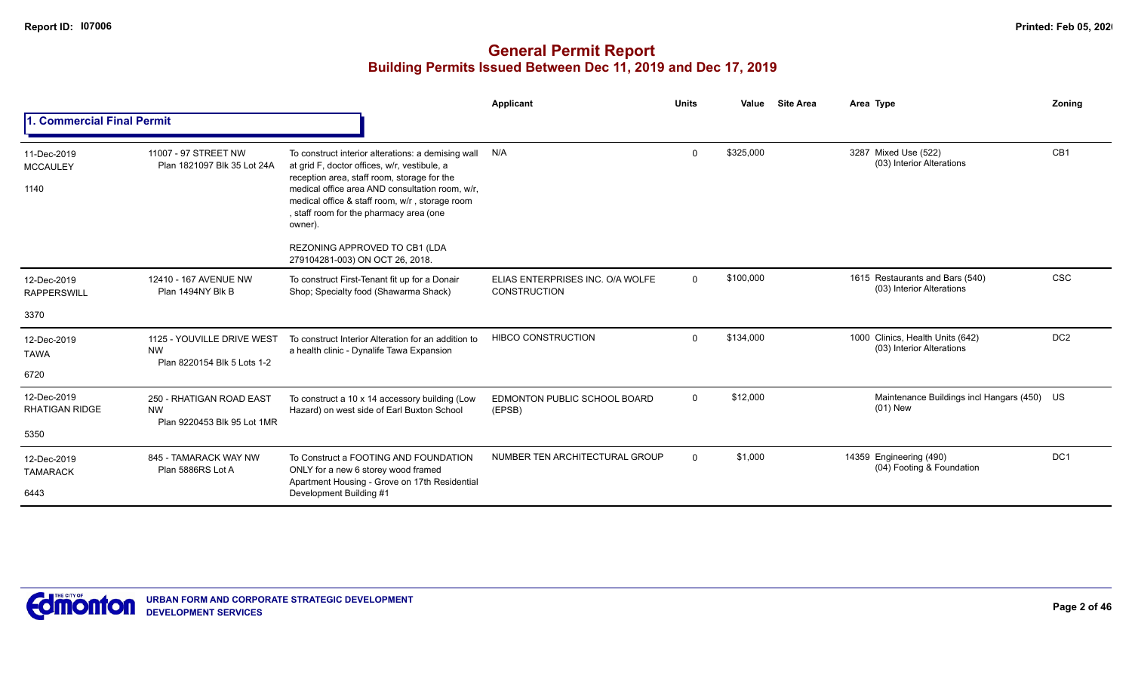|                                        |                                                                        |                                                                                                                                                                                                                                                                                                              | Applicant                                               | <b>Units</b> | Value     | <b>Site Area</b> | Area Type                                                     | Zoning          |
|----------------------------------------|------------------------------------------------------------------------|--------------------------------------------------------------------------------------------------------------------------------------------------------------------------------------------------------------------------------------------------------------------------------------------------------------|---------------------------------------------------------|--------------|-----------|------------------|---------------------------------------------------------------|-----------------|
| 1. Commercial Final Permit             |                                                                        |                                                                                                                                                                                                                                                                                                              |                                                         |              |           |                  |                                                               |                 |
| 11-Dec-2019<br><b>MCCAULEY</b><br>1140 | 11007 - 97 STREET NW<br>Plan 1821097 Blk 35 Lot 24A                    | To construct interior alterations: a demising wall<br>at grid F, doctor offices, w/r, vestibule, a<br>reception area, staff room, storage for the<br>medical office area AND consultation room, w/r,<br>medical office & staff room, w/r, storage room<br>, staff room for the pharmacy area (one<br>owner). | N/A                                                     | $\Omega$     | \$325,000 |                  | 3287 Mixed Use (522)<br>(03) Interior Alterations             | CB <sub>1</sub> |
|                                        |                                                                        | REZONING APPROVED TO CB1 (LDA<br>279104281-003) ON OCT 26, 2018.                                                                                                                                                                                                                                             |                                                         |              |           |                  |                                                               |                 |
| 12-Dec-2019<br><b>RAPPERSWILL</b>      | 12410 - 167 AVENUE NW<br>Plan 1494NY Blk B                             | To construct First-Tenant fit up for a Donair<br>Shop; Specialty food (Shawarma Shack)                                                                                                                                                                                                                       | ELIAS ENTERPRISES INC. O/A WOLFE<br><b>CONSTRUCTION</b> | $\Omega$     | \$100,000 |                  | 1615 Restaurants and Bars (540)<br>(03) Interior Alterations  | <b>CSC</b>      |
| 3370                                   |                                                                        |                                                                                                                                                                                                                                                                                                              |                                                         |              |           |                  |                                                               |                 |
| 12-Dec-2019<br><b>TAWA</b>             | 1125 - YOUVILLE DRIVE WEST<br><b>NW</b><br>Plan 8220154 Blk 5 Lots 1-2 | To construct Interior Alteration for an addition to<br>a health clinic - Dynalife Tawa Expansion                                                                                                                                                                                                             | <b>HIBCO CONSTRUCTION</b>                               | $\Omega$     | \$134,000 |                  | 1000 Clinics, Health Units (642)<br>(03) Interior Alterations | DC <sub>2</sub> |
| 6720                                   |                                                                        |                                                                                                                                                                                                                                                                                                              |                                                         |              |           |                  |                                                               |                 |
| 12-Dec-2019<br><b>RHATIGAN RIDGE</b>   | 250 - RHATIGAN ROAD EAST<br><b>NW</b><br>Plan 9220453 Blk 95 Lot 1MR   | To construct a 10 x 14 accessory building (Low<br>Hazard) on west side of Earl Buxton School                                                                                                                                                                                                                 | EDMONTON PUBLIC SCHOOL BOARD<br>(EPSB)                  | $\Omega$     | \$12,000  |                  | Maintenance Buildings incl Hangars (450) US<br>(01) New       |                 |
| 5350                                   |                                                                        |                                                                                                                                                                                                                                                                                                              |                                                         |              |           |                  |                                                               |                 |
| 12-Dec-2019<br><b>TAMARACK</b>         | 845 - TAMARACK WAY NW<br>Plan 5886RS Lot A                             | To Construct a FOOTING AND FOUNDATION<br>ONLY for a new 6 storey wood framed<br>Apartment Housing - Grove on 17th Residential                                                                                                                                                                                | NUMBER TEN ARCHITECTURAL GROUP                          | $\Omega$     | \$1,000   |                  | 14359 Engineering (490)<br>(04) Footing & Foundation          | DC <sub>1</sub> |
| 6443                                   |                                                                        | Development Building #1                                                                                                                                                                                                                                                                                      |                                                         |              |           |                  |                                                               |                 |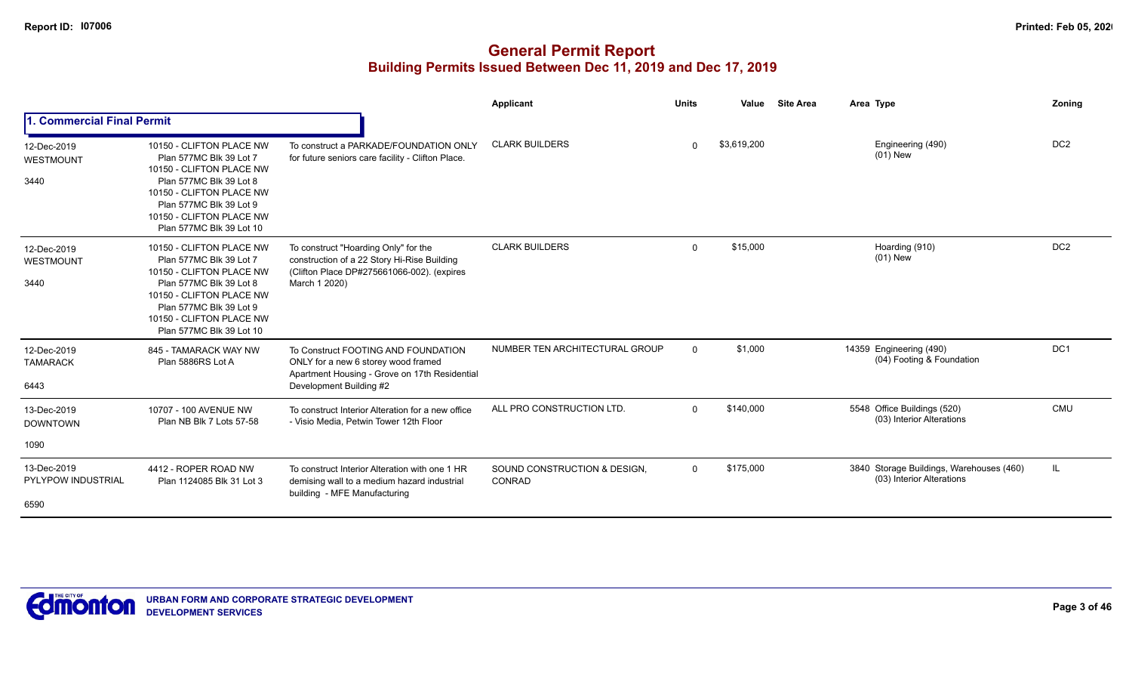|                                          |                                                                                                                                                                                                                           |                                                                                                                                                        | Applicant                              | <b>Units</b> | Value       | <b>Site Area</b> | Area Type                                                             | Zoning          |
|------------------------------------------|---------------------------------------------------------------------------------------------------------------------------------------------------------------------------------------------------------------------------|--------------------------------------------------------------------------------------------------------------------------------------------------------|----------------------------------------|--------------|-------------|------------------|-----------------------------------------------------------------------|-----------------|
| 1. Commercial Final Permit               |                                                                                                                                                                                                                           |                                                                                                                                                        |                                        |              |             |                  |                                                                       |                 |
| 12-Dec-2019<br>WESTMOUNT<br>3440         | 10150 - CLIFTON PLACE NW<br>Plan 577MC Blk 39 Lot 7<br>10150 - CLIFTON PLACE NW<br>Plan 577MC Blk 39 Lot 8<br>10150 - CLIFTON PLACE NW<br>Plan 577MC Blk 39 Lot 9<br>10150 - CLIFTON PLACE NW<br>Plan 577MC Blk 39 Lot 10 | To construct a PARKADE/FOUNDATION ONLY<br>for future seniors care facility - Clifton Place.                                                            | <b>CLARK BUILDERS</b>                  | $\Omega$     | \$3,619,200 |                  | Engineering (490)<br>$(01)$ New                                       | DC <sub>2</sub> |
| 12-Dec-2019<br>WESTMOUNT<br>3440         | 10150 - CLIFTON PLACE NW<br>Plan 577MC Blk 39 Lot 7<br>10150 - CLIFTON PLACE NW<br>Plan 577MC Blk 39 Lot 8<br>10150 - CLIFTON PLACE NW<br>Plan 577MC Blk 39 Lot 9<br>10150 - CLIFTON PLACE NW<br>Plan 577MC Blk 39 Lot 10 | To construct "Hoarding Only" for the<br>construction of a 22 Story Hi-Rise Building<br>(Clifton Place DP#275661066-002). (expires<br>March 1 2020)     | <b>CLARK BUILDERS</b>                  | $\mathbf 0$  | \$15,000    |                  | Hoarding (910)<br>$(01)$ New                                          | DC <sub>2</sub> |
| 12-Dec-2019<br><b>TAMARACK</b><br>6443   | 845 - TAMARACK WAY NW<br>Plan 5886RS Lot A                                                                                                                                                                                | To Construct FOOTING AND FOUNDATION<br>ONLY for a new 6 storey wood framed<br>Apartment Housing - Grove on 17th Residential<br>Development Building #2 | NUMBER TEN ARCHITECTURAL GROUP         | $\Omega$     | \$1,000     |                  | 14359 Engineering (490)<br>(04) Footing & Foundation                  | DC <sub>1</sub> |
| 13-Dec-2019<br><b>DOWNTOWN</b>           | 10707 - 100 AVENUE NW<br>Plan NB Blk 7 Lots 57-58                                                                                                                                                                         | To construct Interior Alteration for a new office<br>- Visio Media, Petwin Tower 12th Floor                                                            | ALL PRO CONSTRUCTION LTD.              | $\Omega$     | \$140,000   |                  | 5548 Office Buildings (520)<br>(03) Interior Alterations              | <b>CMU</b>      |
| 1090                                     |                                                                                                                                                                                                                           |                                                                                                                                                        |                                        |              |             |                  |                                                                       |                 |
| 13-Dec-2019<br><b>PYLYPOW INDUSTRIAL</b> | 4412 - ROPER ROAD NW<br>Plan 1124085 Blk 31 Lot 3                                                                                                                                                                         | To construct Interior Alteration with one 1 HR<br>demising wall to a medium hazard industrial<br>building - MFE Manufacturing                          | SOUND CONSTRUCTION & DESIGN,<br>CONRAD | $\Omega$     | \$175,000   |                  | 3840 Storage Buildings, Warehouses (460)<br>(03) Interior Alterations | IL.             |
| 6590                                     |                                                                                                                                                                                                                           |                                                                                                                                                        |                                        |              |             |                  |                                                                       |                 |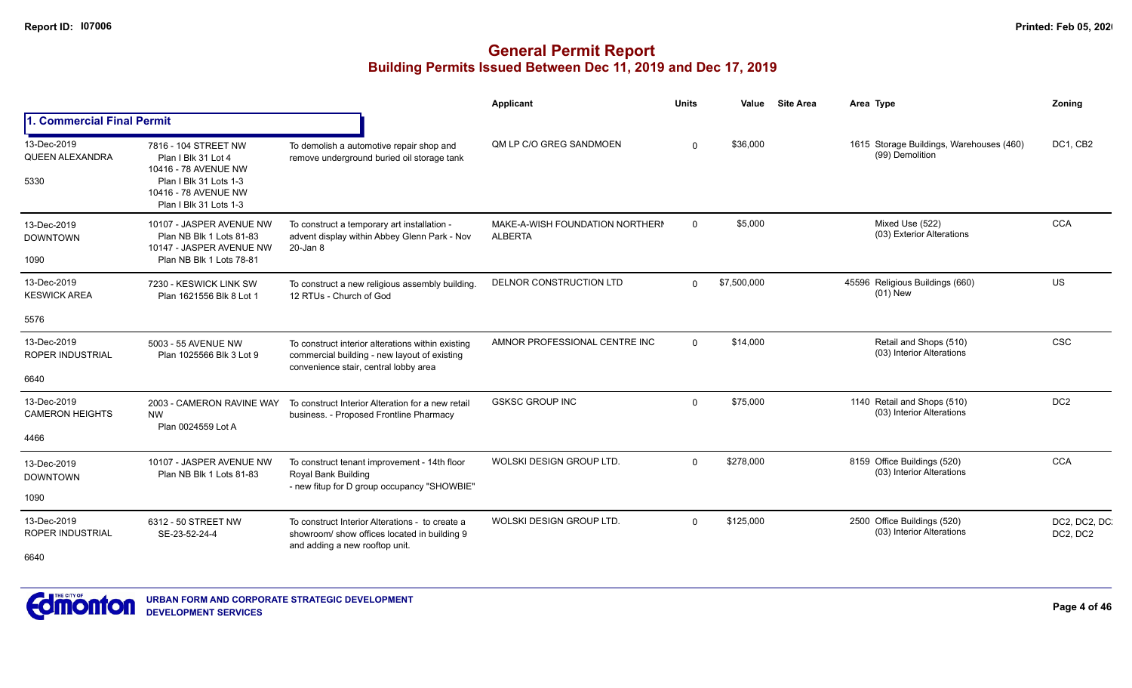|                                                |                                                                                                                                                 |                                                                                                                                            | Applicant                                         | <b>Units</b> | Value       | <b>Site Area</b> | Area Type                                                   | Zoning                   |
|------------------------------------------------|-------------------------------------------------------------------------------------------------------------------------------------------------|--------------------------------------------------------------------------------------------------------------------------------------------|---------------------------------------------------|--------------|-------------|------------------|-------------------------------------------------------------|--------------------------|
| 1. Commercial Final Permit                     |                                                                                                                                                 |                                                                                                                                            |                                                   |              |             |                  |                                                             |                          |
| 13-Dec-2019<br><b>QUEEN ALEXANDRA</b><br>5330  | 7816 - 104 STREET NW<br>Plan I Blk 31 Lot 4<br>10416 - 78 AVENUE NW<br>Plan I Blk 31 Lots 1-3<br>10416 - 78 AVENUE NW<br>Plan I Blk 31 Lots 1-3 | To demolish a automotive repair shop and<br>remove underground buried oil storage tank                                                     | QM LP C/O GREG SANDMOEN                           | $\Omega$     | \$36,000    |                  | 1615 Storage Buildings, Warehouses (460)<br>(99) Demolition | DC1, CB2                 |
| 13-Dec-2019<br><b>DOWNTOWN</b><br>1090         | 10107 - JASPER AVENUE NW<br>Plan NB Blk 1 Lots 81-83<br>10147 - JASPER AVENUE NW<br>Plan NB Blk 1 Lots 78-81                                    | To construct a temporary art installation -<br>advent display within Abbey Glenn Park - Nov<br>20-Jan 8                                    | MAKE-A-WISH FOUNDATION NORTHERN<br><b>ALBERTA</b> | $\mathbf 0$  | \$5,000     |                  | Mixed Use (522)<br>(03) Exterior Alterations                | <b>CCA</b>               |
| 13-Dec-2019<br><b>KESWICK AREA</b>             | 7230 - KESWICK LINK SW<br>Plan 1621556 Blk 8 Lot 1                                                                                              | To construct a new religious assembly building<br>12 RTUs - Church of God                                                                  | DELNOR CONSTRUCTION LTD                           | $\Omega$     | \$7,500,000 |                  | 45596 Religious Buildings (660)<br>$(01)$ New               | <b>US</b>                |
| 5576                                           |                                                                                                                                                 |                                                                                                                                            |                                                   |              |             |                  |                                                             |                          |
| 13-Dec-2019<br><b>ROPER INDUSTRIAL</b><br>6640 | 5003 - 55 AVENUE NW<br>Plan 1025566 Blk 3 Lot 9                                                                                                 | To construct interior alterations within existing<br>commercial building - new layout of existing<br>convenience stair, central lobby area | AMNOR PROFESSIONAL CENTRE INC                     | $\Omega$     | \$14,000    |                  | Retail and Shops (510)<br>(03) Interior Alterations         | <b>CSC</b>               |
|                                                |                                                                                                                                                 |                                                                                                                                            | <b>GSKSC GROUP INC</b>                            |              |             |                  |                                                             | DC <sub>2</sub>          |
| 13-Dec-2019<br><b>CAMERON HEIGHTS</b>          | 2003 - CAMERON RAVINE WAY<br><b>NW</b><br>Plan 0024559 Lot A                                                                                    | To construct Interior Alteration for a new retail<br>business. - Proposed Frontline Pharmacy                                               |                                                   | $\Omega$     | \$75,000    |                  | 1140 Retail and Shops (510)<br>(03) Interior Alterations    |                          |
| 4466                                           |                                                                                                                                                 |                                                                                                                                            |                                                   |              |             |                  |                                                             |                          |
| 13-Dec-2019<br><b>DOWNTOWN</b>                 | 10107 - JASPER AVENUE NW<br>Plan NB Blk 1 Lots 81-83                                                                                            | To construct tenant improvement - 14th floor<br>Royal Bank Building<br>- new fitup for D group occupancy "SHOWBIE"                         | WOLSKI DESIGN GROUP LTD.                          | $\Omega$     | \$278,000   |                  | 8159 Office Buildings (520)<br>(03) Interior Alterations    | <b>CCA</b>               |
| 1090                                           |                                                                                                                                                 |                                                                                                                                            |                                                   |              |             |                  |                                                             |                          |
| 13-Dec-2019<br><b>ROPER INDUSTRIAL</b>         | 6312 - 50 STREET NW<br>SE-23-52-24-4                                                                                                            | To construct Interior Alterations - to create a<br>showroom/ show offices located in building 9                                            | WOLSKI DESIGN GROUP LTD.                          | $\Omega$     | \$125,000   |                  | 2500 Office Buildings (520)<br>(03) Interior Alterations    | DC2, DC2, DC<br>DC2, DC2 |
| 6640                                           |                                                                                                                                                 | and adding a new rooftop unit.                                                                                                             |                                                   |              |             |                  |                                                             |                          |

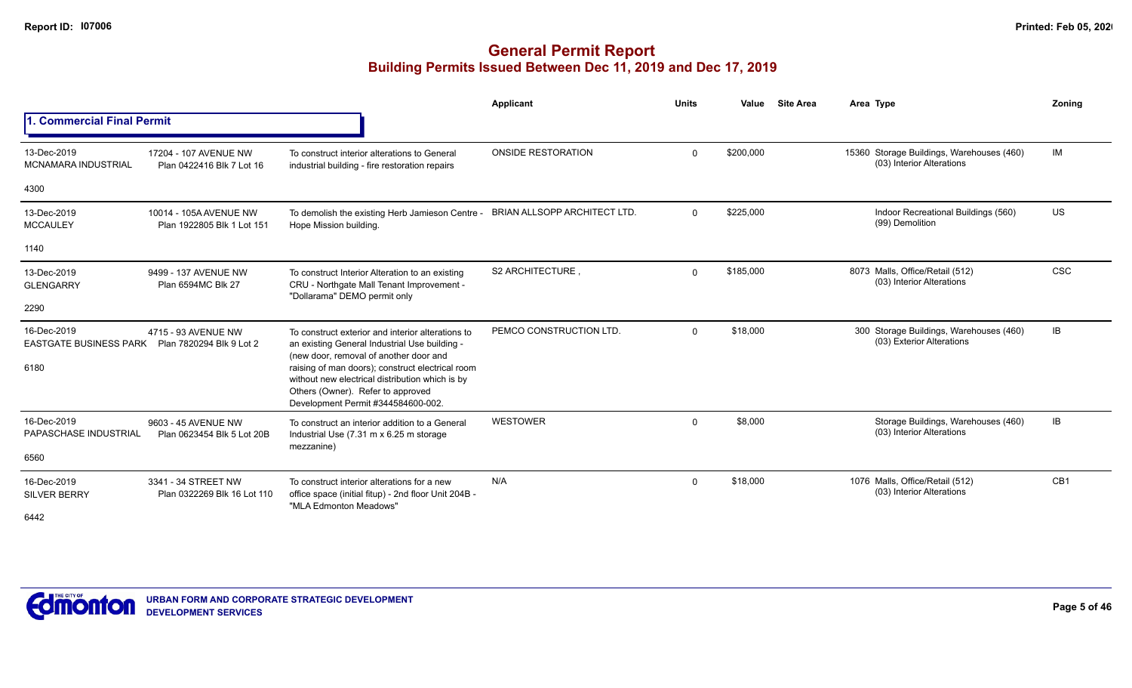|                                                                 |                                                      |                                                                                                                                                                                | <b>Applicant</b>             | <b>Units</b> | Value     | <b>Site Area</b> | Area Type                                                              | Zonina     |
|-----------------------------------------------------------------|------------------------------------------------------|--------------------------------------------------------------------------------------------------------------------------------------------------------------------------------|------------------------------|--------------|-----------|------------------|------------------------------------------------------------------------|------------|
| 1. Commercial Final Permit                                      |                                                      |                                                                                                                                                                                |                              |              |           |                  |                                                                        |            |
| 13-Dec-2019<br><b>MCNAMARA INDUSTRIAL</b>                       | 17204 - 107 AVENUE NW<br>Plan 0422416 Blk 7 Lot 16   | To construct interior alterations to General<br>industrial building - fire restoration repairs                                                                                 | <b>ONSIDE RESTORATION</b>    | $\mathbf 0$  | \$200,000 |                  | 15360 Storage Buildings, Warehouses (460)<br>(03) Interior Alterations | IM         |
| 4300                                                            |                                                      |                                                                                                                                                                                |                              |              |           |                  |                                                                        |            |
| 13-Dec-2019<br><b>MCCAULEY</b>                                  | 10014 - 105A AVENUE NW<br>Plan 1922805 Blk 1 Lot 151 | To demolish the existing Herb Jamieson Centre -<br>Hope Mission building.                                                                                                      | BRIAN ALLSOPP ARCHITECT LTD. | $\Omega$     | \$225,000 |                  | Indoor Recreational Buildings (560)<br>(99) Demolition                 | US         |
| 1140                                                            |                                                      |                                                                                                                                                                                |                              |              |           |                  |                                                                        |            |
| 13-Dec-2019<br><b>GLENGARRY</b>                                 | 9499 - 137 AVENUE NW<br>Plan 6594MC Blk 27           | To construct Interior Alteration to an existing<br>CRU - Northgate Mall Tenant Improvement -<br>"Dollarama" DEMO permit only                                                   | S2 ARCHITECTURE.             | $\Omega$     | \$185,000 |                  | 8073 Malls, Office/Retail (512)<br>(03) Interior Alterations           | <b>CSC</b> |
| 2290                                                            |                                                      |                                                                                                                                                                                |                              |              |           |                  |                                                                        |            |
| 16-Dec-2019<br>EASTGATE BUSINESS PARK  Plan 7820294 Blk 9 Lot 2 | 4715 - 93 AVENUE NW                                  | To construct exterior and interior alterations to<br>an existing General Industrial Use building -<br>(new door, removal of another door and                                   | PEMCO CONSTRUCTION LTD.      | $\mathbf 0$  | \$18,000  |                  | 300 Storage Buildings, Warehouses (460)<br>(03) Exterior Alterations   | IB         |
| 6180                                                            |                                                      | raising of man doors); construct electrical room<br>without new electrical distribution which is by<br>Others (Owner). Refer to approved<br>Development Permit #344584600-002. |                              |              |           |                  |                                                                        |            |
| 16-Dec-2019<br>PAPASCHASE INDUSTRIAL                            | 9603 - 45 AVENUE NW<br>Plan 0623454 Blk 5 Lot 20B    | To construct an interior addition to a General<br>Industrial Use (7.31 m x 6.25 m storage<br>mezzanine)                                                                        | <b>WESTOWER</b>              | $\mathbf 0$  | \$8,000   |                  | Storage Buildings, Warehouses (460)<br>(03) Interior Alterations       | IB         |
| 6560                                                            |                                                      |                                                                                                                                                                                |                              |              |           |                  |                                                                        |            |
| 16-Dec-2019<br><b>SILVER BERRY</b><br>6442                      | 3341 - 34 STREET NW<br>Plan 0322269 Blk 16 Lot 110   | To construct interior alterations for a new<br>office space (initial fitup) - 2nd floor Unit 204B -<br>"MLA Edmonton Meadows"                                                  | N/A                          | $\mathbf 0$  | \$18,000  |                  | 1076 Malls, Office/Retail (512)<br>(03) Interior Alterations           | CB1        |

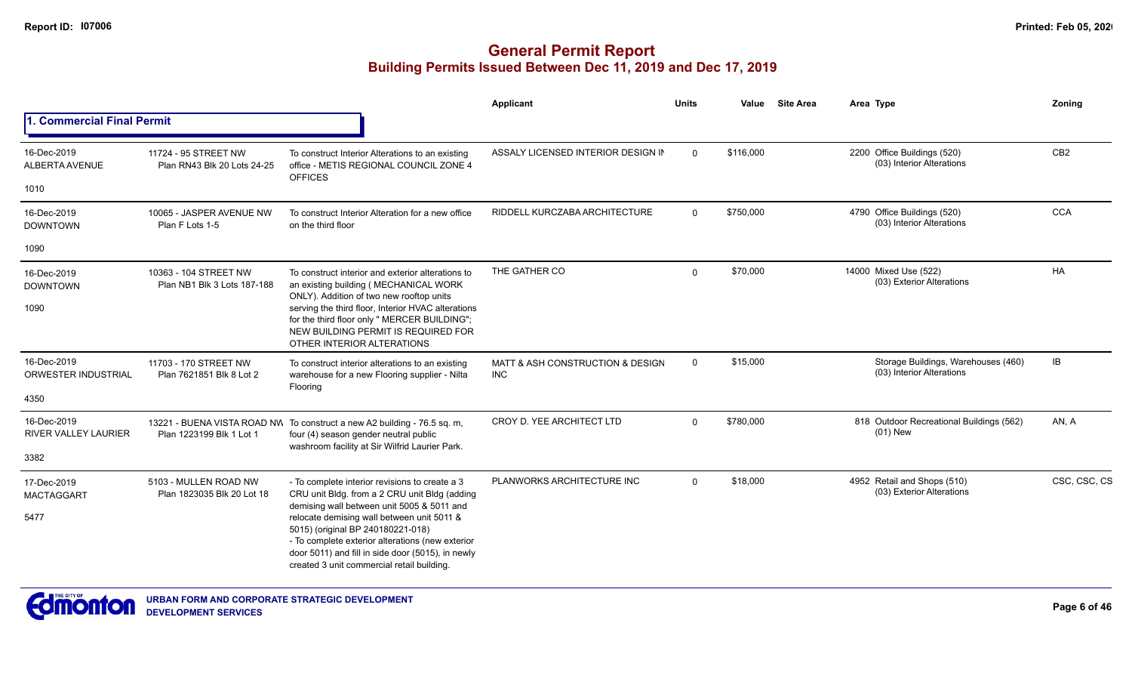|                                        |                                                      |                                                                                                                                                                                                                                        | Applicant                                      | <b>Units</b> | Value     | <b>Site Area</b> | Area Type                                                        | Zoning          |
|----------------------------------------|------------------------------------------------------|----------------------------------------------------------------------------------------------------------------------------------------------------------------------------------------------------------------------------------------|------------------------------------------------|--------------|-----------|------------------|------------------------------------------------------------------|-----------------|
| . Commercial Final Permit              |                                                      |                                                                                                                                                                                                                                        |                                                |              |           |                  |                                                                  |                 |
| 16-Dec-2019<br>ALBERTA AVENUE          | 11724 - 95 STREET NW<br>Plan RN43 Blk 20 Lots 24-25  | To construct Interior Alterations to an existing<br>office - METIS REGIONAL COUNCIL ZONE 4<br><b>OFFICES</b>                                                                                                                           | ASSALY LICENSED INTERIOR DESIGN IN             | $\Omega$     | \$116,000 |                  | 2200 Office Buildings (520)<br>(03) Interior Alterations         | CB <sub>2</sub> |
| 1010                                   |                                                      |                                                                                                                                                                                                                                        |                                                |              |           |                  |                                                                  |                 |
| 16-Dec-2019<br><b>DOWNTOWN</b>         | 10065 - JASPER AVENUE NW<br>Plan F Lots 1-5          | To construct Interior Alteration for a new office<br>on the third floor                                                                                                                                                                | RIDDELL KURCZABA ARCHITECTURE                  | $\Omega$     | \$750,000 |                  | 4790 Office Buildings (520)<br>(03) Interior Alterations         | <b>CCA</b>      |
| 1090                                   |                                                      |                                                                                                                                                                                                                                        |                                                |              |           |                  |                                                                  |                 |
| 16-Dec-2019<br><b>DOWNTOWN</b><br>1090 | 10363 - 104 STREET NW<br>Plan NB1 Blk 3 Lots 187-188 | To construct interior and exterior alterations to<br>an existing building (MECHANICAL WORK<br>ONLY). Addition of two new rooftop units<br>serving the third floor, Interior HVAC alterations                                           | THE GATHER CO                                  | $\mathbf 0$  | \$70,000  |                  | 14000 Mixed Use (522)<br>(03) Exterior Alterations               | HA              |
|                                        |                                                      | for the third floor only " MERCER BUILDING";<br>NEW BUILDING PERMIT IS REQUIRED FOR<br>OTHER INTERIOR ALTERATIONS                                                                                                                      |                                                |              |           |                  |                                                                  |                 |
| 16-Dec-2019<br>ORWESTER INDUSTRIAL     | 11703 - 170 STREET NW<br>Plan 7621851 Blk 8 Lot 2    | To construct interior alterations to an existing<br>warehouse for a new Flooring supplier - Nilta<br>Flooring                                                                                                                          | MATT & ASH CONSTRUCTION & DESIGN<br><b>INC</b> | $\mathbf 0$  | \$15,000  |                  | Storage Buildings, Warehouses (460)<br>(03) Interior Alterations | IB              |
| 4350                                   |                                                      |                                                                                                                                                                                                                                        |                                                |              |           |                  |                                                                  |                 |
| 16-Dec-2019<br>RIVER VALLEY LAURIER    | Plan 1223199 Blk 1 Lot 1                             | 13221 - BUENA VISTA ROAD NW To construct a new A2 building - 76.5 sq. m,<br>four (4) season gender neutral public<br>washroom facility at Sir Wilfrid Laurier Park.                                                                    | CROY D. YEE ARCHITECT LTD                      | $\Omega$     | \$780,000 |                  | 818 Outdoor Recreational Buildings (562)<br>$(01)$ New           | AN, A           |
| 3382                                   |                                                      |                                                                                                                                                                                                                                        |                                                |              |           |                  |                                                                  |                 |
| 17-Dec-2019<br><b>MACTAGGART</b>       | 5103 - MULLEN ROAD NW<br>Plan 1823035 Blk 20 Lot 18  | - To complete interior revisions to create a 3<br>CRU unit Bldg. from a 2 CRU unit Bldg (adding<br>demising wall between unit 5005 & 5011 and                                                                                          | PLANWORKS ARCHITECTURE INC                     | $\Omega$     | \$18,000  |                  | 4952 Retail and Shops (510)<br>(03) Exterior Alterations         | CSC, CSC, CS    |
| 5477                                   |                                                      | relocate demising wall between unit 5011 &<br>5015) (original BP 240180221-018)<br>- To complete exterior alterations (new exterior<br>door 5011) and fill in side door (5015), in newly<br>created 3 unit commercial retail building. |                                                |              |           |                  |                                                                  |                 |

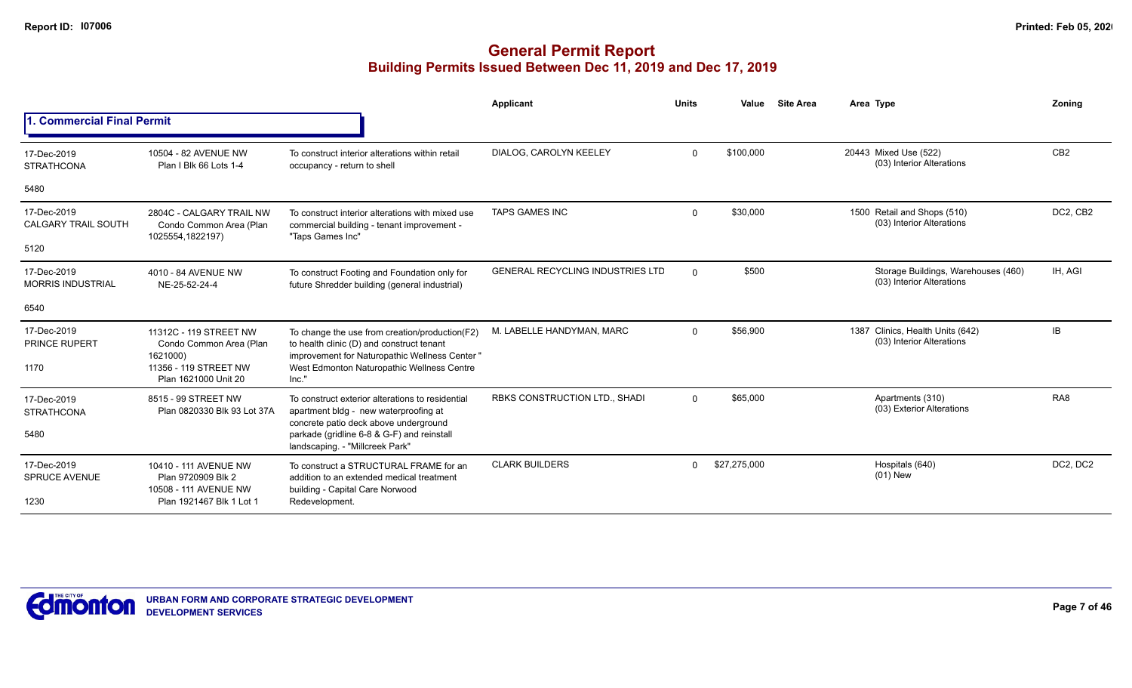|                                                                                                  |                                                                                                                                          | Applicant                                                                                                   | <b>Units</b> | Value        | <b>Site Area</b> | Area Type                                                        | Zoning          |
|--------------------------------------------------------------------------------------------------|------------------------------------------------------------------------------------------------------------------------------------------|-------------------------------------------------------------------------------------------------------------|--------------|--------------|------------------|------------------------------------------------------------------|-----------------|
| <b>Commercial Final Permit</b>                                                                   |                                                                                                                                          |                                                                                                             |              |              |                  |                                                                  |                 |
| 10504 - 82 AVENUE NW<br>Plan I Blk 66 Lots 1-4                                                   | To construct interior alterations within retail<br>occupancy - return to shell                                                           | DIALOG, CAROLYN KEELEY                                                                                      | $\Omega$     | \$100,000    |                  | 20443 Mixed Use (522)<br>(03) Interior Alterations               | CB <sub>2</sub> |
|                                                                                                  |                                                                                                                                          |                                                                                                             |              |              |                  |                                                                  |                 |
| 2804C - CALGARY TRAIL NW<br>Condo Common Area (Plan                                              | To construct interior alterations with mixed use<br>commercial building - tenant improvement -                                           | <b>TAPS GAMES INC</b>                                                                                       | $\mathbf 0$  | \$30,000     |                  | 1500 Retail and Shops (510)<br>(03) Interior Alterations         | DC2, CB2        |
|                                                                                                  |                                                                                                                                          |                                                                                                             |              |              |                  |                                                                  |                 |
| 4010 - 84 AVENUE NW<br>NE-25-52-24-4                                                             | To construct Footing and Foundation only for<br>future Shredder building (general industrial)                                            | <b>GENERAL RECYCLING INDUSTRIES LTD</b>                                                                     | $\Omega$     | \$500        |                  | Storage Buildings, Warehouses (460)<br>(03) Interior Alterations | IH, AGI         |
|                                                                                                  |                                                                                                                                          |                                                                                                             |              |              |                  |                                                                  |                 |
| 11312C - 119 STREET NW<br>Condo Common Area (Plan                                                | To change the use from creation/production(F2)<br>to health clinic (D) and construct tenant                                              | M. LABELLE HANDYMAN, MARC                                                                                   | $\Omega$     | \$56,900     |                  | 1387 Clinics, Health Units (642)<br>(03) Interior Alterations    | IB              |
| 11356 - 119 STREET NW<br>Plan 1621000 Unit 20                                                    | West Edmonton Naturopathic Wellness Centre<br>Inc."                                                                                      |                                                                                                             |              |              |                  |                                                                  |                 |
| 8515 - 99 STREET NW<br>Plan 0820330 Blk 93 Lot 37A                                               | To construct exterior alterations to residential<br>apartment bldg - new waterproofing at                                                | RBKS CONSTRUCTION LTD., SHADI                                                                               | $\Omega$     | \$65,000     |                  | Apartments (310)<br>(03) Exterior Alterations                    | RA <sub>8</sub> |
|                                                                                                  | parkade (gridline 6-8 & G-F) and reinstall<br>landscaping. - "Millcreek Park"                                                            |                                                                                                             |              |              |                  |                                                                  |                 |
| 10410 - 111 AVENUE NW<br>Plan 9720909 Blk 2<br>10508 - 111 AVENUE NW<br>Plan 1921467 Blk 1 Lot 1 | To construct a STRUCTURAL FRAME for an<br>addition to an extended medical treatment<br>building - Capital Care Norwood<br>Redevelopment. | <b>CLARK BUILDERS</b>                                                                                       | $\Omega$     | \$27,275,000 |                  | Hospitals (640)<br>$(01)$ New                                    | DC2, DC2        |
|                                                                                                  | 1025554,1822197)<br>1621000)                                                                                                             | "Taps Games Inc"<br>improvement for Naturopathic Wellness Center "<br>concrete patio deck above underground |              |              |                  |                                                                  |                 |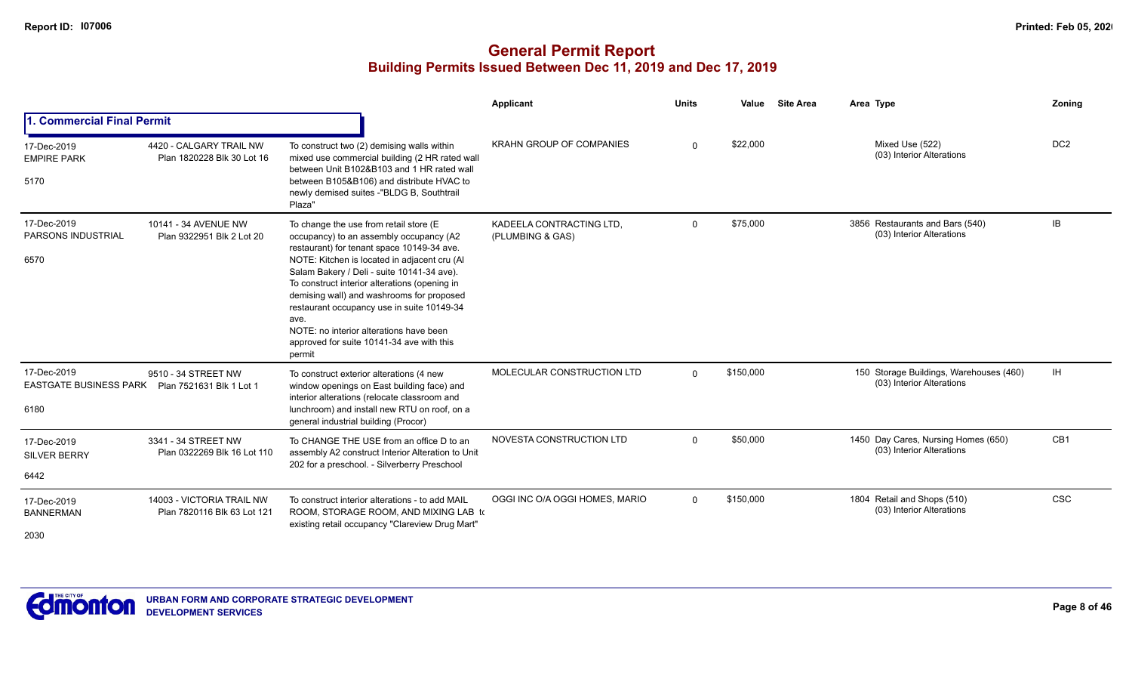|                                                                         |                                                          |                                                                                                                                                                                                                                                                                                                                                                                                                                                                                     | Applicant                                    | <b>Units</b> | Value     | <b>Site Area</b> | Area Type                                                            | Zoning          |
|-------------------------------------------------------------------------|----------------------------------------------------------|-------------------------------------------------------------------------------------------------------------------------------------------------------------------------------------------------------------------------------------------------------------------------------------------------------------------------------------------------------------------------------------------------------------------------------------------------------------------------------------|----------------------------------------------|--------------|-----------|------------------|----------------------------------------------------------------------|-----------------|
| 1. Commercial Final Permit                                              |                                                          |                                                                                                                                                                                                                                                                                                                                                                                                                                                                                     |                                              |              |           |                  |                                                                      |                 |
| 17-Dec-2019<br><b>EMPIRE PARK</b><br>5170                               | 4420 - CALGARY TRAIL NW<br>Plan 1820228 Blk 30 Lot 16    | To construct two (2) demising walls within<br>mixed use commercial building (2 HR rated wall<br>between Unit B102&B103 and 1 HR rated wall<br>between B105&B106) and distribute HVAC to<br>newly demised suites -"BLDG B, Southtrail<br>Plaza"                                                                                                                                                                                                                                      | <b>KRAHN GROUP OF COMPANIES</b>              | $\Omega$     | \$22,000  |                  | Mixed Use (522)<br>(03) Interior Alterations                         | DC <sub>2</sub> |
| 17-Dec-2019<br><b>PARSONS INDUSTRIAL</b><br>6570                        | 10141 - 34 AVENUE NW<br>Plan 9322951 Blk 2 Lot 20        | To change the use from retail store (E<br>occupancy) to an assembly occupancy (A2<br>restaurant) for tenant space 10149-34 ave.<br>NOTE: Kitchen is located in adjacent cru (Al<br>Salam Bakery / Deli - suite 10141-34 ave).<br>To construct interior alterations (opening in<br>demising wall) and washrooms for proposed<br>restaurant occupancy use in suite 10149-34<br>ave.<br>NOTE: no interior alterations have been<br>approved for suite 10141-34 ave with this<br>permit | KADEELA CONTRACTING LTD.<br>(PLUMBING & GAS) | $\Omega$     | \$75,000  |                  | 3856 Restaurants and Bars (540)<br>(03) Interior Alterations         | IB              |
| 17-Dec-2019<br>EASTGATE BUSINESS PARK  Plan 7521631 Blk 1 Lot 1<br>6180 | 9510 - 34 STREET NW                                      | To construct exterior alterations (4 new<br>window openings on East building face) and<br>interior alterations (relocate classroom and<br>lunchroom) and install new RTU on roof, on a<br>general industrial building (Procor)                                                                                                                                                                                                                                                      | MOLECULAR CONSTRUCTION LTD                   | $\Omega$     | \$150,000 |                  | 150 Storage Buildings, Warehouses (460)<br>(03) Interior Alterations | IH.             |
| 17-Dec-2019<br><b>SILVER BERRY</b><br>6442                              | 3341 - 34 STREET NW<br>Plan 0322269 Blk 16 Lot 110       | To CHANGE THE USE from an office D to an<br>assembly A2 construct Interior Alteration to Unit<br>202 for a preschool. - Silverberry Preschool                                                                                                                                                                                                                                                                                                                                       | NOVESTA CONSTRUCTION LTD                     | $\Omega$     | \$50,000  |                  | 1450 Day Cares, Nursing Homes (650)<br>(03) Interior Alterations     | CB <sub>1</sub> |
| 17-Dec-2019<br><b>BANNERMAN</b><br>2030                                 | 14003 - VICTORIA TRAIL NW<br>Plan 7820116 Blk 63 Lot 121 | To construct interior alterations - to add MAIL<br>ROOM, STORAGE ROOM, AND MIXING LAB to<br>existing retail occupancy "Clareview Drug Mart"                                                                                                                                                                                                                                                                                                                                         | OGGI INC O/A OGGI HOMES, MARIO               | $\Omega$     | \$150,000 |                  | 1804 Retail and Shops (510)<br>(03) Interior Alterations             | <b>CSC</b>      |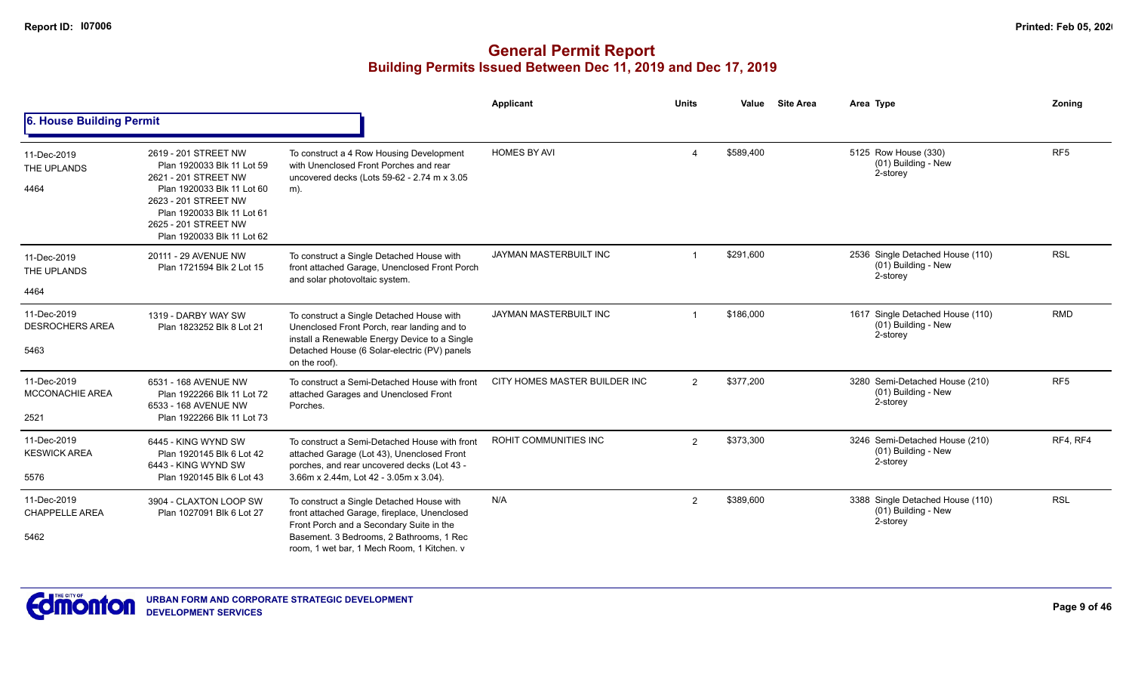|                                               |                                                                                                                                                                                                                      |                                                                                                                                                                                                                                 | <b>Applicant</b>              | <b>Units</b>   | Value     | <b>Site Area</b> | Area Type                                                           | Zoning          |
|-----------------------------------------------|----------------------------------------------------------------------------------------------------------------------------------------------------------------------------------------------------------------------|---------------------------------------------------------------------------------------------------------------------------------------------------------------------------------------------------------------------------------|-------------------------------|----------------|-----------|------------------|---------------------------------------------------------------------|-----------------|
| 6. House Building Permit                      |                                                                                                                                                                                                                      |                                                                                                                                                                                                                                 |                               |                |           |                  |                                                                     |                 |
| 11-Dec-2019<br>THE UPLANDS<br>4464            | 2619 - 201 STREET NW<br>Plan 1920033 Blk 11 Lot 59<br>2621 - 201 STREET NW<br>Plan 1920033 Blk 11 Lot 60<br>2623 - 201 STREET NW<br>Plan 1920033 Blk 11 Lot 61<br>2625 - 201 STREET NW<br>Plan 1920033 Blk 11 Lot 62 | To construct a 4 Row Housing Development<br>with Unenclosed Front Porches and rear<br>uncovered decks (Lots 59-62 - 2.74 m x 3.05<br>m).                                                                                        | <b>HOMES BY AVI</b>           |                | \$589,400 |                  | 5125 Row House (330)<br>(01) Building - New<br>2-storey             | RF <sub>5</sub> |
| 11-Dec-2019<br>THE UPLANDS<br>4464            | 20111 - 29 AVENUE NW<br>Plan 1721594 Blk 2 Lot 15                                                                                                                                                                    | To construct a Single Detached House with<br>front attached Garage, Unenclosed Front Porch<br>and solar photovoltaic system.                                                                                                    | JAYMAN MASTERBUILT INC        |                | \$291,600 |                  | 2536 Single Detached House (110)<br>(01) Building - New<br>2-storey | <b>RSL</b>      |
| 11-Dec-2019<br><b>DESROCHERS AREA</b><br>5463 | 1319 - DARBY WAY SW<br>Plan 1823252 Blk 8 Lot 21                                                                                                                                                                     | To construct a Single Detached House with<br>Unenclosed Front Porch, rear landing and to<br>install a Renewable Energy Device to a Single<br>Detached House (6 Solar-electric (PV) panels<br>on the roof).                      | JAYMAN MASTERBUILT INC        |                | \$186,000 |                  | 1617 Single Detached House (110)<br>(01) Building - New<br>2-storey | <b>RMD</b>      |
| 11-Dec-2019<br><b>MCCONACHIE AREA</b><br>2521 | 6531 - 168 AVENUE NW<br>Plan 1922266 Blk 11 Lot 72<br>6533 - 168 AVENUE NW<br>Plan 1922266 Blk 11 Lot 73                                                                                                             | To construct a Semi-Detached House with front<br>attached Garages and Unenclosed Front<br>Porches.                                                                                                                              | CITY HOMES MASTER BUILDER INC | $\overline{2}$ | \$377,200 |                  | 3280 Semi-Detached House (210)<br>(01) Building - New<br>2-storey   | RF <sub>5</sub> |
| 11-Dec-2019<br><b>KESWICK AREA</b><br>5576    | 6445 - KING WYND SW<br>Plan 1920145 Blk 6 Lot 42<br>6443 - KING WYND SW<br>Plan 1920145 Blk 6 Lot 43                                                                                                                 | To construct a Semi-Detached House with front<br>attached Garage (Lot 43), Unenclosed Front<br>porches, and rear uncovered decks (Lot 43 -<br>3.66m x 2.44m, Lot 42 - 3.05m x 3.04).                                            | <b>ROHIT COMMUNITIES INC</b>  | 2              | \$373,300 |                  | 3246 Semi-Detached House (210)<br>(01) Building - New<br>2-storey   | RF4, RF4        |
| 11-Dec-2019<br><b>CHAPPELLE AREA</b><br>5462  | 3904 - CLAXTON LOOP SW<br>Plan 1027091 Blk 6 Lot 27                                                                                                                                                                  | To construct a Single Detached House with<br>front attached Garage, fireplace, Unenclosed<br>Front Porch and a Secondary Suite in the<br>Basement. 3 Bedrooms, 2 Bathrooms, 1 Rec<br>room. 1 wet bar. 1 Mech Room. 1 Kitchen. v | N/A                           | $\overline{2}$ | \$389,600 |                  | 3388 Single Detached House (110)<br>(01) Building - New<br>2-storey | <b>RSL</b>      |

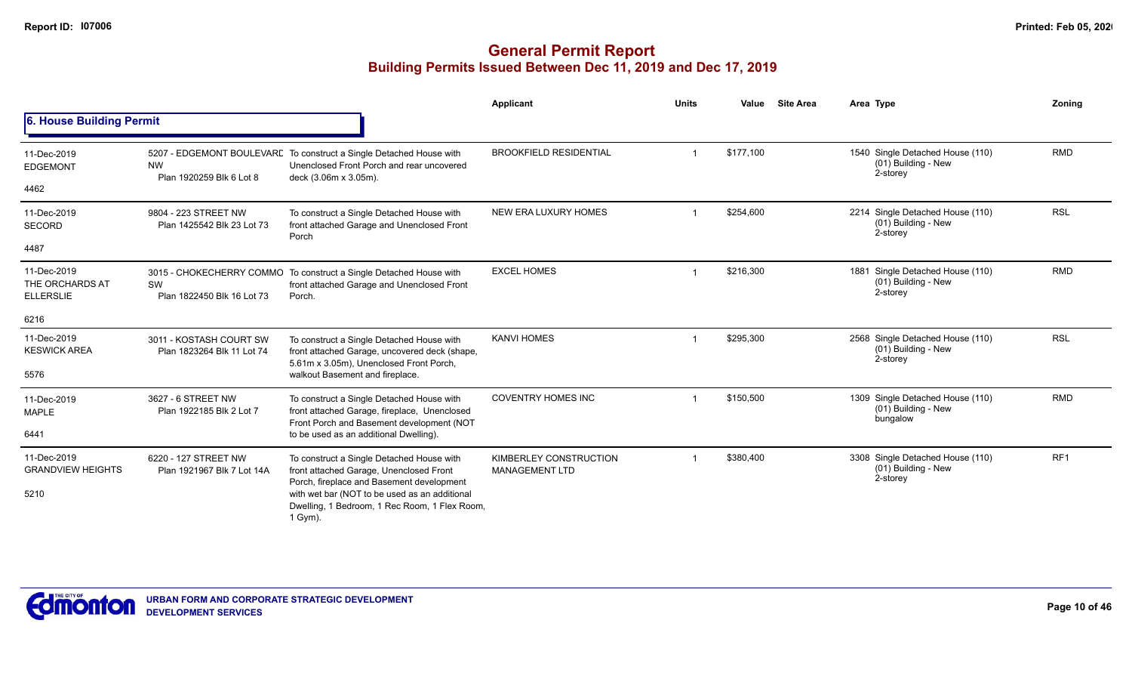|                                                    |                                                              |                                                                                                                                                                                                                                                | Applicant                                       | <b>Units</b> | Value     | <b>Site Area</b> | Area Type                                                              | Zoning          |
|----------------------------------------------------|--------------------------------------------------------------|------------------------------------------------------------------------------------------------------------------------------------------------------------------------------------------------------------------------------------------------|-------------------------------------------------|--------------|-----------|------------------|------------------------------------------------------------------------|-----------------|
| 6. House Building Permit                           |                                                              |                                                                                                                                                                                                                                                |                                                 |              |           |                  |                                                                        |                 |
| 11-Dec-2019<br><b>EDGEMONT</b><br>4462             | <b>NW</b><br>Plan 1920259 Blk 6 Lot 8                        | 5207 - EDGEMONT BOULEVARE To construct a Single Detached House with<br>Unenclosed Front Porch and rear uncovered<br>deck (3.06m x 3.05m).                                                                                                      | <b>BROOKFIELD RESIDENTIAL</b>                   |              | \$177,100 |                  | 1540 Single Detached House (110)<br>(01) Building - New<br>2-storey    | <b>RMD</b>      |
| 11-Dec-2019<br><b>SECORD</b><br>4487               | 9804 - 223 STREET NW<br>Plan 1425542 Blk 23 Lot 73           | To construct a Single Detached House with<br>front attached Garage and Unenclosed Front<br>Porch                                                                                                                                               | NEW ERA LUXURY HOMES                            |              | \$254,600 |                  | 2214 Single Detached House (110)<br>(01) Building - New<br>2-storey    | <b>RSL</b>      |
| 11-Dec-2019<br>THE ORCHARDS AT<br><b>ELLERSLIE</b> | 3015 - CHOKECHERRY COMMO<br>SW<br>Plan 1822450 Blk 16 Lot 73 | To construct a Single Detached House with<br>front attached Garage and Unenclosed Front<br>Porch.                                                                                                                                              | <b>EXCEL HOMES</b>                              |              | \$216,300 |                  | Single Detached House (110)<br>1881<br>(01) Building - New<br>2-storey | <b>RMD</b>      |
| 6216                                               |                                                              |                                                                                                                                                                                                                                                |                                                 |              |           |                  |                                                                        |                 |
| 11-Dec-2019<br><b>KESWICK AREA</b>                 | 3011 - KOSTASH COURT SW<br>Plan 1823264 Blk 11 Lot 74        | To construct a Single Detached House with<br>front attached Garage, uncovered deck (shape,<br>5.61m x 3.05m), Unenclosed Front Porch,                                                                                                          | <b>KANVI HOMES</b>                              |              | \$295,300 |                  | 2568 Single Detached House (110)<br>(01) Building - New<br>2-storey    | <b>RSL</b>      |
| 5576                                               |                                                              | walkout Basement and fireplace.                                                                                                                                                                                                                |                                                 |              |           |                  |                                                                        |                 |
| 11-Dec-2019<br><b>MAPLE</b>                        | 3627 - 6 STREET NW<br>Plan 1922185 Blk 2 Lot 7               | To construct a Single Detached House with<br>front attached Garage, fireplace, Unenclosed<br>Front Porch and Basement development (NOT                                                                                                         | <b>COVENTRY HOMES INC</b>                       |              | \$150,500 |                  | 1309 Single Detached House (110)<br>(01) Building - New<br>bungalow    | <b>RMD</b>      |
| 6441                                               |                                                              | to be used as an additional Dwelling).                                                                                                                                                                                                         |                                                 |              |           |                  |                                                                        |                 |
| 11-Dec-2019<br><b>GRANDVIEW HEIGHTS</b><br>5210    | 6220 - 127 STREET NW<br>Plan 1921967 Blk 7 Lot 14A           | To construct a Single Detached House with<br>front attached Garage, Unenclosed Front<br>Porch, fireplace and Basement development<br>with wet bar (NOT to be used as an additional<br>Dwelling, 1 Bedroom, 1 Rec Room, 1 Flex Room,<br>1 Gym). | KIMBERLEY CONSTRUCTION<br><b>MANAGEMENT LTD</b> |              | \$380,400 |                  | 3308 Single Detached House (110)<br>(01) Building - New<br>2-storey    | RF <sub>1</sub> |

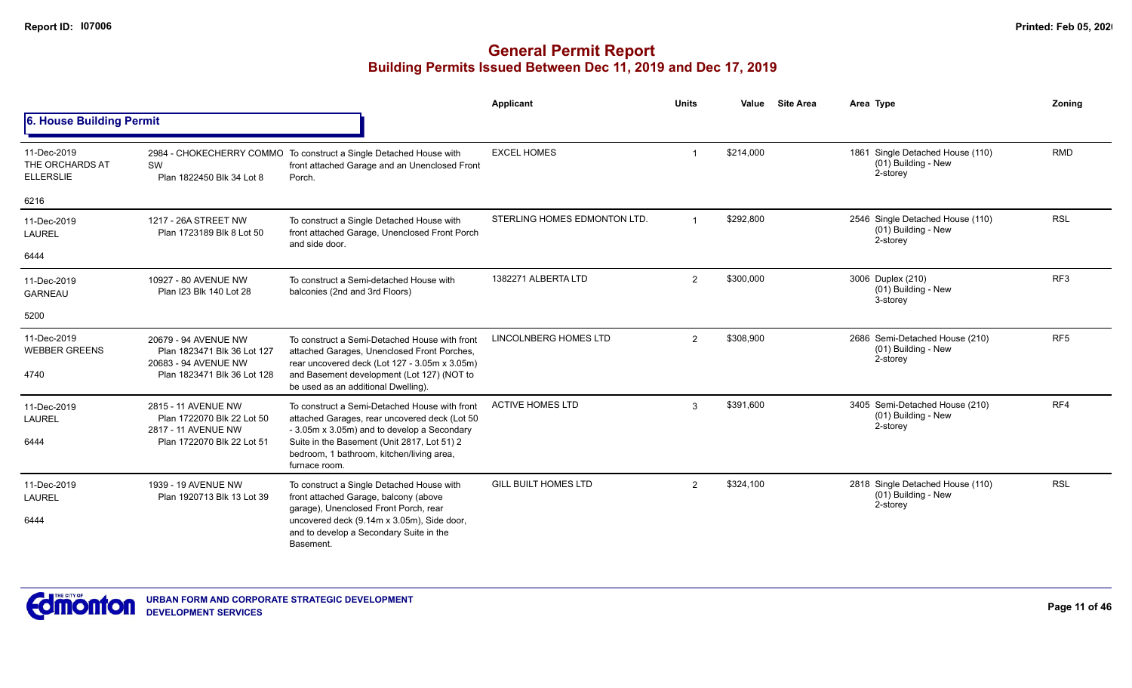|                                                    |                                                                                                            |                                                                                                                                                                                                                                                            | <b>Applicant</b>             | <b>Units</b> | Value     | <b>Site Area</b> | Area Type                                                             | Zoning          |
|----------------------------------------------------|------------------------------------------------------------------------------------------------------------|------------------------------------------------------------------------------------------------------------------------------------------------------------------------------------------------------------------------------------------------------------|------------------------------|--------------|-----------|------------------|-----------------------------------------------------------------------|-----------------|
| 6. House Building Permit                           |                                                                                                            |                                                                                                                                                                                                                                                            |                              |              |           |                  |                                                                       |                 |
| 11-Dec-2019<br>THE ORCHARDS AT<br><b>ELLERSLIE</b> | SW<br>Plan 1822450 Blk 34 Lot 8                                                                            | 2984 - CHOKECHERRY COMMO To construct a Single Detached House with<br>front attached Garage and an Unenclosed Front<br>Porch.                                                                                                                              | <b>EXCEL HOMES</b>           |              | \$214,000 |                  | 1861 Single Detached House (110)<br>(01) Building - New<br>2-storey   | <b>RMD</b>      |
| 6216                                               |                                                                                                            |                                                                                                                                                                                                                                                            |                              |              |           |                  |                                                                       |                 |
| 11-Dec-2019<br><b>LAUREL</b>                       | 1217 - 26A STREET NW<br>Plan 1723189 Blk 8 Lot 50                                                          | To construct a Single Detached House with<br>front attached Garage, Unenclosed Front Porch<br>and side door.                                                                                                                                               | STERLING HOMES EDMONTON LTD. |              | \$292,800 |                  | 2546 Single Detached House (110)<br>$(01)$ Building - New<br>2-storey | <b>RSL</b>      |
| 6444                                               |                                                                                                            |                                                                                                                                                                                                                                                            |                              |              |           |                  |                                                                       |                 |
| 11-Dec-2019<br><b>GARNEAU</b>                      | 10927 - 80 AVENUE NW<br>Plan I23 Blk 140 Lot 28                                                            | To construct a Semi-detached House with<br>balconies (2nd and 3rd Floors)                                                                                                                                                                                  | 1382271 ALBERTA LTD          | 2            | \$300,000 |                  | 3006 Duplex (210)<br>(01) Building - New<br>3-storey                  | RF <sub>3</sub> |
| 5200                                               |                                                                                                            |                                                                                                                                                                                                                                                            |                              |              |           |                  |                                                                       |                 |
| 11-Dec-2019<br><b>WEBBER GREENS</b><br>4740        | 20679 - 94 AVENUE NW<br>Plan 1823471 Blk 36 Lot 127<br>20683 - 94 AVENUE NW<br>Plan 1823471 Blk 36 Lot 128 | To construct a Semi-Detached House with front<br>attached Garages, Unenclosed Front Porches,<br>rear uncovered deck (Lot 127 - 3.05m x 3.05m)<br>and Basement development (Lot 127) (NOT to<br>be used as an additional Dwelling).                         | <b>LINCOLNBERG HOMES LTD</b> | 2            | \$308,900 |                  | 2686 Semi-Detached House (210)<br>(01) Building - New<br>2-storey     | RF <sub>5</sub> |
| 11-Dec-2019<br><b>LAUREL</b><br>6444               | 2815 - 11 AVENUE NW<br>Plan 1722070 Blk 22 Lot 50<br>2817 - 11 AVENUE NW<br>Plan 1722070 Blk 22 Lot 51     | To construct a Semi-Detached House with front<br>attached Garages, rear uncovered deck (Lot 50<br>- 3.05m x 3.05m) and to develop a Secondary<br>Suite in the Basement (Unit 2817, Lot 51) 2<br>bedroom, 1 bathroom, kitchen/living area,<br>furnace room. | <b>ACTIVE HOMES LTD</b>      | 3            | \$391,600 |                  | 3405 Semi-Detached House (210)<br>(01) Building - New<br>2-storey     | RF4             |
| 11-Dec-2019<br><b>LAUREL</b><br>6444               | 1939 - 19 AVENUE NW<br>Plan 1920713 Blk 13 Lot 39                                                          | To construct a Single Detached House with<br>front attached Garage, balcony (above<br>garage), Unenclosed Front Porch, rear<br>uncovered deck (9.14m x 3.05m), Side door,<br>and to develop a Secondary Suite in the<br>Basement.                          | <b>GILL BUILT HOMES LTD</b>  | 2            | \$324,100 |                  | 2818 Single Detached House (110)<br>(01) Building - New<br>2-storey   | <b>RSL</b>      |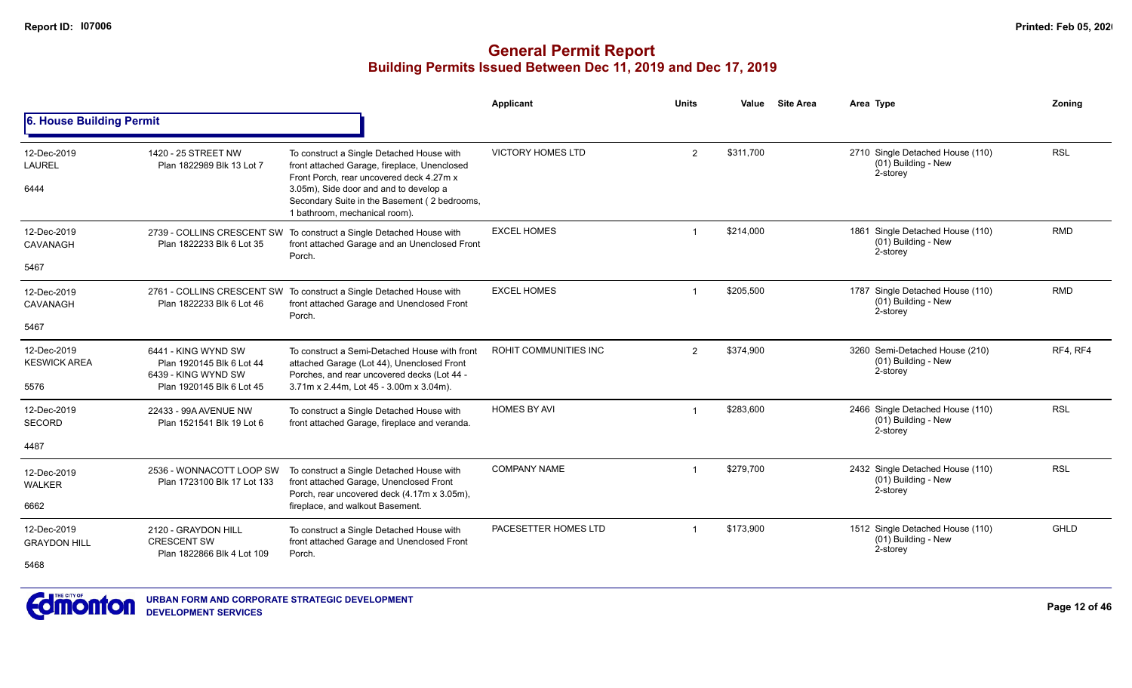|                                            |                                                                                                      |                                                                                                                                                                                       | Applicant                | <b>Units</b> | Value     | <b>Site Area</b> | Area Type                                                           | Zoning     |
|--------------------------------------------|------------------------------------------------------------------------------------------------------|---------------------------------------------------------------------------------------------------------------------------------------------------------------------------------------|--------------------------|--------------|-----------|------------------|---------------------------------------------------------------------|------------|
| 6. House Building Permit                   |                                                                                                      |                                                                                                                                                                                       |                          |              |           |                  |                                                                     |            |
| 12-Dec-2019<br><b>LAUREL</b><br>6444       | 1420 - 25 STREET NW<br>Plan 1822989 Blk 13 Lot 7                                                     | To construct a Single Detached House with<br>front attached Garage, fireplace, Unenclosed<br>Front Porch, rear uncovered deck 4.27m x<br>3.05m), Side door and and to develop a       | <b>VICTORY HOMES LTD</b> | 2            | \$311,700 |                  | 2710 Single Detached House (110)<br>(01) Building - New<br>2-storey | <b>RSL</b> |
|                                            |                                                                                                      | Secondary Suite in the Basement (2 bedrooms,<br>1 bathroom, mechanical room).                                                                                                         |                          |              |           |                  |                                                                     |            |
| 12-Dec-2019<br>CAVANAGH                    | Plan 1822233 Blk 6 Lot 35                                                                            | 2739 - COLLINS CRESCENT SW To construct a Single Detached House with<br>front attached Garage and an Unenclosed Front                                                                 | <b>EXCEL HOMES</b>       |              | \$214,000 |                  | 1861 Single Detached House (110)<br>(01) Building - New<br>2-storey | <b>RMD</b> |
| 5467                                       |                                                                                                      | Porch.                                                                                                                                                                                |                          |              |           |                  |                                                                     |            |
| 12-Dec-2019<br>CAVANAGH                    | Plan 1822233 Blk 6 Lot 46                                                                            | 2761 - COLLINS CRESCENT SW To construct a Single Detached House with<br>front attached Garage and Unenclosed Front                                                                    | <b>EXCEL HOMES</b>       | $\mathbf 1$  | \$205,500 |                  | 1787 Single Detached House (110)<br>(01) Building - New<br>2-storey | <b>RMD</b> |
| 5467                                       |                                                                                                      | Porch.                                                                                                                                                                                |                          |              |           |                  |                                                                     |            |
| 12-Dec-2019<br><b>KESWICK AREA</b><br>5576 | 6441 - KING WYND SW<br>Plan 1920145 Blk 6 Lot 44<br>6439 - KING WYND SW<br>Plan 1920145 Blk 6 Lot 45 | To construct a Semi-Detached House with front<br>attached Garage (Lot 44), Unenclosed Front<br>Porches, and rear uncovered decks (Lot 44 -<br>3.71m x 2.44m, Lot 45 - 3.00m x 3.04m). | ROHIT COMMUNITIES INC    | 2            | \$374,900 |                  | 3260 Semi-Detached House (210)<br>(01) Building - New<br>2-storey   | RF4, RF4   |
| 12-Dec-2019<br><b>SECORD</b>               | 22433 - 99A AVENUE NW<br>Plan 1521541 Blk 19 Lot 6                                                   | To construct a Single Detached House with<br>front attached Garage, fireplace and veranda.                                                                                            | <b>HOMES BY AVI</b>      |              | \$283,600 |                  | 2466 Single Detached House (110)<br>(01) Building - New<br>2-storey | <b>RSL</b> |
| 4487                                       |                                                                                                      |                                                                                                                                                                                       |                          |              |           |                  |                                                                     |            |
| 12-Dec-2019<br><b>WALKER</b>               | 2536 - WONNACOTT LOOP SW<br>Plan 1723100 Blk 17 Lot 133                                              | To construct a Single Detached House with<br>front attached Garage, Unenclosed Front                                                                                                  | <b>COMPANY NAME</b>      | $\mathbf 1$  | \$279.700 |                  | 2432 Single Detached House (110)<br>(01) Building - New<br>2-storey | <b>RSL</b> |
| 6662                                       |                                                                                                      | Porch, rear uncovered deck (4.17m x 3.05m),<br>fireplace, and walkout Basement.                                                                                                       |                          |              |           |                  |                                                                     |            |
| 12-Dec-2019<br><b>GRAYDON HILL</b>         | 2120 - GRAYDON HILL<br><b>CRESCENT SW</b><br>Plan 1822866 Blk 4 Lot 109                              | To construct a Single Detached House with<br>front attached Garage and Unenclosed Front<br>Porch.                                                                                     | PACESETTER HOMES LTD     |              | \$173,900 |                  | 1512 Single Detached House (110)<br>(01) Building - New<br>2-storey | GHLD       |
| 5468                                       |                                                                                                      |                                                                                                                                                                                       |                          |              |           |                  |                                                                     |            |

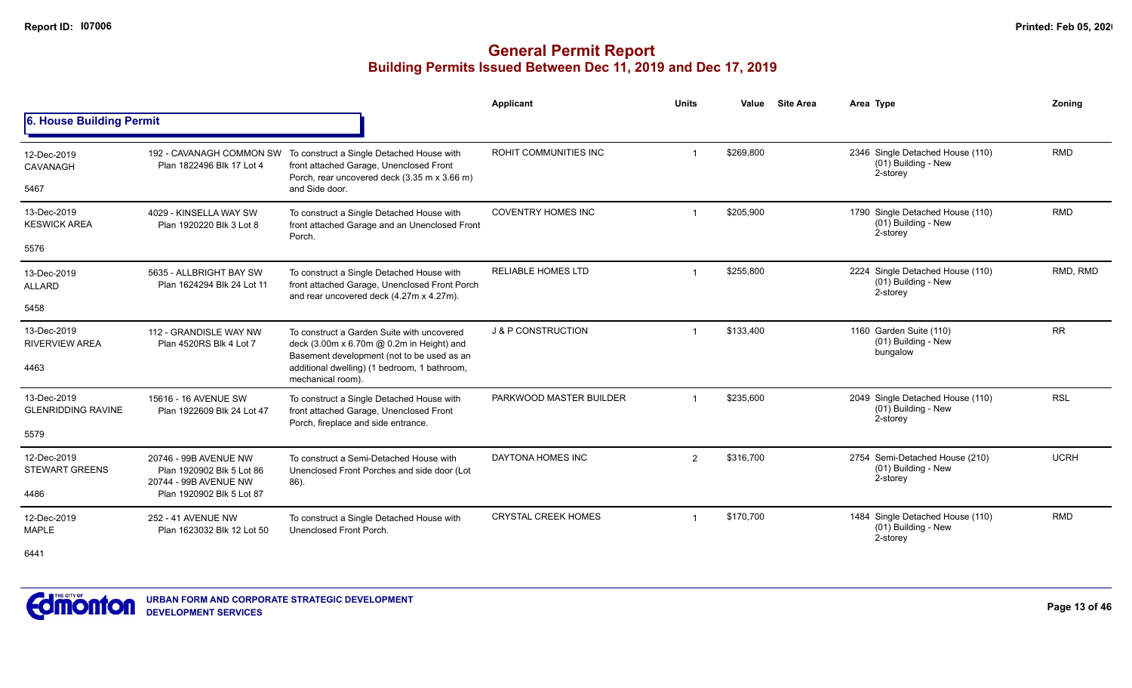|                                          |                                                            |                                                                                                                                                               | <b>Applicant</b>           | <b>Units</b>   | Value     | <b>Site Area</b> | Area Type                                                           | Zoning      |
|------------------------------------------|------------------------------------------------------------|---------------------------------------------------------------------------------------------------------------------------------------------------------------|----------------------------|----------------|-----------|------------------|---------------------------------------------------------------------|-------------|
| 6. House Building Permit                 |                                                            |                                                                                                                                                               |                            |                |           |                  |                                                                     |             |
| 12-Dec-2019<br>CAVANAGH                  | Plan 1822496 Blk 17 Lot 4                                  | 192 - CAVANAGH COMMON SW To construct a Single Detached House with<br>front attached Garage, Unenclosed Front<br>Porch, rear uncovered deck (3.35 m x 3.66 m) | ROHIT COMMUNITIES INC      | $\mathbf 1$    | \$269.800 |                  | 2346 Single Detached House (110)<br>(01) Building - New<br>2-storey | <b>RMD</b>  |
| 5467                                     |                                                            | and Side door.                                                                                                                                                |                            |                |           |                  |                                                                     |             |
| 13-Dec-2019<br><b>KESWICK AREA</b>       | 4029 - KINSELLA WAY SW<br>Plan 1920220 Blk 3 Lot 8         | To construct a Single Detached House with<br>front attached Garage and an Unenclosed Front<br>Porch.                                                          | <b>COVENTRY HOMES INC</b>  |                | \$205,900 |                  | 1790 Single Detached House (110)<br>(01) Building - New<br>2-storey | <b>RMD</b>  |
| 5576                                     |                                                            |                                                                                                                                                               |                            |                |           |                  |                                                                     |             |
| 13-Dec-2019<br><b>ALLARD</b>             | 5635 - ALLBRIGHT BAY SW<br>Plan 1624294 Blk 24 Lot 11      | To construct a Single Detached House with<br>front attached Garage, Unenclosed Front Porch<br>and rear uncovered deck (4.27m x 4.27m).                        | <b>RELIABLE HOMES LTD</b>  | $\mathbf 1$    | \$255,800 |                  | 2224 Single Detached House (110)<br>(01) Building - New<br>2-storey | RMD, RMD    |
| 5458                                     |                                                            |                                                                                                                                                               |                            |                |           |                  |                                                                     |             |
| 13-Dec-2019<br><b>RIVERVIEW AREA</b>     | 112 - GRANDISLE WAY NW<br>Plan 4520RS Blk 4 Lot 7          | To construct a Garden Suite with uncovered<br>deck (3.00m x 6.70m @ 0.2m in Height) and<br>Basement development (not to be used as an                         | J & P CONSTRUCTION         | -1             | \$133,400 |                  | 1160 Garden Suite (110)<br>(01) Building - New<br>bungalow          | <b>RR</b>   |
| 4463                                     |                                                            | additional dwelling) (1 bedroom, 1 bathroom,<br>mechanical room).                                                                                             |                            |                |           |                  |                                                                     |             |
| 13-Dec-2019<br><b>GLENRIDDING RAVINE</b> | 15616 - 16 AVENUE SW<br>Plan 1922609 Blk 24 Lot 47         | To construct a Single Detached House with<br>front attached Garage, Unenclosed Front<br>Porch, fireplace and side entrance.                                   | PARKWOOD MASTER BUILDER    |                | \$235,600 |                  | 2049 Single Detached House (110)<br>(01) Building - New<br>2-storey | <b>RSL</b>  |
| 5579                                     |                                                            |                                                                                                                                                               |                            |                |           |                  |                                                                     |             |
| 12-Dec-2019<br><b>STEWART GREENS</b>     | 20746 - 99B AVENUE NW<br>Plan 1920902 Blk 5 Lot 86         | To construct a Semi-Detached House with<br>Unenclosed Front Porches and side door (Lot                                                                        | DAYTONA HOMES INC          | $\overline{2}$ | \$316.700 |                  | 2754 Semi-Detached House (210)<br>(01) Building - New<br>2-storey   | <b>UCRH</b> |
| 4486                                     | 20744 - 99B AVENUE NW<br>86).<br>Plan 1920902 Blk 5 Lot 87 |                                                                                                                                                               |                            |                |           |                  |                                                                     |             |
| 12-Dec-2019<br><b>MAPLE</b>              | 252 - 41 AVENUE NW<br>Plan 1623032 Blk 12 Lot 50           | To construct a Single Detached House with<br>Unenclosed Front Porch.                                                                                          | <b>CRYSTAL CREEK HOMES</b> | $\mathbf 1$    | \$170,700 |                  | 1484 Single Detached House (110)<br>(01) Building - New<br>2-storey | <b>RMD</b>  |
| 6441                                     |                                                            |                                                                                                                                                               |                            |                |           |                  |                                                                     |             |

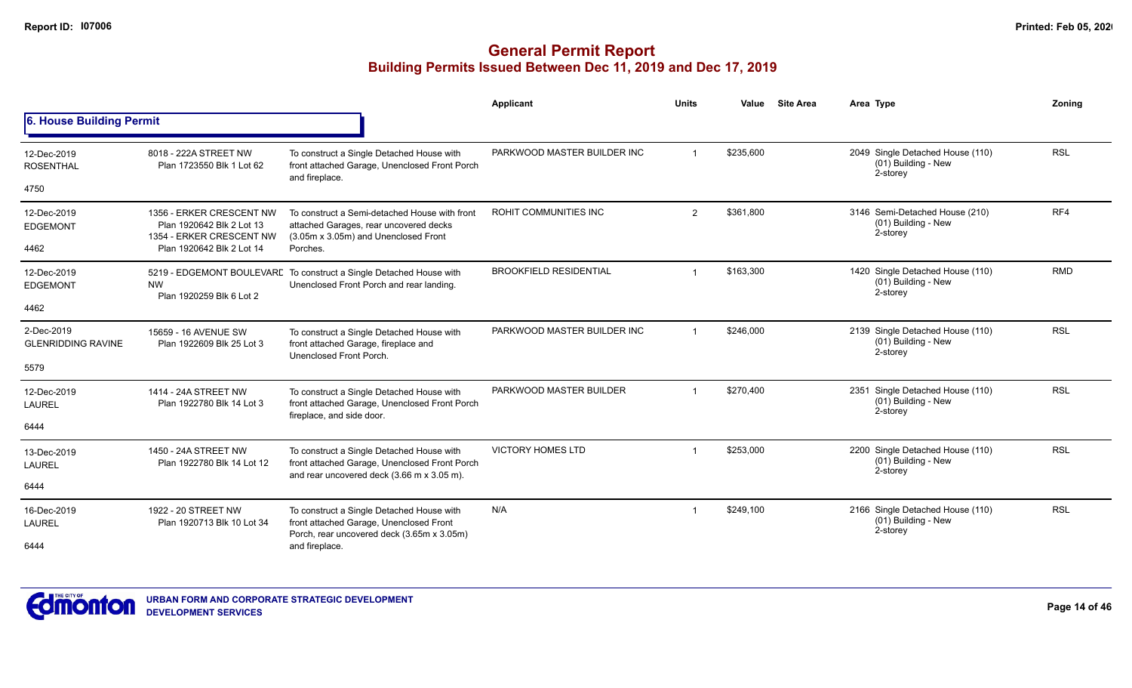|                                         |                                                                                   |                                                                                                                                          | <b>Applicant</b>              | <b>Units</b> | Value                 | <b>Site Area</b>                                      | Area Type                                                           | Zoning     |
|-----------------------------------------|-----------------------------------------------------------------------------------|------------------------------------------------------------------------------------------------------------------------------------------|-------------------------------|--------------|-----------------------|-------------------------------------------------------|---------------------------------------------------------------------|------------|
| 6. House Building Permit                |                                                                                   |                                                                                                                                          |                               |              |                       |                                                       |                                                                     |            |
| 12-Dec-2019<br><b>ROSENTHAL</b>         | 8018 - 222A STREET NW<br>Plan 1723550 Blk 1 Lot 62                                | To construct a Single Detached House with<br>front attached Garage, Unenclosed Front Porch<br>and fireplace.                             | PARKWOOD MASTER BUILDER INC   |              | \$235,600             |                                                       | 2049 Single Detached House (110)<br>(01) Building - New<br>2-storey | <b>RSL</b> |
| 4750                                    |                                                                                   |                                                                                                                                          |                               |              |                       |                                                       |                                                                     |            |
| 12-Dec-2019<br><b>EDGEMONT</b>          | 1356 - ERKER CRESCENT NW<br>Plan 1920642 Blk 2 Lot 13<br>1354 - ERKER CRESCENT NW | To construct a Semi-detached House with front<br>attached Garages, rear uncovered decks<br>(3.05m x 3.05m) and Unenclosed Front          | <b>ROHIT COMMUNITIES INC</b>  | 2            | \$361,800<br>2-storey | 3146 Semi-Detached House (210)<br>(01) Building - New | RF4                                                                 |            |
| 4462                                    | Plan 1920642 Blk 2 Lot 14                                                         | Porches.                                                                                                                                 |                               |              |                       |                                                       |                                                                     |            |
| 12-Dec-2019<br><b>EDGEMONT</b>          | <b>NW</b><br>Plan 1920259 Blk 6 Lot 2                                             | 5219 - EDGEMONT BOULEVARE To construct a Single Detached House with<br>Unenclosed Front Porch and rear landing.                          | <b>BROOKFIELD RESIDENTIAL</b> |              | \$163,300             |                                                       | 1420 Single Detached House (110)<br>(01) Building - New<br>2-storey | <b>RMD</b> |
| 4462                                    |                                                                                   |                                                                                                                                          |                               |              |                       |                                                       |                                                                     |            |
| 2-Dec-2019<br><b>GLENRIDDING RAVINE</b> | 15659 - 16 AVENUE SW<br>Plan 1922609 Blk 25 Lot 3                                 | To construct a Single Detached House with<br>front attached Garage, fireplace and<br>Unenclosed Front Porch.                             | PARKWOOD MASTER BUILDER INC   |              | \$246,000             |                                                       | 2139 Single Detached House (110)<br>(01) Building - New<br>2-storey | <b>RSL</b> |
| 5579                                    |                                                                                   |                                                                                                                                          |                               |              |                       |                                                       |                                                                     |            |
| 12-Dec-2019<br>LAUREL                   | 1414 - 24A STREET NW<br>Plan 1922780 Blk 14 Lot 3                                 | To construct a Single Detached House with<br>front attached Garage, Unenclosed Front Porch<br>fireplace, and side door.                  | PARKWOOD MASTER BUILDER       |              | \$270,400             |                                                       | 2351 Single Detached House (110)<br>(01) Building - New<br>2-storey | <b>RSL</b> |
| 6444                                    |                                                                                   |                                                                                                                                          |                               |              |                       |                                                       |                                                                     |            |
| 13-Dec-2019<br><b>LAUREL</b>            | 1450 - 24A STREET NW<br>Plan 1922780 Blk 14 Lot 12                                | To construct a Single Detached House with<br>front attached Garage, Unenclosed Front Porch<br>and rear uncovered deck (3.66 m x 3.05 m). | <b>VICTORY HOMES LTD</b>      |              | \$253,000             |                                                       | 2200 Single Detached House (110)<br>(01) Building - New<br>2-storey | <b>RSL</b> |
| 6444                                    |                                                                                   |                                                                                                                                          |                               |              |                       |                                                       |                                                                     |            |
| 16-Dec-2019<br><b>LAUREL</b>            | 1922 - 20 STREET NW<br>Plan 1920713 Blk 10 Lot 34                                 | To construct a Single Detached House with<br>front attached Garage, Unenclosed Front<br>Porch, rear uncovered deck (3.65m x 3.05m)       | N/A                           |              | \$249,100             |                                                       | 2166 Single Detached House (110)<br>(01) Building - New<br>2-storey | <b>RSL</b> |
| 6444                                    |                                                                                   | and fireplace.                                                                                                                           |                               |              |                       |                                                       |                                                                     |            |

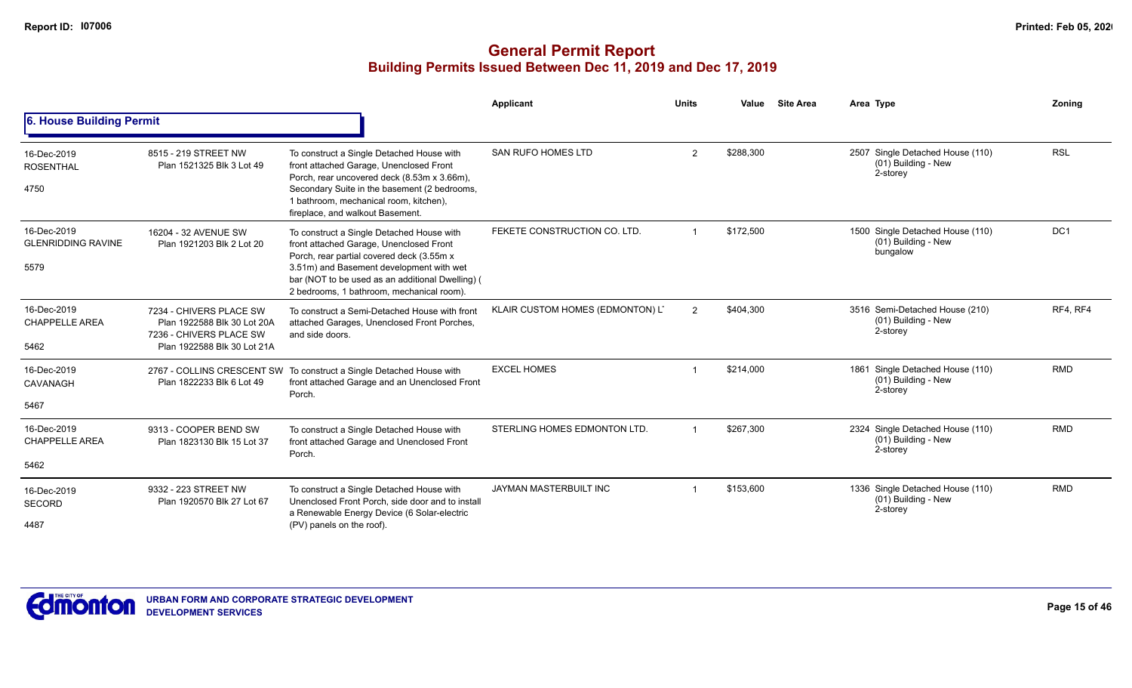|                                                  |                                                                                                                  |                                                                                                                                                                                                                                                                                | Applicant                        | <b>Units</b>   | Value     | <b>Site Area</b> | Area Type                                                           | Zonina          |
|--------------------------------------------------|------------------------------------------------------------------------------------------------------------------|--------------------------------------------------------------------------------------------------------------------------------------------------------------------------------------------------------------------------------------------------------------------------------|----------------------------------|----------------|-----------|------------------|---------------------------------------------------------------------|-----------------|
| 6. House Building Permit                         |                                                                                                                  |                                                                                                                                                                                                                                                                                |                                  |                |           |                  |                                                                     |                 |
| 16-Dec-2019<br><b>ROSENTHAL</b><br>4750          | 8515 - 219 STREET NW<br>Plan 1521325 Blk 3 Lot 49                                                                | To construct a Single Detached House with<br>front attached Garage, Unenclosed Front<br>Porch, rear uncovered deck (8.53m x 3.66m),<br>Secondary Suite in the basement (2 bedrooms,<br>1 bathroom, mechanical room, kitchen),<br>fireplace, and walkout Basement.              | <b>SAN RUFO HOMES LTD</b>        | $\overline{2}$ | \$288,300 |                  | 2507 Single Detached House (110)<br>(01) Building - New<br>2-storey | <b>RSL</b>      |
| 16-Dec-2019<br><b>GLENRIDDING RAVINE</b><br>5579 | 16204 - 32 AVENUE SW<br>Plan 1921203 Blk 2 Lot 20                                                                | To construct a Single Detached House with<br>front attached Garage, Unenclosed Front<br>Porch, rear partial covered deck (3.55m x<br>3.51m) and Basement development with wet<br>bar (NOT to be used as an additional Dwelling) (<br>2 bedrooms, 1 bathroom, mechanical room). | FEKETE CONSTRUCTION CO. LTD.     |                | \$172,500 |                  | 1500 Single Detached House (110)<br>(01) Building - New<br>bungalow | DC <sub>1</sub> |
| 16-Dec-2019<br><b>CHAPPELLE AREA</b><br>5462     | 7234 - CHIVERS PLACE SW<br>Plan 1922588 Blk 30 Lot 20A<br>7236 - CHIVERS PLACE SW<br>Plan 1922588 Blk 30 Lot 21A | To construct a Semi-Detached House with front<br>attached Garages, Unenclosed Front Porches,<br>and side doors.                                                                                                                                                                | KLAIR CUSTOM HOMES (EDMONTON) L' | 2              | \$404.300 |                  | 3516 Semi-Detached House (210)<br>(01) Building - New<br>2-storey   | RF4, RF4        |
| 16-Dec-2019<br><b>CAVANAGH</b><br>5467           | Plan 1822233 Blk 6 Lot 49                                                                                        | 2767 - COLLINS CRESCENT SW To construct a Single Detached House with<br>front attached Garage and an Unenclosed Front<br>Porch.                                                                                                                                                | <b>EXCEL HOMES</b>               |                | \$214,000 |                  | 1861 Single Detached House (110)<br>(01) Building - New<br>2-storey | <b>RMD</b>      |
| 16-Dec-2019<br><b>CHAPPELLE AREA</b><br>5462     | 9313 - COOPER BEND SW<br>Plan 1823130 Blk 15 Lot 37                                                              | To construct a Single Detached House with<br>front attached Garage and Unenclosed Front<br>Porch.                                                                                                                                                                              | STERLING HOMES EDMONTON LTD.     |                | \$267,300 |                  | 2324 Single Detached House (110)<br>(01) Building - New<br>2-storey | <b>RMD</b>      |
| 16-Dec-2019<br><b>SECORD</b><br>4487             | 9332 - 223 STREET NW<br>Plan 1920570 Blk 27 Lot 67                                                               | To construct a Single Detached House with<br>Unenclosed Front Porch, side door and to install<br>a Renewable Energy Device (6 Solar-electric<br>(PV) panels on the roof).                                                                                                      | JAYMAN MASTERBUILT INC           | -1             | \$153,600 |                  | 1336 Single Detached House (110)<br>(01) Building - New<br>2-storey | <b>RMD</b>      |

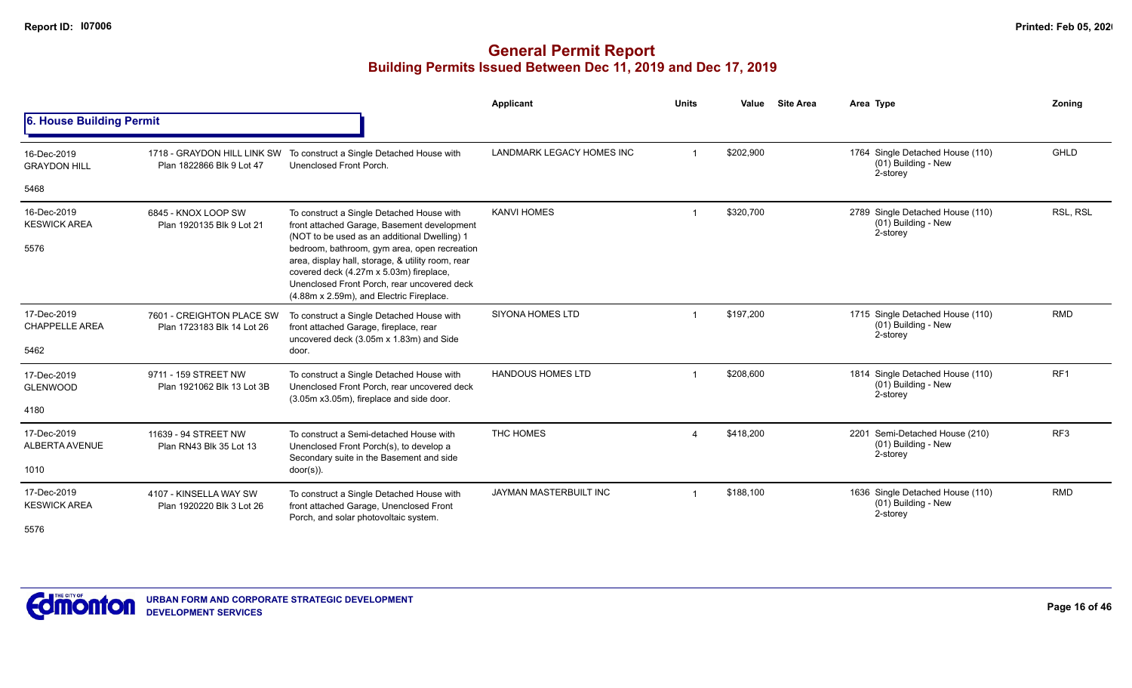# **General Permit Report Building Permits Issued Between Dec 11, 2019 and Dec 17, 2019**

|                                              |                                                         |                                                                                                                                                                                                                                                                                                                                                                                     | Applicant                        | <b>Units</b>          | Value     | <b>Site Area</b> | Area Type                                                           | Zoning          |
|----------------------------------------------|---------------------------------------------------------|-------------------------------------------------------------------------------------------------------------------------------------------------------------------------------------------------------------------------------------------------------------------------------------------------------------------------------------------------------------------------------------|----------------------------------|-----------------------|-----------|------------------|---------------------------------------------------------------------|-----------------|
| 6. House Building Permit                     |                                                         |                                                                                                                                                                                                                                                                                                                                                                                     |                                  |                       |           |                  |                                                                     |                 |
| 16-Dec-2019<br><b>GRAYDON HILL</b>           | Plan 1822866 Blk 9 Lot 47                               | 1718 - GRAYDON HILL LINK SW To construct a Single Detached House with<br>Unenclosed Front Porch.                                                                                                                                                                                                                                                                                    | <b>LANDMARK LEGACY HOMES INC</b> |                       | \$202,900 |                  | 1764 Single Detached House (110)<br>(01) Building - New<br>2-storey | GHLD            |
| 5468                                         |                                                         |                                                                                                                                                                                                                                                                                                                                                                                     |                                  |                       |           |                  |                                                                     |                 |
| 16-Dec-2019<br><b>KESWICK AREA</b><br>5576   | 6845 - KNOX LOOP SW<br>Plan 1920135 Blk 9 Lot 21        | To construct a Single Detached House with<br>front attached Garage, Basement development<br>(NOT to be used as an additional Dwelling) 1<br>bedroom, bathroom, gym area, open recreation<br>area, display hall, storage, & utility room, rear<br>covered deck (4.27m x 5.03m) fireplace,<br>Unenclosed Front Porch, rear uncovered deck<br>(4.88m x 2.59m), and Electric Fireplace. | <b>KANVI HOMES</b>               |                       | \$320,700 |                  | 2789 Single Detached House (110)<br>(01) Building - New<br>2-storey | RSL, RSL        |
| 17-Dec-2019<br><b>CHAPPELLE AREA</b><br>5462 | 7601 - CREIGHTON PLACE SW<br>Plan 1723183 Blk 14 Lot 26 | To construct a Single Detached House with<br>front attached Garage, fireplace, rear<br>uncovered deck (3.05m x 1.83m) and Side<br>door.                                                                                                                                                                                                                                             | <b>SIYONA HOMES LTD</b>          |                       | \$197,200 |                  | 1715 Single Detached House (110)<br>(01) Building - New<br>2-storey | <b>RMD</b>      |
| 17-Dec-2019<br><b>GLENWOOD</b><br>4180       | 9711 - 159 STREET NW<br>Plan 1921062 Blk 13 Lot 3B      | To construct a Single Detached House with<br>Unenclosed Front Porch, rear uncovered deck<br>(3.05m x3.05m), fireplace and side door.                                                                                                                                                                                                                                                | <b>HANDOUS HOMES LTD</b>         |                       | \$208,600 |                  | 1814 Single Detached House (110)<br>(01) Building - New<br>2-storey | RF <sub>1</sub> |
| 17-Dec-2019<br><b>ALBERTA AVENUE</b><br>1010 | 11639 - 94 STREET NW<br>Plan RN43 Blk 35 Lot 13         | To construct a Semi-detached House with<br>Unenclosed Front Porch(s), to develop a<br>Secondary suite in the Basement and side<br>$door(s)$ ).                                                                                                                                                                                                                                      | THC HOMES                        | $\boldsymbol{\Delta}$ | \$418,200 |                  | 2201 Semi-Detached House (210)<br>(01) Building - New<br>2-storey   | RF <sub>3</sub> |
| 17-Dec-2019<br><b>KESWICK AREA</b><br>F F 70 | 4107 - KINSELLA WAY SW<br>Plan 1920220 Blk 3 Lot 26     | To construct a Single Detached House with<br>front attached Garage, Unenclosed Front<br>Porch, and solar photovoltaic system.                                                                                                                                                                                                                                                       | <b>JAYMAN MASTERBUILT INC</b>    |                       | \$188.100 |                  | 1636 Single Detached House (110)<br>(01) Building - New<br>2-storey | <b>RMD</b>      |

5576

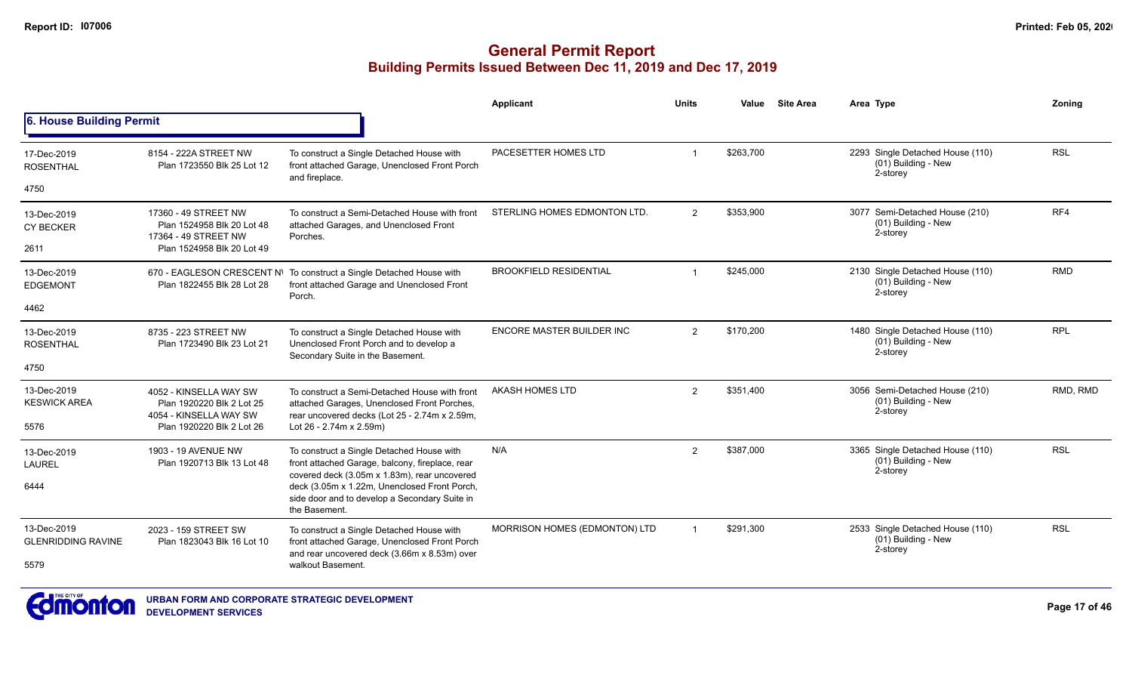|                                          |                                                                               |                                                                                                                                               | <b>Applicant</b>              | <b>Units</b>   | Value     | <b>Site Area</b> | Area Type                                                           | Zonina     |
|------------------------------------------|-------------------------------------------------------------------------------|-----------------------------------------------------------------------------------------------------------------------------------------------|-------------------------------|----------------|-----------|------------------|---------------------------------------------------------------------|------------|
| 6. House Building Permit                 |                                                                               |                                                                                                                                               |                               |                |           |                  |                                                                     |            |
| 17-Dec-2019<br><b>ROSENTHAL</b>          | 8154 - 222A STREET NW<br>Plan 1723550 Blk 25 Lot 12                           | To construct a Single Detached House with<br>front attached Garage, Unenclosed Front Porch<br>and fireplace.                                  | PACESETTER HOMES LTD          | $\overline{ }$ | \$263,700 |                  | 2293 Single Detached House (110)<br>(01) Building - New<br>2-storey | <b>RSL</b> |
| 4750                                     |                                                                               |                                                                                                                                               |                               |                |           |                  |                                                                     |            |
| 13-Dec-2019<br><b>CY BECKER</b>          | 17360 - 49 STREET NW<br>Plan 1524958 Blk 20 Lot 48<br>17364 - 49 STREET NW    | To construct a Semi-Detached House with front<br>attached Garages, and Unenclosed Front<br>Porches.                                           | STERLING HOMES EDMONTON LTD.  | $\overline{2}$ | \$353,900 |                  | 3077 Semi-Detached House (210)<br>(01) Building - New<br>2-storey   | RF4        |
| 2611                                     | Plan 1524958 Blk 20 Lot 49                                                    |                                                                                                                                               |                               |                |           |                  |                                                                     |            |
| 13-Dec-2019<br><b>EDGEMONT</b>           | 670 - EAGLESON CRESCENT N\<br>Plan 1822455 Blk 28 Lot 28                      | To construct a Single Detached House with<br>front attached Garage and Unenclosed Front<br>Porch.                                             | <b>BROOKFIELD RESIDENTIAL</b> | $\overline{1}$ | \$245,000 |                  | 2130 Single Detached House (110)<br>(01) Building - New<br>2-storey | <b>RMD</b> |
| 4462                                     |                                                                               |                                                                                                                                               |                               |                |           |                  |                                                                     |            |
| 13-Dec-2019<br><b>ROSENTHAL</b>          | 8735 - 223 STREET NW<br>Plan 1723490 Blk 23 Lot 21                            | To construct a Single Detached House with<br>Unenclosed Front Porch and to develop a                                                          | ENCORE MASTER BUILDER INC     | 2              | \$170,200 |                  | 1480 Single Detached House (110)<br>(01) Building - New<br>2-storey | <b>RPL</b> |
| 4750                                     |                                                                               | Secondary Suite in the Basement.                                                                                                              |                               |                |           |                  |                                                                     |            |
| 13-Dec-2019<br><b>KESWICK AREA</b>       | 4052 - KINSELLA WAY SW<br>Plan 1920220 Blk 2 Lot 25<br>4054 - KINSELLA WAY SW | To construct a Semi-Detached House with front<br>attached Garages, Unenclosed Front Porches,<br>rear uncovered decks (Lot 25 - 2.74m x 2.59m, | AKASH HOMES LTD               | 2              | \$351,400 |                  | 3056 Semi-Detached House (210)<br>(01) Building - New<br>2-storey   | RMD, RMD   |
| 5576                                     | Plan 1920220 Blk 2 Lot 26                                                     | Lot 26 - 2.74m x 2.59m)                                                                                                                       |                               |                |           |                  |                                                                     |            |
| 13-Dec-2019<br><b>LAUREL</b>             | 1903 - 19 AVENUE NW<br>Plan 1920713 Blk 13 Lot 48                             | To construct a Single Detached House with<br>front attached Garage, balcony, fireplace, rear<br>covered deck (3.05m x 1.83m), rear uncovered  | N/A                           | 2              | \$387,000 |                  | 3365 Single Detached House (110)<br>(01) Building - New<br>2-storey | <b>RSL</b> |
| 6444                                     |                                                                               | deck (3.05m x 1.22m, Unenclosed Front Porch,<br>side door and to develop a Secondary Suite in<br>the Basement.                                |                               |                |           |                  |                                                                     |            |
| 13-Dec-2019<br><b>GLENRIDDING RAVINE</b> | 2023 - 159 STREET SW<br>Plan 1823043 Blk 16 Lot 10                            | To construct a Single Detached House with<br>front attached Garage, Unenclosed Front Porch<br>and rear uncovered deck (3.66m x 8.53m) over    | MORRISON HOMES (EDMONTON) LTD |                | \$291,300 |                  | 2533 Single Detached House (110)<br>(01) Building - New<br>2-storey | <b>RSL</b> |
| 5579                                     |                                                                               | walkout Basement.                                                                                                                             |                               |                |           |                  |                                                                     |            |

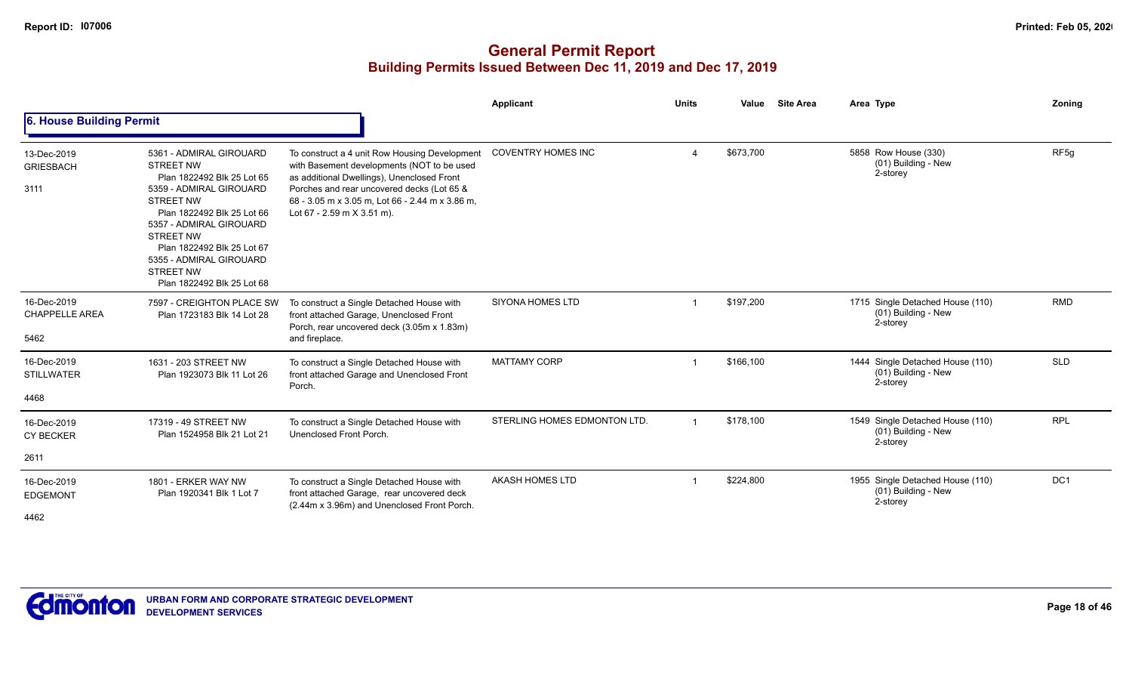|                                              |                                                                                                                                                                                                                                                                                                                  |                                                                                                                                                                                                                                                                          | Applicant                   | <b>Units</b>   | Value     | <b>Site Area</b> | Area Type                                                           | <b>Zoning</b>    |
|----------------------------------------------|------------------------------------------------------------------------------------------------------------------------------------------------------------------------------------------------------------------------------------------------------------------------------------------------------------------|--------------------------------------------------------------------------------------------------------------------------------------------------------------------------------------------------------------------------------------------------------------------------|-----------------------------|----------------|-----------|------------------|---------------------------------------------------------------------|------------------|
| 6. House Building Permit                     |                                                                                                                                                                                                                                                                                                                  |                                                                                                                                                                                                                                                                          |                             |                |           |                  |                                                                     |                  |
| 13-Dec-2019<br><b>GRIESBACH</b><br>3111      | 5361 - ADMIRAL GIROUARD<br><b>STREET NW</b><br>Plan 1822492 Blk 25 Lot 65<br>5359 - ADMIRAL GIROUARD<br><b>STREET NW</b><br>Plan 1822492 Blk 25 Lot 66<br>5357 - ADMIRAL GIROUARD<br><b>STREET NW</b><br>Plan 1822492 Blk 25 Lot 67<br>5355 - ADMIRAL GIROUARD<br><b>STREET NW</b><br>Plan 1822492 Blk 25 Lot 68 | To construct a 4 unit Row Housing Development<br>with Basement developments (NOT to be used<br>as additional Dwellings), Unenclosed Front<br>Porches and rear uncovered decks (Lot 65 &<br>68 - 3.05 m x 3.05 m, Lot 66 - 2.44 m x 3.86 m,<br>Lot 67 - 2.59 m X 3.51 m). | <b>COVENTRY HOMES INC</b>   | Δ              | \$673,700 |                  | 5858 Row House (330)<br>(01) Building - New<br>2-storey             | RF <sub>5g</sub> |
| 16-Dec-2019<br><b>CHAPPELLE AREA</b><br>5462 | 7597 - CREIGHTON PLACE SW<br>Plan 1723183 Blk 14 Lot 28                                                                                                                                                                                                                                                          | To construct a Single Detached House with<br>front attached Garage, Unenclosed Front<br>Porch, rear uncovered deck (3.05m x 1.83m)<br>and fireplace.                                                                                                                     | <b>SIYONA HOMES LTD</b>     | $\overline{1}$ | \$197,200 |                  | 1715 Single Detached House (110)<br>(01) Building - New<br>2-storey | <b>RMD</b>       |
| 16-Dec-2019<br><b>STILLWATER</b><br>4468     | 1631 - 203 STREET NW<br>Plan 1923073 Blk 11 Lot 26                                                                                                                                                                                                                                                               | To construct a Single Detached House with<br>front attached Garage and Unenclosed Front<br>Porch.                                                                                                                                                                        | <b>MATTAMY CORP</b>         | $\overline{1}$ | \$166,100 |                  | 1444 Single Detached House (110)<br>(01) Building - New<br>2-storey | <b>SLD</b>       |
| 16-Dec-2019<br><b>CY BECKER</b><br>2611      | 17319 - 49 STREET NW<br>Plan 1524958 Blk 21 Lot 21                                                                                                                                                                                                                                                               | To construct a Single Detached House with<br>Unenclosed Front Porch.                                                                                                                                                                                                     | STERLING HOMES EDMONTON LTD |                | \$178,100 |                  | 1549 Single Detached House (110)<br>(01) Building - New<br>2-storey | <b>RPL</b>       |
|                                              |                                                                                                                                                                                                                                                                                                                  |                                                                                                                                                                                                                                                                          |                             |                |           |                  |                                                                     |                  |
| 16-Dec-2019<br><b>EDGEMONT</b><br>4462       | 1801 - ERKER WAY NW<br>Plan 1920341 Blk 1 Lot 7                                                                                                                                                                                                                                                                  | To construct a Single Detached House with<br>front attached Garage, rear uncovered deck<br>(2.44m x 3.96m) and Unenclosed Front Porch.                                                                                                                                   | <b>AKASH HOMES LTD</b>      |                | \$224,800 |                  | 1955 Single Detached House (110)<br>(01) Building - New<br>2-storey | DC <sub>1</sub>  |

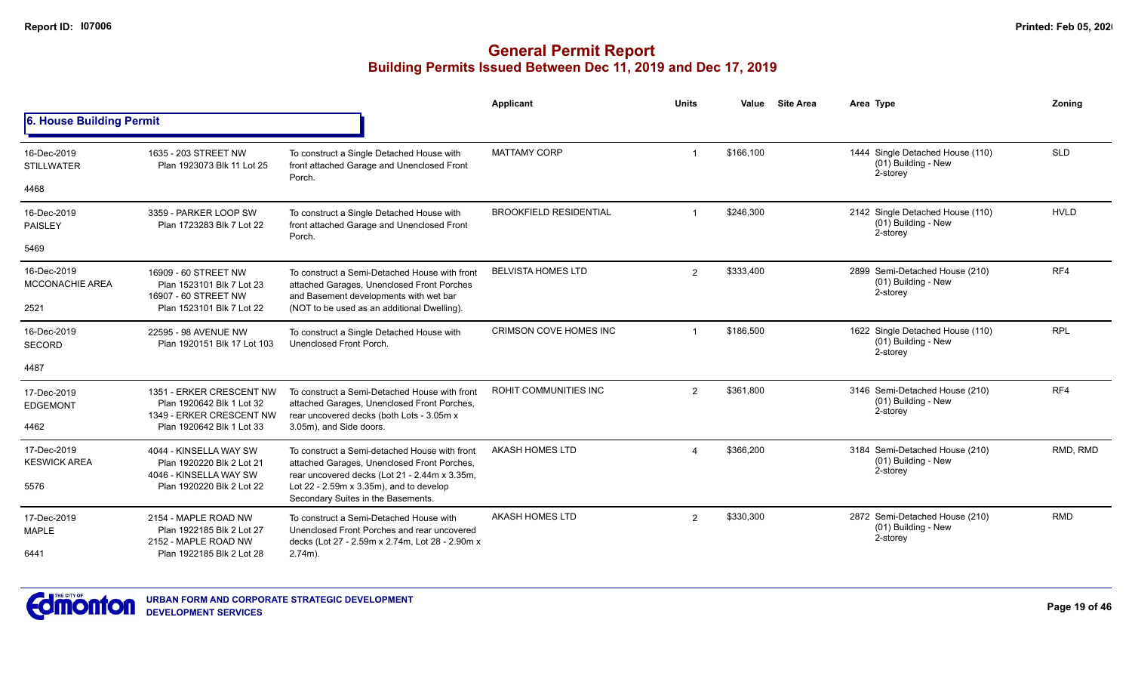|                                       |                                                                                   |                                                                                                                                               | Applicant                     | <b>Units</b>   | Value     | <b>Site Area</b>                                      | Area Type                                                           | Zoning      |
|---------------------------------------|-----------------------------------------------------------------------------------|-----------------------------------------------------------------------------------------------------------------------------------------------|-------------------------------|----------------|-----------|-------------------------------------------------------|---------------------------------------------------------------------|-------------|
| 6. House Building Permit              |                                                                                   |                                                                                                                                               |                               |                |           |                                                       |                                                                     |             |
| 16-Dec-2019<br><b>STILLWATER</b>      | 1635 - 203 STREET NW<br>Plan 1923073 Blk 11 Lot 25                                | To construct a Single Detached House with<br>front attached Garage and Unenclosed Front<br>Porch.                                             | <b>MATTAMY CORP</b>           |                | \$166,100 |                                                       | 1444 Single Detached House (110)<br>(01) Building - New<br>2-storey | <b>SLD</b>  |
| 4468                                  |                                                                                   |                                                                                                                                               |                               |                |           |                                                       |                                                                     |             |
| 16-Dec-2019<br><b>PAISLEY</b>         | 3359 - PARKER LOOP SW<br>Plan 1723283 Blk 7 Lot 22                                | To construct a Single Detached House with<br>front attached Garage and Unenclosed Front<br>Porch.                                             | <b>BROOKFIELD RESIDENTIAL</b> |                | \$246,300 |                                                       | 2142 Single Detached House (110)<br>(01) Building - New<br>2-storey | <b>HVLD</b> |
| 5469                                  |                                                                                   |                                                                                                                                               |                               |                |           |                                                       |                                                                     |             |
| 16-Dec-2019<br><b>MCCONACHIE AREA</b> | 16909 - 60 STREET NW<br>Plan 1523101 Blk 7 Lot 23<br>16907 - 60 STREET NW         | To construct a Semi-Detached House with front<br>attached Garages, Unenclosed Front Porches<br>and Basement developments with wet bar         | <b>BELVISTA HOMES LTD</b>     | $\overline{2}$ | \$333,400 |                                                       | 2899 Semi-Detached House (210)<br>(01) Building - New<br>2-storey   | RF4         |
| 2521                                  | Plan 1523101 Blk 7 Lot 22                                                         | (NOT to be used as an additional Dwelling).                                                                                                   |                               |                |           |                                                       |                                                                     |             |
| 16-Dec-2019<br><b>SECORD</b>          | 22595 - 98 AVENUE NW<br>Plan 1920151 Blk 17 Lot 103                               | To construct a Single Detached House with<br>Unenclosed Front Porch.                                                                          | <b>CRIMSON COVE HOMES INC</b> |                | \$186,500 |                                                       | 1622 Single Detached House (110)<br>(01) Building - New<br>2-storey | <b>RPL</b>  |
| 4487                                  |                                                                                   |                                                                                                                                               |                               |                |           |                                                       |                                                                     |             |
| 17-Dec-2019<br><b>EDGEMONT</b>        | 1351 - ERKER CRESCENT NW<br>Plan 1920642 Blk 1 Lot 32<br>1349 - ERKER CRESCENT NW | To construct a Semi-Detached House with front<br>attached Garages, Unenclosed Front Porches,<br>rear uncovered decks (both Lots - 3.05m x     | ROHIT COMMUNITIES INC         | $\overline{2}$ | \$361.800 |                                                       | 3146 Semi-Detached House (210)<br>(01) Building - New<br>2-storey   | RF4         |
| 4462                                  | Plan 1920642 Blk 1 Lot 33                                                         | 3.05m), and Side doors.                                                                                                                       |                               |                |           |                                                       |                                                                     |             |
| 17-Dec-2019<br><b>KESWICK AREA</b>    | 4044 - KINSELLA WAY SW<br>Plan 1920220 Blk 2 Lot 21<br>4046 - KINSELLA WAY SW     | To construct a Semi-detached House with front<br>attached Garages, Unenclosed Front Porches,<br>rear uncovered decks (Lot 21 - 2.44m x 3.35m, | <b>AKASH HOMES LTD</b>        |                | \$366.200 |                                                       | 3184 Semi-Detached House (210)<br>(01) Building - New<br>2-storey   | RMD, RMD    |
| 5576                                  | Plan 1920220 Blk 2 Lot 22                                                         | Lot $22 - 2.59m \times 3.35m$ , and to develop<br>Secondary Suites in the Basements.                                                          |                               |                |           |                                                       |                                                                     |             |
| 17-Dec-2019<br><b>MAPLE</b>           | 2154 - MAPLE ROAD NW<br>Plan 1922185 Blk 2 Lot 27                                 | To construct a Semi-Detached House with<br>Unenclosed Front Porches and rear uncovered                                                        | <b>AKASH HOMES LTD</b>        | \$330,300<br>2 |           | 2872 Semi-Detached House (210)<br>(01) Building - New | <b>RMD</b>                                                          |             |
| 6441                                  | 2152 - MAPLE ROAD NW<br>Plan 1922185 Blk 2 Lot 28                                 | decks (Lot 27 - 2.59m x 2.74m, Lot 28 - 2.90m x<br>$2.74m$ ).                                                                                 |                               |                |           | 2-storey                                              |                                                                     |             |

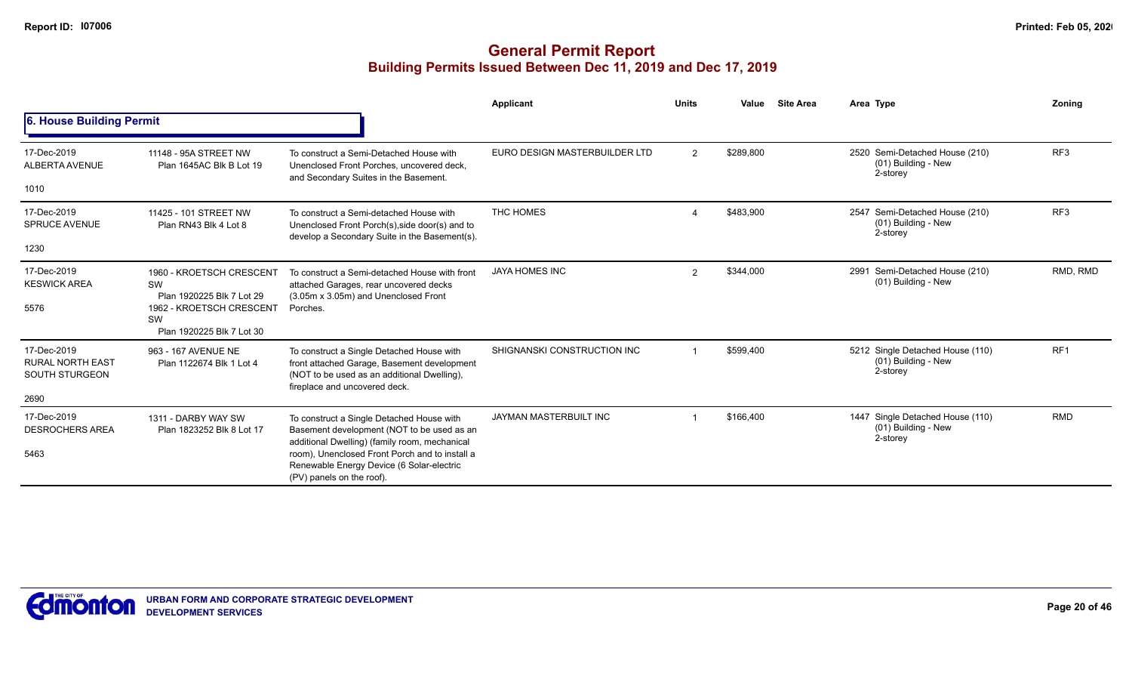|                                                                         |                                                                                                                            |                                                                                                                                                                                                                                                                      | Applicant                     | <b>Units</b>         | Value     | <b>Site Area</b> | Area Type                                                           | Zonina          |
|-------------------------------------------------------------------------|----------------------------------------------------------------------------------------------------------------------------|----------------------------------------------------------------------------------------------------------------------------------------------------------------------------------------------------------------------------------------------------------------------|-------------------------------|----------------------|-----------|------------------|---------------------------------------------------------------------|-----------------|
| 6. House Building Permit                                                |                                                                                                                            |                                                                                                                                                                                                                                                                      |                               |                      |           |                  |                                                                     |                 |
| 17-Dec-2019<br>ALBERTA AVENUE<br>1010                                   | 11148 - 95A STREET NW<br>Plan 1645AC Blk B Lot 19                                                                          | To construct a Semi-Detached House with<br>Unenclosed Front Porches, uncovered deck,<br>and Secondary Suites in the Basement.                                                                                                                                        | EURO DESIGN MASTERBUILDER LTD | $\overline{2}$       | \$289,800 |                  | 2520 Semi-Detached House (210)<br>(01) Building - New<br>2-storey   | RF <sub>3</sub> |
| 17-Dec-2019<br><b>SPRUCE AVENUE</b><br>1230                             | 11425 - 101 STREET NW<br>Plan RN43 Blk 4 Lot 8                                                                             | To construct a Semi-detached House with<br>Unenclosed Front Porch(s), side door(s) and to<br>develop a Secondary Suite in the Basement(s).                                                                                                                           | THC HOMES                     | $\Delta$             | \$483,900 |                  | 2547 Semi-Detached House (210)<br>(01) Building - New<br>2-storey   | RF <sub>3</sub> |
| 17-Dec-2019<br><b>KESWICK AREA</b><br>5576                              | 1960 - KROETSCH CRESCENT<br>SW<br>Plan 1920225 Blk 7 Lot 29<br>1962 - KROETSCH CRESCENT<br>SW<br>Plan 1920225 Blk 7 Lot 30 | To construct a Semi-detached House with front<br>attached Garages, rear uncovered decks<br>(3.05m x 3.05m) and Unenclosed Front<br>Porches.                                                                                                                          | <b>JAYA HOMES INC</b>         | $\mathbf{2}^{\circ}$ | \$344,000 |                  | 2991 Semi-Detached House (210)<br>(01) Building - New               | RMD, RMD        |
| 17-Dec-2019<br><b>RURAL NORTH EAST</b><br><b>SOUTH STURGEON</b><br>2690 | 963 - 167 AVENUE NE<br>Plan 1122674 Blk 1 Lot 4                                                                            | To construct a Single Detached House with<br>front attached Garage, Basement development<br>(NOT to be used as an additional Dwelling),<br>fireplace and uncovered deck.                                                                                             | SHIGNANSKI CONSTRUCTION INC   |                      | \$599,400 |                  | 5212 Single Detached House (110)<br>(01) Building - New<br>2-storey | RF <sub>1</sub> |
| 17-Dec-2019<br><b>DESROCHERS AREA</b><br>5463                           | 1311 - DARBY WAY SW<br>Plan 1823252 Blk 8 Lot 17                                                                           | To construct a Single Detached House with<br>Basement development (NOT to be used as an<br>additional Dwelling) (family room, mechanical<br>room), Unenclosed Front Porch and to install a<br>Renewable Energy Device (6 Solar-electric<br>(PV) panels on the roof). | JAYMAN MASTERBUILT INC        |                      | \$166,400 |                  | 1447 Single Detached House (110)<br>(01) Building - New<br>2-storey | <b>RMD</b>      |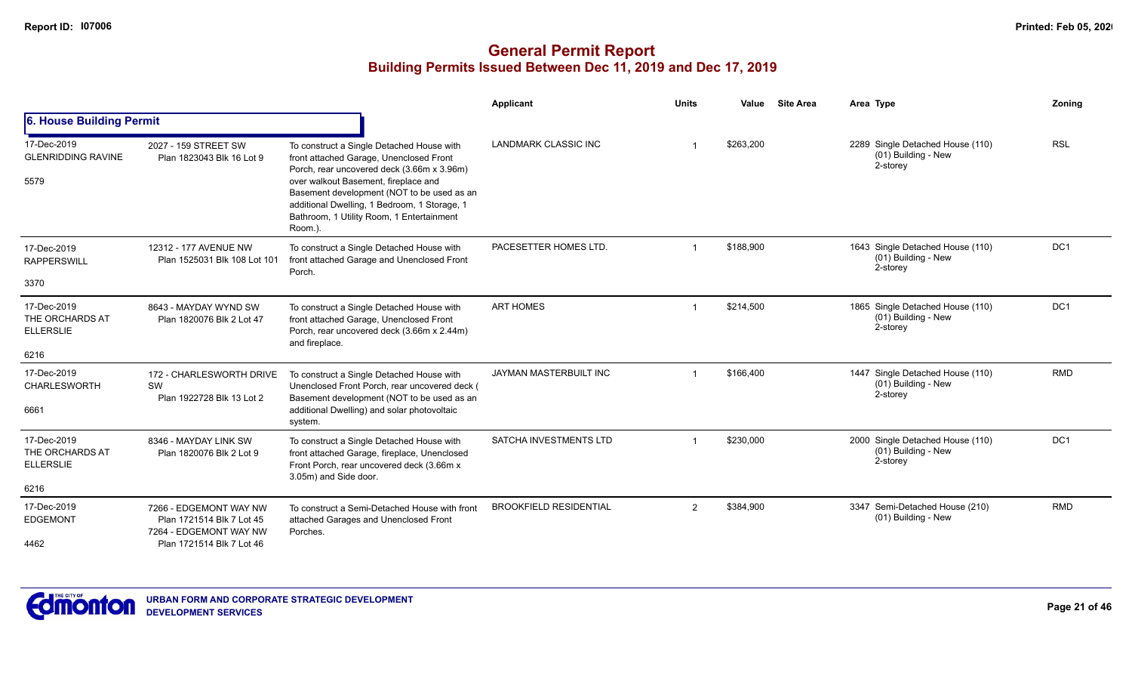|                                                            |                                                                                                            |                                                                                                                                                                                                                                                                                                                                 | <b>Applicant</b>              | <b>Units</b> | Value     | <b>Site Area</b> | Area Type                                                             | Zoning          |
|------------------------------------------------------------|------------------------------------------------------------------------------------------------------------|---------------------------------------------------------------------------------------------------------------------------------------------------------------------------------------------------------------------------------------------------------------------------------------------------------------------------------|-------------------------------|--------------|-----------|------------------|-----------------------------------------------------------------------|-----------------|
| 6. House Building Permit                                   |                                                                                                            |                                                                                                                                                                                                                                                                                                                                 |                               |              |           |                  |                                                                       |                 |
| 17-Dec-2019<br><b>GLENRIDDING RAVINE</b><br>5579           | 2027 - 159 STREET SW<br>Plan 1823043 Blk 16 Lot 9                                                          | To construct a Single Detached House with<br>front attached Garage, Unenclosed Front<br>Porch, rear uncovered deck (3.66m x 3.96m)<br>over walkout Basement, fireplace and<br>Basement development (NOT to be used as an<br>additional Dwelling, 1 Bedroom, 1 Storage, 1<br>Bathroom, 1 Utility Room, 1 Entertainment<br>Room.) | <b>LANDMARK CLASSIC INC</b>   |              | \$263,200 |                  | 2289 Single Detached House (110)<br>(01) Building - New<br>2-storey   | <b>RSL</b>      |
| 17-Dec-2019<br><b>RAPPERSWILL</b>                          | 12312 - 177 AVENUE NW<br>Plan 1525031 Blk 108 Lot 101                                                      | To construct a Single Detached House with<br>front attached Garage and Unenclosed Front<br>Porch.                                                                                                                                                                                                                               | PACESETTER HOMES LTD.         |              | \$188.900 |                  | 1643 Single Detached House (110)<br>(01) Building - New<br>2-storey   | DC <sub>1</sub> |
| 3370                                                       |                                                                                                            |                                                                                                                                                                                                                                                                                                                                 |                               |              |           |                  |                                                                       |                 |
| 17-Dec-2019<br>THE ORCHARDS AT<br><b>ELLERSLIE</b><br>6216 | 8643 - MAYDAY WYND SW<br>Plan 1820076 Blk 2 Lot 47                                                         | To construct a Single Detached House with<br>front attached Garage, Unenclosed Front<br>Porch, rear uncovered deck (3.66m x 2.44m)<br>and fireplace.                                                                                                                                                                            | <b>ART HOMES</b>              |              | \$214,500 |                  | 1865 Single Detached House (110)<br>$(01)$ Building - New<br>2-storey | DC <sub>1</sub> |
| 17-Dec-2019<br><b>CHARLESWORTH</b><br>6661                 | 172 - CHARLESWORTH DRIVE<br>SW<br>Plan 1922728 Blk 13 Lot 2                                                | To construct a Single Detached House with<br>Unenclosed Front Porch, rear uncovered deck (<br>Basement development (NOT to be used as an<br>additional Dwelling) and solar photovoltaic<br>system.                                                                                                                              | JAYMAN MASTERBUILT INC        |              | \$166,400 |                  | 1447 Single Detached House (110)<br>(01) Building - New<br>2-storey   | <b>RMD</b>      |
| 17-Dec-2019<br>THE ORCHARDS AT<br><b>ELLERSLIE</b><br>6216 | 8346 - MAYDAY LINK SW<br>Plan 1820076 Blk 2 Lot 9                                                          | To construct a Single Detached House with<br>front attached Garage, fireplace, Unenclosed<br>Front Porch, rear uncovered deck (3.66m x<br>3.05m) and Side door.                                                                                                                                                                 | <b>SATCHA INVESTMENTS LTD</b> |              | \$230,000 |                  | 2000 Single Detached House (110)<br>(01) Building - New<br>2-storey   | DC <sub>1</sub> |
| 17-Dec-2019<br><b>EDGEMONT</b><br>4462                     | 7266 - EDGEMONT WAY NW<br>Plan 1721514 Blk 7 Lot 45<br>7264 - EDGEMONT WAY NW<br>Plan 1721514 Blk 7 Lot 46 | To construct a Semi-Detached House with front<br>attached Garages and Unenclosed Front<br>Porches.                                                                                                                                                                                                                              | <b>BROOKFIELD RESIDENTIAL</b> | 2            | \$384,900 |                  | 3347 Semi-Detached House (210)<br>(01) Building - New                 | <b>RMD</b>      |

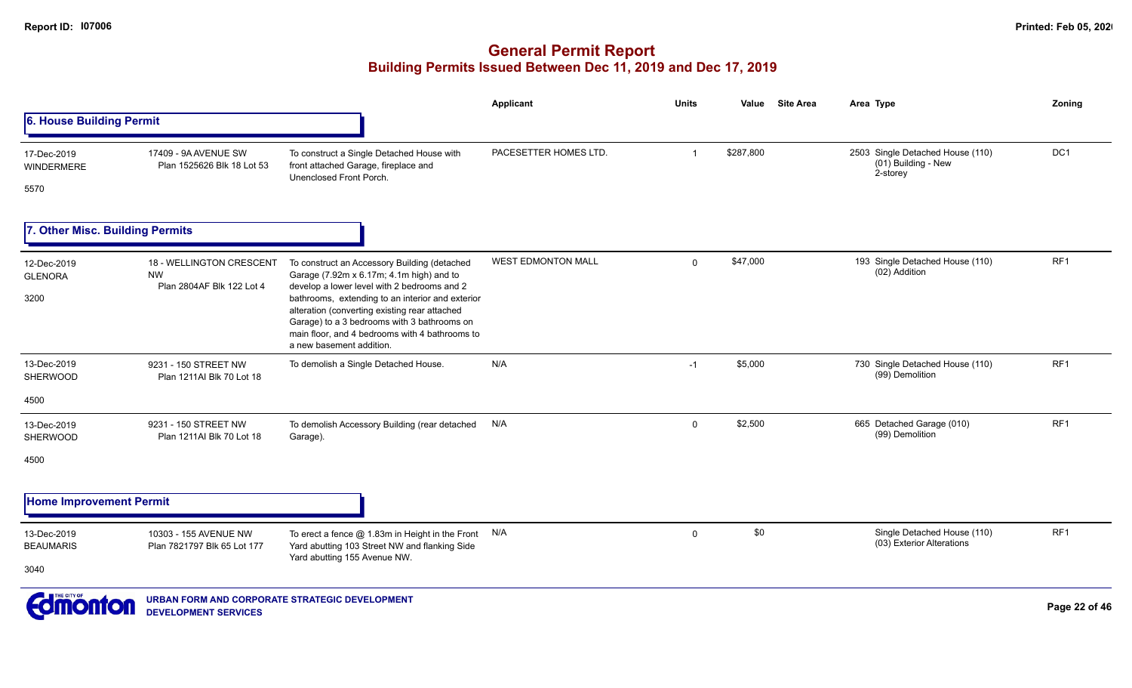**DEVELOPMENT SERVICES**

|                                          |                                                                    |                                                                                                                                                                                                                                                                                                                                                                           | <b>Applicant</b>          | <b>Units</b>   | Value     | <b>Site Area</b> | Area Type                                                             | Zoning        |
|------------------------------------------|--------------------------------------------------------------------|---------------------------------------------------------------------------------------------------------------------------------------------------------------------------------------------------------------------------------------------------------------------------------------------------------------------------------------------------------------------------|---------------------------|----------------|-----------|------------------|-----------------------------------------------------------------------|---------------|
| 6. House Building Permit                 |                                                                    |                                                                                                                                                                                                                                                                                                                                                                           |                           |                |           |                  |                                                                       |               |
| 17-Dec-2019<br><b>WINDERMERE</b><br>5570 | 17409 - 9A AVENUE SW<br>Plan 1525626 Blk 18 Lot 53                 | To construct a Single Detached House with<br>front attached Garage, fireplace and<br>Unenclosed Front Porch.                                                                                                                                                                                                                                                              | PACESETTER HOMES LTD.     | $\overline{1}$ | \$287,800 |                  | 2503 Single Detached House (110)<br>$(01)$ Building - New<br>2-storey | DC1           |
| 7. Other Misc. Building Permits          |                                                                    |                                                                                                                                                                                                                                                                                                                                                                           |                           |                |           |                  |                                                                       |               |
| 12-Dec-2019<br><b>GLENORA</b><br>3200    | 18 - WELLINGTON CRESCENT<br><b>NW</b><br>Plan 2804AF Blk 122 Lot 4 | To construct an Accessory Building (detached<br>Garage (7.92m x 6.17m; 4.1m high) and to<br>develop a lower level with 2 bedrooms and 2<br>bathrooms, extending to an interior and exterior<br>alteration (converting existing rear attached<br>Garage) to a 3 bedrooms with 3 bathrooms on<br>main floor, and 4 bedrooms with 4 bathrooms to<br>a new basement addition. | <b>WEST EDMONTON MALL</b> | $\mathsf{O}$   | \$47,000  |                  | 193 Single Detached House (110)<br>(02) Addition                      | RF1           |
| 13-Dec-2019<br><b>SHERWOOD</b>           | 9231 - 150 STREET NW<br>Plan 1211AI Blk 70 Lot 18                  | To demolish a Single Detached House.                                                                                                                                                                                                                                                                                                                                      | N/A                       | $-1$           | \$5,000   |                  | 730 Single Detached House (110)<br>(99) Demolition                    | RF1           |
| 4500                                     |                                                                    |                                                                                                                                                                                                                                                                                                                                                                           |                           |                |           |                  |                                                                       |               |
| 13-Dec-2019<br>SHERWOOD                  | 9231 - 150 STREET NW<br>Plan 1211AI Blk 70 Lot 18                  | To demolish Accessory Building (rear detached<br>Garage).                                                                                                                                                                                                                                                                                                                 | N/A                       | $\mathbf 0$    | \$2,500   |                  | 665 Detached Garage (010)<br>(99) Demolition                          | RF1           |
| 4500                                     |                                                                    |                                                                                                                                                                                                                                                                                                                                                                           |                           |                |           |                  |                                                                       |               |
| <b>Home Improvement Permit</b>           |                                                                    |                                                                                                                                                                                                                                                                                                                                                                           |                           |                |           |                  |                                                                       |               |
| 13-Dec-2019<br><b>BEAUMARIS</b><br>3040  | 10303 - 155 AVENUE NW<br>Plan 7821797 Blk 65 Lot 177               | To erect a fence $@$ 1.83m in Height in the Front $N/A$<br>Yard abutting 103 Street NW and flanking Side<br>Yard abutting 155 Avenue NW.                                                                                                                                                                                                                                  |                           | $\mathbf 0$    | \$0       |                  | Single Detached House (110)<br>(03) Exterior Alterations              | RF1           |
| <b><i><u>Edmonton</u></i></b>            | URBAN FORM AND CORPORATE STRATEGIC DEVELOPMENT                     |                                                                                                                                                                                                                                                                                                                                                                           |                           |                |           |                  |                                                                       | Page 22 of 46 |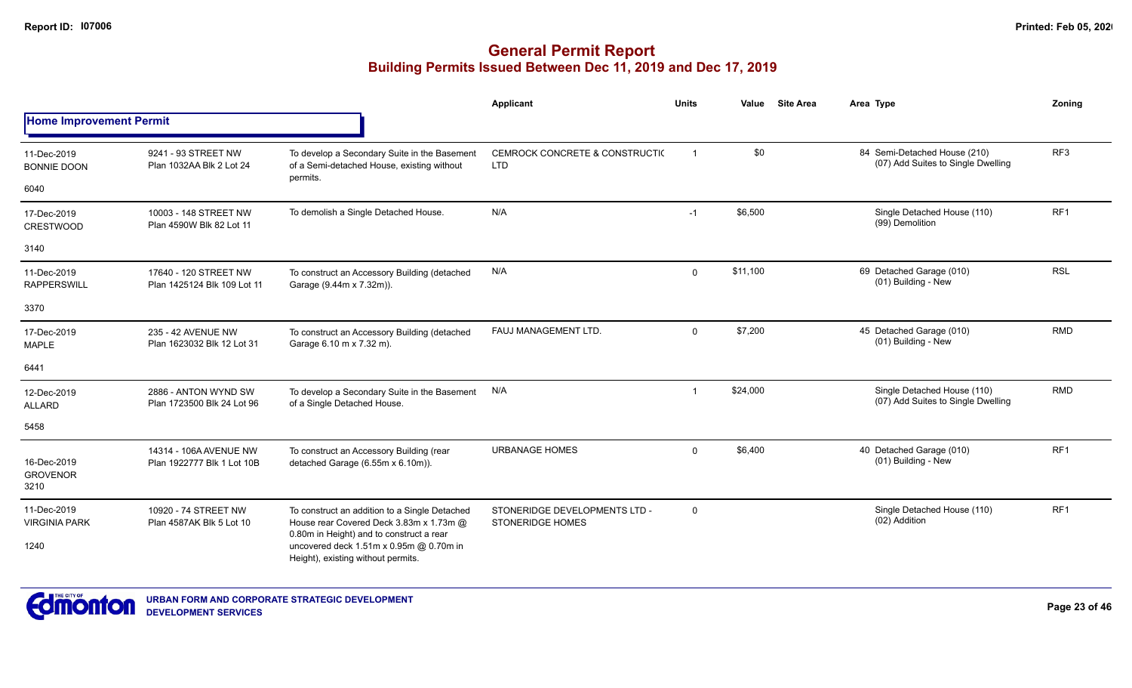|                                        |                                                      |                                                                                                                                      | Applicant                                                | <b>Units</b>            | Value    | <b>Site Area</b> | Area Type                                                          | Zonina          |
|----------------------------------------|------------------------------------------------------|--------------------------------------------------------------------------------------------------------------------------------------|----------------------------------------------------------|-------------------------|----------|------------------|--------------------------------------------------------------------|-----------------|
| <b>Home Improvement Permit</b>         |                                                      |                                                                                                                                      |                                                          |                         |          |                  |                                                                    |                 |
| 11-Dec-2019<br><b>BONNIE DOON</b>      | 9241 - 93 STREET NW<br>Plan 1032AA Blk 2 Lot 24      | To develop a Secondary Suite in the Basement<br>of a Semi-detached House, existing without                                           | CEMROCK CONCRETE & CONSTRUCTIO<br><b>LTD</b>             | $\overline{1}$          | \$0      |                  | 84 Semi-Detached House (210)<br>(07) Add Suites to Single Dwelling | RF <sub>3</sub> |
| 6040                                   |                                                      | permits.                                                                                                                             |                                                          |                         |          |                  |                                                                    |                 |
| 17-Dec-2019<br><b>CRESTWOOD</b>        | 10003 - 148 STREET NW<br>Plan 4590W Blk 82 Lot 11    | To demolish a Single Detached House.                                                                                                 | N/A                                                      | $-1$                    | \$6,500  |                  | Single Detached House (110)<br>(99) Demolition                     | RF <sub>1</sub> |
| 3140                                   |                                                      |                                                                                                                                      |                                                          |                         |          |                  |                                                                    |                 |
| 11-Dec-2019<br><b>RAPPERSWILL</b>      | 17640 - 120 STREET NW<br>Plan 1425124 Blk 109 Lot 11 | To construct an Accessory Building (detached<br>Garage (9.44m x 7.32m)).                                                             | N/A                                                      | $\mathbf 0$             | \$11,100 |                  | 69 Detached Garage (010)<br>(01) Building - New                    | <b>RSL</b>      |
| 3370                                   |                                                      |                                                                                                                                      |                                                          |                         |          |                  |                                                                    |                 |
| 17-Dec-2019<br><b>MAPLE</b>            | 235 - 42 AVENUE NW<br>Plan 1623032 Blk 12 Lot 31     | To construct an Accessory Building (detached<br>Garage 6.10 m x 7.32 m).                                                             | FAUJ MANAGEMENT LTD.                                     | $\Omega$                | \$7,200  |                  | 45 Detached Garage (010)<br>(01) Building - New                    | <b>RMD</b>      |
| 6441                                   |                                                      |                                                                                                                                      |                                                          |                         |          |                  |                                                                    |                 |
| 12-Dec-2019<br><b>ALLARD</b>           | 2886 - ANTON WYND SW<br>Plan 1723500 Blk 24 Lot 96   | To develop a Secondary Suite in the Basement<br>of a Single Detached House.                                                          | N/A                                                      | $\overline{\mathbf{1}}$ | \$24,000 |                  | Single Detached House (110)<br>(07) Add Suites to Single Dwelling  | <b>RMD</b>      |
| 5458                                   |                                                      |                                                                                                                                      |                                                          |                         |          |                  |                                                                    |                 |
| 16-Dec-2019<br><b>GROVENOR</b><br>3210 | 14314 - 106A AVENUE NW<br>Plan 1922777 Blk 1 Lot 10B | To construct an Accessory Building (rear<br>detached Garage (6.55m x 6.10m)).                                                        | <b>URBANAGE HOMES</b>                                    | $\mathbf 0$             | \$6,400  |                  | 40 Detached Garage (010)<br>(01) Building - New                    | RF <sub>1</sub> |
| 11-Dec-2019<br><b>VIRGINIA PARK</b>    | 10920 - 74 STREET NW<br>Plan 4587AK Blk 5 Lot 10     | To construct an addition to a Single Detached<br>House rear Covered Deck 3.83m x 1.73m @<br>0.80m in Height) and to construct a rear | STONERIDGE DEVELOPMENTS LTD -<br><b>STONERIDGE HOMES</b> | 0                       |          |                  | Single Detached House (110)<br>(02) Addition                       | RF1             |
| 1240                                   |                                                      | uncovered deck 1.51m x 0.95m @ 0.70m in<br>Height), existing without permits.                                                        |                                                          |                         |          |                  |                                                                    |                 |

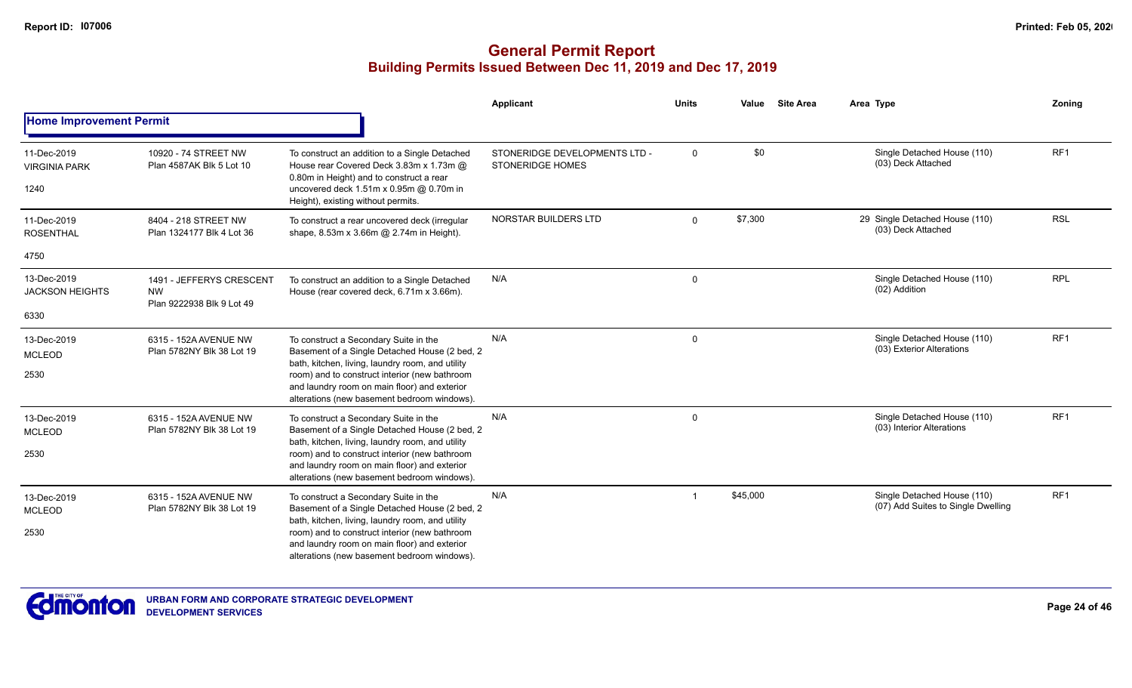|                                             |                                                                    |                                                                                                                                                                                                                                                                                            | Applicant                                                | <b>Units</b> | Value    | <b>Site Area</b> | Area Type                                                         | Zoning          |
|---------------------------------------------|--------------------------------------------------------------------|--------------------------------------------------------------------------------------------------------------------------------------------------------------------------------------------------------------------------------------------------------------------------------------------|----------------------------------------------------------|--------------|----------|------------------|-------------------------------------------------------------------|-----------------|
| <b>Home Improvement Permit</b>              |                                                                    |                                                                                                                                                                                                                                                                                            |                                                          |              |          |                  |                                                                   |                 |
| 11-Dec-2019<br><b>VIRGINIA PARK</b><br>1240 | 10920 - 74 STREET NW<br>Plan 4587AK Blk 5 Lot 10                   | To construct an addition to a Single Detached<br>House rear Covered Deck 3.83m x 1.73m @<br>0.80m in Height) and to construct a rear<br>uncovered deck 1.51m x 0.95m @ 0.70m in<br>Height), existing without permits.                                                                      | STONERIDGE DEVELOPMENTS LTD -<br><b>STONERIDGE HOMES</b> | 0            | \$0      |                  | Single Detached House (110)<br>(03) Deck Attached                 | RF <sub>1</sub> |
| 11-Dec-2019<br><b>ROSENTHAL</b>             | 8404 - 218 STREET NW<br>Plan 1324177 Blk 4 Lot 36                  | To construct a rear uncovered deck (irregular<br>shape, 8.53m x 3.66m @ 2.74m in Height).                                                                                                                                                                                                  | <b>NORSTAR BUILDERS LTD</b>                              | $\mathbf 0$  | \$7,300  |                  | 29 Single Detached House (110)<br>(03) Deck Attached              | <b>RSL</b>      |
| 4750                                        |                                                                    |                                                                                                                                                                                                                                                                                            |                                                          |              |          |                  |                                                                   |                 |
| 13-Dec-2019<br><b>JACKSON HEIGHTS</b>       | 1491 - JEFFERYS CRESCENT<br><b>NW</b><br>Plan 9222938 Blk 9 Lot 49 | To construct an addition to a Single Detached<br>House (rear covered deck, 6.71m x 3.66m).                                                                                                                                                                                                 | N/A                                                      | $\mathbf 0$  |          |                  | Single Detached House (110)<br>(02) Addition                      | <b>RPL</b>      |
| 6330                                        |                                                                    |                                                                                                                                                                                                                                                                                            |                                                          |              |          |                  |                                                                   |                 |
| 13-Dec-2019<br><b>MCLEOD</b><br>2530        | 6315 - 152A AVENUE NW<br>Plan 5782NY Blk 38 Lot 19                 | To construct a Secondary Suite in the<br>Basement of a Single Detached House (2 bed, 2<br>bath, kitchen, living, laundry room, and utility<br>room) and to construct interior (new bathroom<br>and laundry room on main floor) and exterior<br>alterations (new basement bedroom windows). | N/A                                                      | $\mathbf 0$  |          |                  | Single Detached House (110)<br>(03) Exterior Alterations          | RF1             |
| 13-Dec-2019<br><b>MCLEOD</b>                | 6315 - 152A AVENUE NW<br>Plan 5782NY Blk 38 Lot 19                 | To construct a Secondary Suite in the<br>Basement of a Single Detached House (2 bed, 2<br>bath, kitchen, living, laundry room, and utility                                                                                                                                                 | N/A                                                      | $\mathbf 0$  |          |                  | Single Detached House (110)<br>(03) Interior Alterations          | RF <sub>1</sub> |
| 2530                                        |                                                                    | room) and to construct interior (new bathroom<br>and laundry room on main floor) and exterior<br>alterations (new basement bedroom windows).                                                                                                                                               |                                                          |              |          |                  |                                                                   |                 |
| 13-Dec-2019<br><b>MCLEOD</b>                | 6315 - 152A AVENUE NW<br>Plan 5782NY Blk 38 Lot 19                 | To construct a Secondary Suite in the<br>Basement of a Single Detached House (2 bed, 2<br>bath, kitchen, living, laundry room, and utility                                                                                                                                                 | N/A                                                      | -1           | \$45,000 |                  | Single Detached House (110)<br>(07) Add Suites to Single Dwelling | RF1             |
| 2530                                        |                                                                    | room) and to construct interior (new bathroom<br>and laundry room on main floor) and exterior<br>alterations (new basement bedroom windows).                                                                                                                                               |                                                          |              |          |                  |                                                                   |                 |

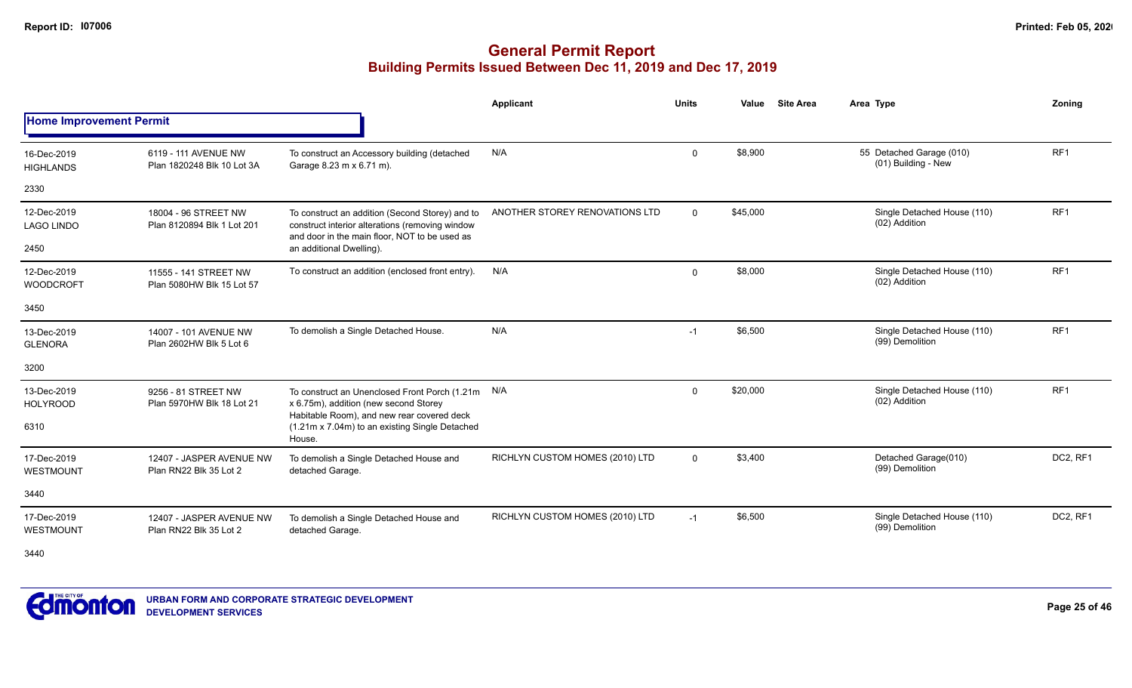### **General Permit Report Building Permits Issued Between Dec 11, 2019 and Dec 17, 2019**

|                                  |                                                    |                                                                                                                                                     | <b>Applicant</b>                | <b>Units</b> | Value    | <b>Site Area</b> | Area Type                                       | Zoning          |
|----------------------------------|----------------------------------------------------|-----------------------------------------------------------------------------------------------------------------------------------------------------|---------------------------------|--------------|----------|------------------|-------------------------------------------------|-----------------|
| <b>Home Improvement Permit</b>   |                                                    |                                                                                                                                                     |                                 |              |          |                  |                                                 |                 |
| 16-Dec-2019<br><b>HIGHLANDS</b>  | 6119 - 111 AVENUE NW<br>Plan 1820248 Blk 10 Lot 3A | To construct an Accessory building (detached<br>Garage 8.23 m x 6.71 m).                                                                            | N/A                             | $\mathbf{0}$ | \$8,900  |                  | 55 Detached Garage (010)<br>(01) Building - New | RF <sub>1</sub> |
| 2330                             |                                                    |                                                                                                                                                     |                                 |              |          |                  |                                                 |                 |
| 12-Dec-2019<br><b>LAGO LINDO</b> | 18004 - 96 STREET NW<br>Plan 8120894 Blk 1 Lot 201 | To construct an addition (Second Storey) and to<br>construct interior alterations (removing window<br>and door in the main floor, NOT to be used as | ANOTHER STOREY RENOVATIONS LTD  | $\Omega$     | \$45,000 |                  | Single Detached House (110)<br>(02) Addition    | RF <sub>1</sub> |
| 2450                             |                                                    | an additional Dwelling).                                                                                                                            |                                 |              |          |                  |                                                 |                 |
| 12-Dec-2019<br><b>WOODCROFT</b>  | 11555 - 141 STREET NW<br>Plan 5080HW Blk 15 Lot 57 | To construct an addition (enclosed front entry).                                                                                                    | N/A                             | $\Omega$     | \$8,000  |                  | Single Detached House (110)<br>(02) Addition    | RF1             |
| 3450                             |                                                    |                                                                                                                                                     |                                 |              |          |                  |                                                 |                 |
| 13-Dec-2019<br><b>GLENORA</b>    | 14007 - 101 AVENUE NW<br>Plan 2602HW Blk 5 Lot 6   | To demolish a Single Detached House.                                                                                                                | N/A                             | $-1$         | \$6,500  |                  | Single Detached House (110)<br>(99) Demolition  | RF <sub>1</sub> |
| 3200                             |                                                    |                                                                                                                                                     |                                 |              |          |                  |                                                 |                 |
| 13-Dec-2019<br><b>HOLYROOD</b>   | 9256 - 81 STREET NW<br>Plan 5970HW Blk 18 Lot 21   | To construct an Unenclosed Front Porch (1.21m N/A<br>x 6.75m), addition (new second Storey<br>Habitable Room), and new rear covered deck            |                                 | $\Omega$     | \$20,000 |                  | Single Detached House (110)<br>(02) Addition    | RF <sub>1</sub> |
| 6310                             |                                                    | (1.21m x 7.04m) to an existing Single Detached<br>House.                                                                                            |                                 |              |          |                  |                                                 |                 |
| 17-Dec-2019<br><b>WESTMOUNT</b>  | 12407 - JASPER AVENUE NW<br>Plan RN22 Blk 35 Lot 2 | To demolish a Single Detached House and<br>detached Garage.                                                                                         | RICHLYN CUSTOM HOMES (2010) LTD | $\mathbf 0$  | \$3,400  |                  | Detached Garage(010)<br>(99) Demolition         | DC2, RF1        |
| 3440                             |                                                    |                                                                                                                                                     |                                 |              |          |                  |                                                 |                 |
| 17-Dec-2019<br><b>WESTMOUNT</b>  | 12407 - JASPER AVENUE NW<br>Plan RN22 Blk 35 Lot 2 | To demolish a Single Detached House and<br>detached Garage.                                                                                         | RICHLYN CUSTOM HOMES (2010) LTD | $-1$         | \$6,500  |                  | Single Detached House (110)<br>(99) Demolition  | DC2, RF1        |
|                                  |                                                    |                                                                                                                                                     |                                 |              |          |                  |                                                 |                 |

3440

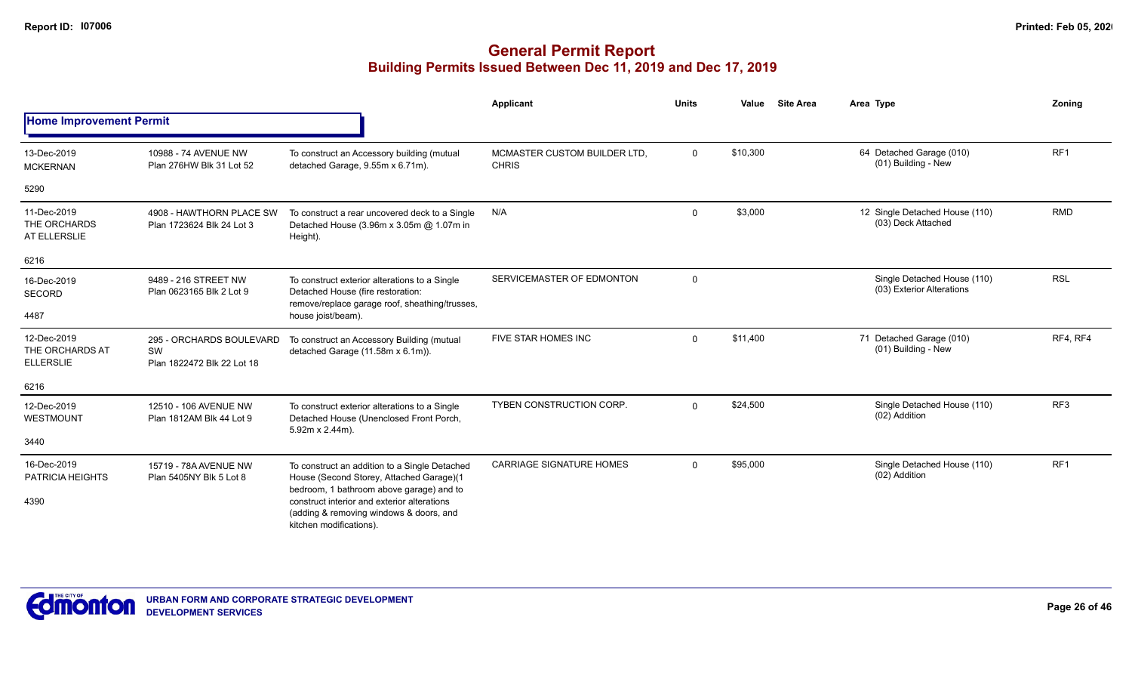|                                                    |                                                              |                                                                                                                                       | Applicant                                    | <b>Units</b> | Value    | <b>Site Area</b> | Area Type                                                | Zoning          |
|----------------------------------------------------|--------------------------------------------------------------|---------------------------------------------------------------------------------------------------------------------------------------|----------------------------------------------|--------------|----------|------------------|----------------------------------------------------------|-----------------|
| <b>Home Improvement Permit</b>                     |                                                              |                                                                                                                                       |                                              |              |          |                  |                                                          |                 |
| 13-Dec-2019<br><b>MCKERNAN</b>                     | 10988 - 74 AVENUE NW<br>Plan 276HW Blk 31 Lot 52             | To construct an Accessory building (mutual<br>detached Garage, 9.55m x 6.71m).                                                        | MCMASTER CUSTOM BUILDER LTD.<br><b>CHRIS</b> | $\mathbf 0$  | \$10,300 |                  | 64 Detached Garage (010)<br>(01) Building - New          | RF <sub>1</sub> |
| 5290                                               |                                                              |                                                                                                                                       |                                              |              |          |                  |                                                          |                 |
| 11-Dec-2019<br>THE ORCHARDS<br>AT ELLERSLIE        | 4908 - HAWTHORN PLACE SW<br>Plan 1723624 Blk 24 Lot 3        | To construct a rear uncovered deck to a Single<br>Detached House (3.96m x 3.05m @ 1.07m in<br>Height).                                | N/A                                          | $\Omega$     | \$3,000  |                  | 12 Single Detached House (110)<br>(03) Deck Attached     | <b>RMD</b>      |
| 6216                                               |                                                              |                                                                                                                                       |                                              |              |          |                  |                                                          |                 |
| 16-Dec-2019<br>SECORD                              | 9489 - 216 STREET NW<br>Plan 0623165 Blk 2 Lot 9             | To construct exterior alterations to a Single<br>Detached House (fire restoration:<br>remove/replace garage roof, sheathing/trusses,  | SERVICEMASTER OF EDMONTON                    | $\Omega$     |          |                  | Single Detached House (110)<br>(03) Exterior Alterations | <b>RSL</b>      |
| 4487                                               |                                                              | house joist/beam).                                                                                                                    |                                              |              |          |                  |                                                          |                 |
| 12-Dec-2019<br>THE ORCHARDS AT<br><b>ELLERSLIE</b> | 295 - ORCHARDS BOULEVARD<br>SW<br>Plan 1822472 Blk 22 Lot 18 | To construct an Accessory Building (mutual<br>detached Garage (11.58m x 6.1m)).                                                       | FIVE STAR HOMES INC                          | $\Omega$     | \$11,400 |                  | 71 Detached Garage (010)<br>(01) Building - New          | RF4, RF4        |
| 6216                                               |                                                              |                                                                                                                                       |                                              |              |          |                  |                                                          |                 |
| 12-Dec-2019<br>WESTMOUNT                           | 12510 - 106 AVENUE NW<br>Plan 1812AM Blk 44 Lot 9            | To construct exterior alterations to a Single<br>Detached House (Unenclosed Front Porch,<br>5.92m x 2.44m).                           | <b>TYBEN CONSTRUCTION CORP.</b>              | $\Omega$     | \$24,500 |                  | Single Detached House (110)<br>(02) Addition             | RF3             |
| 3440                                               |                                                              |                                                                                                                                       |                                              |              |          |                  |                                                          |                 |
| 16-Dec-2019<br>PATRICIA HEIGHTS                    | 15719 - 78A AVENUE NW<br>Plan 5405NY Blk 5 Lot 8             | To construct an addition to a Single Detached<br>House (Second Storey, Attached Garage)(1<br>bedroom, 1 bathroom above garage) and to | <b>CARRIAGE SIGNATURE HOMES</b>              | $\Omega$     | \$95,000 |                  | Single Detached House (110)<br>(02) Addition             | RF <sub>1</sub> |
| 4390                                               |                                                              | construct interior and exterior alterations<br>(adding & removing windows & doors, and<br>kitchen modifications).                     |                                              |              |          |                  |                                                          |                 |

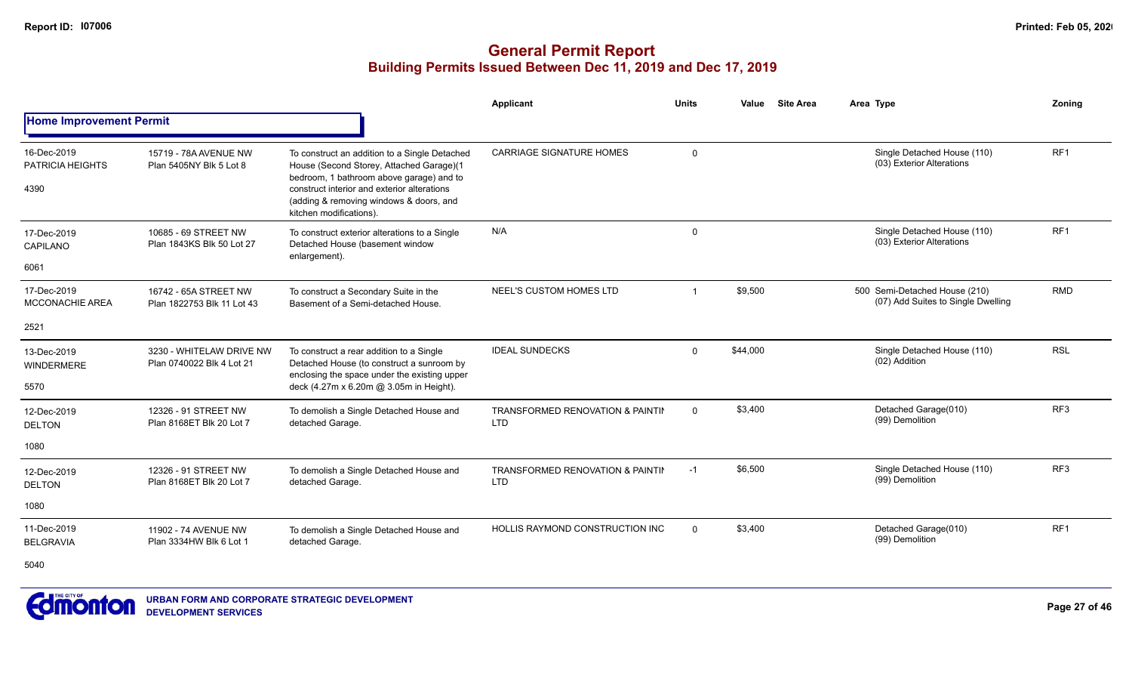#### **General Permit Report Building Permits Issued Between Dec 11, 2019 and Dec 17, 2019**

|                                                |                                                       |                                                                                                                                                                                                                                                            | Applicant                                      | <b>Units</b> | <b>Site Area</b><br>Value | Area Type                                                           | Zoning          |
|------------------------------------------------|-------------------------------------------------------|------------------------------------------------------------------------------------------------------------------------------------------------------------------------------------------------------------------------------------------------------------|------------------------------------------------|--------------|---------------------------|---------------------------------------------------------------------|-----------------|
| <b>Home Improvement Permit</b>                 |                                                       |                                                                                                                                                                                                                                                            |                                                |              |                           |                                                                     |                 |
| 16-Dec-2019<br><b>PATRICIA HEIGHTS</b><br>4390 | 15719 - 78A AVENUE NW<br>Plan 5405NY Blk 5 Lot 8      | To construct an addition to a Single Detached<br>House (Second Storey, Attached Garage)(1<br>bedroom, 1 bathroom above garage) and to<br>construct interior and exterior alterations<br>(adding & removing windows & doors, and<br>kitchen modifications). | <b>CARRIAGE SIGNATURE HOMES</b>                | $\Omega$     |                           | Single Detached House (110)<br>(03) Exterior Alterations            | RF <sub>1</sub> |
| 17-Dec-2019<br>CAPILANO<br>6061                | 10685 - 69 STREET NW<br>Plan 1843KS Blk 50 Lot 27     | To construct exterior alterations to a Single<br>Detached House (basement window<br>enlargement).                                                                                                                                                          | N/A                                            | $\mathbf 0$  |                           | Single Detached House (110)<br>(03) Exterior Alterations            | RF <sub>1</sub> |
| 17-Dec-2019<br><b>MCCONACHIE AREA</b>          | 16742 - 65A STREET NW<br>Plan 1822753 Blk 11 Lot 43   | To construct a Secondary Suite in the<br>Basement of a Semi-detached House.                                                                                                                                                                                | NEEL'S CUSTOM HOMES LTD                        |              | \$9,500                   | 500 Semi-Detached House (210)<br>(07) Add Suites to Single Dwelling | <b>RMD</b>      |
| 2521                                           |                                                       |                                                                                                                                                                                                                                                            |                                                |              |                           |                                                                     |                 |
| 13-Dec-2019<br><b>WINDERMERE</b>               | 3230 - WHITELAW DRIVE NW<br>Plan 0740022 Blk 4 Lot 21 | To construct a rear addition to a Single<br>Detached House (to construct a sunroom by<br>enclosing the space under the existing upper                                                                                                                      | <b>IDEAL SUNDECKS</b>                          | $\Omega$     | \$44.000                  | Single Detached House (110)<br>(02) Addition                        | <b>RSL</b>      |
| 5570                                           |                                                       | deck (4.27m x 6.20m @ 3.05m in Height).                                                                                                                                                                                                                    |                                                |              |                           |                                                                     |                 |
| 12-Dec-2019<br><b>DELTON</b>                   | 12326 - 91 STREET NW<br>Plan 8168ET Blk 20 Lot 7      | To demolish a Single Detached House and<br>detached Garage.                                                                                                                                                                                                | TRANSFORMED RENOVATION & PAINTIL<br><b>LTD</b> | $\mathbf{0}$ | \$3,400                   | Detached Garage(010)<br>(99) Demolition                             | RF <sub>3</sub> |
| 1080                                           |                                                       |                                                                                                                                                                                                                                                            |                                                |              |                           |                                                                     |                 |
| 12-Dec-2019<br><b>DELTON</b>                   | 12326 - 91 STREET NW<br>Plan 8168ET Blk 20 Lot 7      | To demolish a Single Detached House and<br>detached Garage.                                                                                                                                                                                                | TRANSFORMED RENOVATION & PAINTII<br><b>LTD</b> | $-1$         | \$6,500                   | Single Detached House (110)<br>(99) Demolition                      | RF3             |
| 1080                                           |                                                       |                                                                                                                                                                                                                                                            |                                                |              |                           |                                                                     |                 |
| 11-Dec-2019<br><b>BELGRAVIA</b>                | 11902 - 74 AVENUE NW<br>Plan 3334HW Blk 6 Lot 1       | To demolish a Single Detached House and<br>detached Garage.                                                                                                                                                                                                | <b>HOLLIS RAYMOND CONSTRUCTION INC.</b>        | $\Omega$     | \$3,400                   | Detached Garage(010)<br>(99) Demolition                             | RF <sub>1</sub> |
|                                                |                                                       |                                                                                                                                                                                                                                                            |                                                |              |                           |                                                                     |                 |

5040

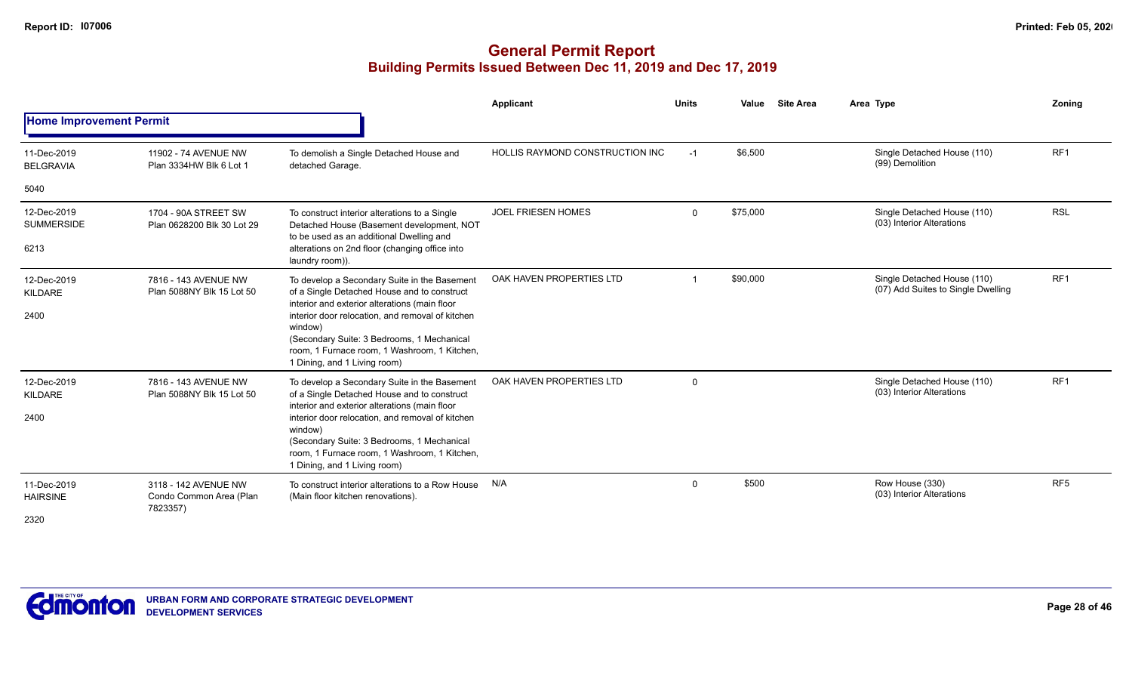|                                          |                                                             |                                                                                                                                                                                                                                                                                                                                           | <b>Applicant</b>                | <b>Units</b> | Value    | <b>Site Area</b> | Area Type       |                                                                   | Zoning          |
|------------------------------------------|-------------------------------------------------------------|-------------------------------------------------------------------------------------------------------------------------------------------------------------------------------------------------------------------------------------------------------------------------------------------------------------------------------------------|---------------------------------|--------------|----------|------------------|-----------------|-------------------------------------------------------------------|-----------------|
| <b>Home Improvement Permit</b>           |                                                             |                                                                                                                                                                                                                                                                                                                                           |                                 |              |          |                  |                 |                                                                   |                 |
| 11-Dec-2019<br><b>BELGRAVIA</b>          | 11902 - 74 AVENUE NW<br>Plan 3334HW Blk 6 Lot 1             | To demolish a Single Detached House and<br>detached Garage.                                                                                                                                                                                                                                                                               | HOLLIS RAYMOND CONSTRUCTION INC | $-1$         | \$6,500  |                  | (99) Demolition | Single Detached House (110)                                       | RF1             |
| 5040                                     |                                                             |                                                                                                                                                                                                                                                                                                                                           |                                 |              |          |                  |                 |                                                                   |                 |
| 12-Dec-2019<br><b>SUMMERSIDE</b><br>6213 | 1704 - 90A STREET SW<br>Plan 0628200 Blk 30 Lot 29          | To construct interior alterations to a Single<br>Detached House (Basement development, NOT<br>to be used as an additional Dwelling and<br>alterations on 2nd floor (changing office into<br>laundry room)).                                                                                                                               | <b>JOEL FRIESEN HOMES</b>       | $\mathbf{0}$ | \$75,000 |                  |                 | Single Detached House (110)<br>(03) Interior Alterations          | <b>RSL</b>      |
| 12-Dec-2019<br>KILDARE<br>2400           | 7816 - 143 AVENUE NW<br>Plan 5088NY Blk 15 Lot 50           | To develop a Secondary Suite in the Basement<br>of a Single Detached House and to construct<br>interior and exterior alterations (main floor<br>interior door relocation, and removal of kitchen<br>window)<br>(Secondary Suite: 3 Bedrooms, 1 Mechanical<br>room, 1 Furnace room, 1 Washroom, 1 Kitchen,<br>1 Dining, and 1 Living room) | OAK HAVEN PROPERTIES LTD        |              | \$90,000 |                  |                 | Single Detached House (110)<br>(07) Add Suites to Single Dwelling | RF <sub>1</sub> |
| 12-Dec-2019<br>KILDARE<br>2400           | 7816 - 143 AVENUE NW<br>Plan 5088NY Blk 15 Lot 50           | To develop a Secondary Suite in the Basement<br>of a Single Detached House and to construct<br>interior and exterior alterations (main floor<br>interior door relocation, and removal of kitchen<br>window)<br>(Secondary Suite: 3 Bedrooms, 1 Mechanical<br>room, 1 Furnace room, 1 Washroom, 1 Kitchen,<br>1 Dining, and 1 Living room) | OAK HAVEN PROPERTIES LTD        | 0            |          |                  |                 | Single Detached House (110)<br>(03) Interior Alterations          | RF <sub>1</sub> |
| 11-Dec-2019<br><b>HAIRSINE</b><br>2320   | 3118 - 142 AVENUE NW<br>Condo Common Area (Plan<br>7823357) | To construct interior alterations to a Row House<br>(Main floor kitchen renovations).                                                                                                                                                                                                                                                     | N/A                             | $\Omega$     | \$500    |                  | Row House (330) | (03) Interior Alterations                                         | RF <sub>5</sub> |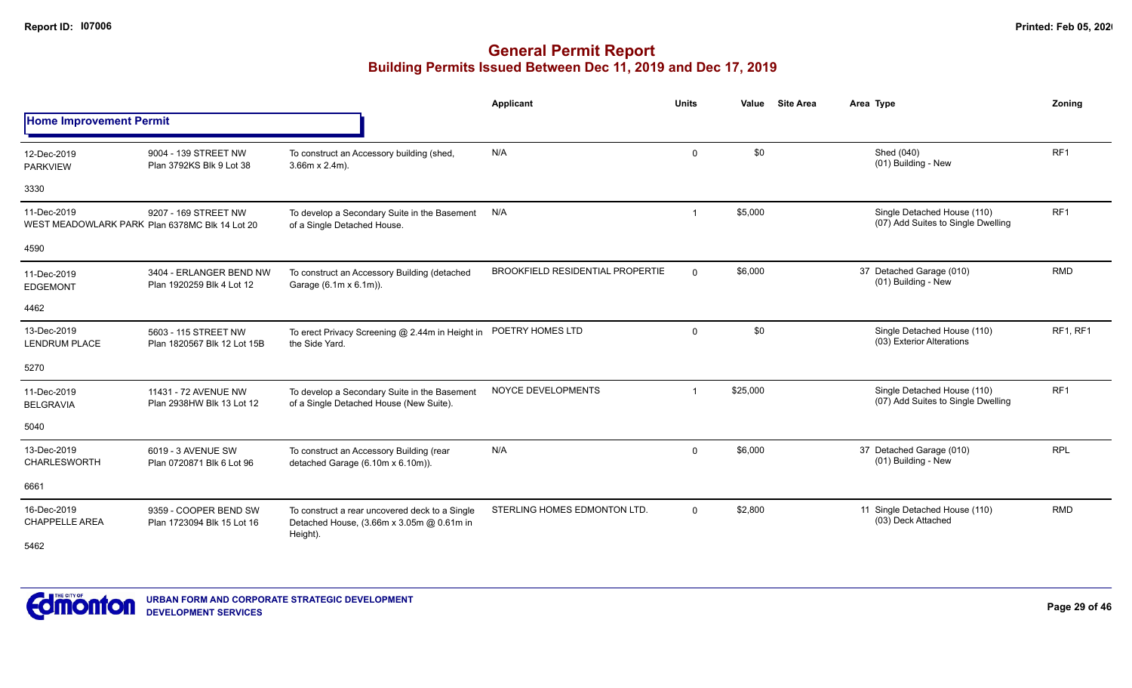|                                      |                                                                                                                                                                                                                                                                                                                                                                                                                                                                                                                                                                                                                                                                                                                                                                                                                                                                                                                                                                                                                                                                                                                                                                                                                                                                                                                                                                                                                                                                                                                                                                                                                                                                                                                                                                                                    |  | Applicant | <b>Units</b> | <b>Site Area</b><br>Value | Area Type | Zoning   |
|--------------------------------------|----------------------------------------------------------------------------------------------------------------------------------------------------------------------------------------------------------------------------------------------------------------------------------------------------------------------------------------------------------------------------------------------------------------------------------------------------------------------------------------------------------------------------------------------------------------------------------------------------------------------------------------------------------------------------------------------------------------------------------------------------------------------------------------------------------------------------------------------------------------------------------------------------------------------------------------------------------------------------------------------------------------------------------------------------------------------------------------------------------------------------------------------------------------------------------------------------------------------------------------------------------------------------------------------------------------------------------------------------------------------------------------------------------------------------------------------------------------------------------------------------------------------------------------------------------------------------------------------------------------------------------------------------------------------------------------------------------------------------------------------------------------------------------------------------|--|-----------|--------------|---------------------------|-----------|----------|
| <b>Home Improvement Permit</b>       | RF <sub>1</sub><br>\$0<br>N/A<br>Shed (040)<br>$\mathbf 0$<br>9004 - 139 STREET NW<br>To construct an Accessory building (shed,<br>(01) Building - New<br>Plan 3792KS Blk 9 Lot 38<br>$3.66m \times 2.4m$ ).<br>RF <sub>1</sub><br>\$5,000<br>Single Detached House (110)<br>N/A<br>9207 - 169 STREET NW<br>To develop a Secondary Suite in the Basement<br>(07) Add Suites to Single Dwelling<br>WEST MEADOWLARK PARK Plan 6378MC Blk 14 Lot 20<br>of a Single Detached House.<br><b>RMD</b><br><b>BROOKFIELD RESIDENTIAL PROPERTIE</b><br>\$6,000<br>37 Detached Garage (010)<br>$\Omega$<br>3404 - ERLANGER BEND NW<br>To construct an Accessory Building (detached<br>(01) Building - New<br>Plan 1920259 Blk 4 Lot 12<br>Garage (6.1m x 6.1m)).<br>\$0<br>POETRY HOMES LTD<br>Single Detached House (110)<br>$\mathbf 0$<br>5603 - 115 STREET NW<br>To erect Privacy Screening @ 2.44m in Height in<br>(03) Exterior Alterations<br>the Side Yard.<br>Plan 1820567 Blk 12 Lot 15B<br>RF <sub>1</sub><br>NOYCE DEVELOPMENTS<br>\$25,000<br>Single Detached House (110)<br>11431 - 72 AVENUE NW<br>To develop a Secondary Suite in the Basement<br>(07) Add Suites to Single Dwelling<br>of a Single Detached House (New Suite).<br>Plan 2938HW Blk 13 Lot 12<br><b>RPL</b><br>N/A<br>\$6,000<br>37 Detached Garage (010)<br>$\Omega$<br>6019 - 3 AVENUE SW<br>To construct an Accessory Building (rear<br>(01) Building - New<br>detached Garage (6.10m x 6.10m)).<br>Plan 0720871 Blk 6 Lot 96<br>STERLING HOMES EDMONTON LTD.<br>\$2,800<br>11 Single Detached House (110)<br><b>RMD</b><br>$\Omega$<br>9359 - COOPER BEND SW<br>To construct a rear uncovered deck to a Single<br>(03) Deck Attached<br>Detached House, (3.66m x 3.05m @ 0.61m in<br>Plan 1723094 Blk 15 Lot 16<br>Height). |  |           |              |                           |           |          |
| 12-Dec-2019<br><b>PARKVIEW</b>       |                                                                                                                                                                                                                                                                                                                                                                                                                                                                                                                                                                                                                                                                                                                                                                                                                                                                                                                                                                                                                                                                                                                                                                                                                                                                                                                                                                                                                                                                                                                                                                                                                                                                                                                                                                                                    |  |           |              |                           |           |          |
| 3330                                 |                                                                                                                                                                                                                                                                                                                                                                                                                                                                                                                                                                                                                                                                                                                                                                                                                                                                                                                                                                                                                                                                                                                                                                                                                                                                                                                                                                                                                                                                                                                                                                                                                                                                                                                                                                                                    |  |           |              |                           |           |          |
| 11-Dec-2019                          |                                                                                                                                                                                                                                                                                                                                                                                                                                                                                                                                                                                                                                                                                                                                                                                                                                                                                                                                                                                                                                                                                                                                                                                                                                                                                                                                                                                                                                                                                                                                                                                                                                                                                                                                                                                                    |  |           |              |                           |           |          |
| 4590                                 |                                                                                                                                                                                                                                                                                                                                                                                                                                                                                                                                                                                                                                                                                                                                                                                                                                                                                                                                                                                                                                                                                                                                                                                                                                                                                                                                                                                                                                                                                                                                                                                                                                                                                                                                                                                                    |  |           |              |                           |           |          |
| 11-Dec-2019<br>EDGEMONT              |                                                                                                                                                                                                                                                                                                                                                                                                                                                                                                                                                                                                                                                                                                                                                                                                                                                                                                                                                                                                                                                                                                                                                                                                                                                                                                                                                                                                                                                                                                                                                                                                                                                                                                                                                                                                    |  |           |              |                           |           |          |
| 4462                                 |                                                                                                                                                                                                                                                                                                                                                                                                                                                                                                                                                                                                                                                                                                                                                                                                                                                                                                                                                                                                                                                                                                                                                                                                                                                                                                                                                                                                                                                                                                                                                                                                                                                                                                                                                                                                    |  |           |              |                           |           |          |
| 13-Dec-2019<br>LENDRUM PLACE         |                                                                                                                                                                                                                                                                                                                                                                                                                                                                                                                                                                                                                                                                                                                                                                                                                                                                                                                                                                                                                                                                                                                                                                                                                                                                                                                                                                                                                                                                                                                                                                                                                                                                                                                                                                                                    |  |           |              |                           |           | RF1, RF1 |
| 5270                                 |                                                                                                                                                                                                                                                                                                                                                                                                                                                                                                                                                                                                                                                                                                                                                                                                                                                                                                                                                                                                                                                                                                                                                                                                                                                                                                                                                                                                                                                                                                                                                                                                                                                                                                                                                                                                    |  |           |              |                           |           |          |
| 11-Dec-2019<br><b>BELGRAVIA</b>      |                                                                                                                                                                                                                                                                                                                                                                                                                                                                                                                                                                                                                                                                                                                                                                                                                                                                                                                                                                                                                                                                                                                                                                                                                                                                                                                                                                                                                                                                                                                                                                                                                                                                                                                                                                                                    |  |           |              |                           |           |          |
| 5040                                 |                                                                                                                                                                                                                                                                                                                                                                                                                                                                                                                                                                                                                                                                                                                                                                                                                                                                                                                                                                                                                                                                                                                                                                                                                                                                                                                                                                                                                                                                                                                                                                                                                                                                                                                                                                                                    |  |           |              |                           |           |          |
| 13-Dec-2019<br><b>CHARLESWORTH</b>   |                                                                                                                                                                                                                                                                                                                                                                                                                                                                                                                                                                                                                                                                                                                                                                                                                                                                                                                                                                                                                                                                                                                                                                                                                                                                                                                                                                                                                                                                                                                                                                                                                                                                                                                                                                                                    |  |           |              |                           |           |          |
| 6661                                 |                                                                                                                                                                                                                                                                                                                                                                                                                                                                                                                                                                                                                                                                                                                                                                                                                                                                                                                                                                                                                                                                                                                                                                                                                                                                                                                                                                                                                                                                                                                                                                                                                                                                                                                                                                                                    |  |           |              |                           |           |          |
| 16-Dec-2019<br><b>CHAPPELLE AREA</b> |                                                                                                                                                                                                                                                                                                                                                                                                                                                                                                                                                                                                                                                                                                                                                                                                                                                                                                                                                                                                                                                                                                                                                                                                                                                                                                                                                                                                                                                                                                                                                                                                                                                                                                                                                                                                    |  |           |              |                           |           |          |
| 5462                                 |                                                                                                                                                                                                                                                                                                                                                                                                                                                                                                                                                                                                                                                                                                                                                                                                                                                                                                                                                                                                                                                                                                                                                                                                                                                                                                                                                                                                                                                                                                                                                                                                                                                                                                                                                                                                    |  |           |              |                           |           |          |

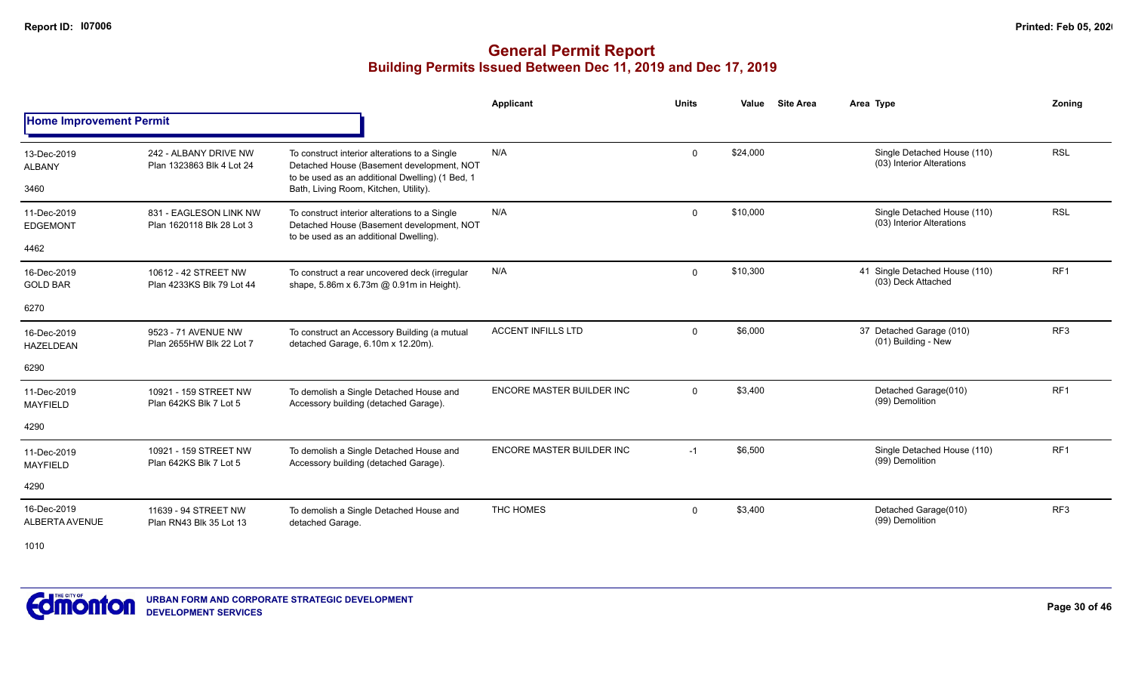### **General Permit Report Building Permits Issued Between Dec 11, 2019 and Dec 17, 2019**

|                                 |                                                     |                                                                                                                                               | Applicant                        | <b>Units</b> | Value    | <b>Site Area</b> | Area Type                                                | Zoning          |
|---------------------------------|-----------------------------------------------------|-----------------------------------------------------------------------------------------------------------------------------------------------|----------------------------------|--------------|----------|------------------|----------------------------------------------------------|-----------------|
| <b>Home Improvement Permit</b>  |                                                     |                                                                                                                                               |                                  |              |          |                  |                                                          |                 |
| 13-Dec-2019<br><b>ALBANY</b>    | 242 - ALBANY DRIVE NW<br>Plan 1323863 Blk 4 Lot 24  | To construct interior alterations to a Single<br>Detached House (Basement development, NOT<br>to be used as an additional Dwelling) (1 Bed, 1 | N/A                              | $\Omega$     | \$24,000 |                  | Single Detached House (110)<br>(03) Interior Alterations | <b>RSL</b>      |
| 3460                            |                                                     | Bath, Living Room, Kitchen, Utility).                                                                                                         |                                  |              |          |                  |                                                          |                 |
| 11-Dec-2019<br><b>EDGEMONT</b>  | 831 - EAGLESON LINK NW<br>Plan 1620118 Blk 28 Lot 3 | To construct interior alterations to a Single<br>Detached House (Basement development, NOT<br>to be used as an additional Dwelling).          | N/A                              | $\Omega$     | \$10,000 |                  | Single Detached House (110)<br>(03) Interior Alterations | <b>RSL</b>      |
| 4462                            |                                                     |                                                                                                                                               |                                  |              |          |                  |                                                          |                 |
| 16-Dec-2019<br><b>GOLD BAR</b>  | 10612 - 42 STREET NW<br>Plan 4233KS Blk 79 Lot 44   | To construct a rear uncovered deck (irregular<br>shape, 5.86m x 6.73m @ 0.91m in Height).                                                     | N/A                              | $\mathbf 0$  | \$10,300 |                  | 41 Single Detached House (110)<br>(03) Deck Attached     | RF <sub>1</sub> |
| 6270                            |                                                     |                                                                                                                                               |                                  |              |          |                  |                                                          |                 |
| 16-Dec-2019<br><b>HAZELDEAN</b> | 9523 - 71 AVENUE NW<br>Plan 2655HW Blk 22 Lot 7     | To construct an Accessory Building (a mutual<br>detached Garage, 6.10m x 12.20m).                                                             | <b>ACCENT INFILLS LTD</b>        | $\mathbf 0$  | \$6,000  |                  | 37 Detached Garage (010)<br>(01) Building - New          | RF <sub>3</sub> |
| 6290                            |                                                     |                                                                                                                                               |                                  |              |          |                  |                                                          |                 |
| 11-Dec-2019<br><b>MAYFIELD</b>  | 10921 - 159 STREET NW<br>Plan 642KS Blk 7 Lot 5     | To demolish a Single Detached House and<br>Accessory building (detached Garage).                                                              | <b>ENCORE MASTER BUILDER INC</b> | $\Omega$     | \$3,400  |                  | Detached Garage(010)<br>(99) Demolition                  | RF <sub>1</sub> |
| 4290                            |                                                     |                                                                                                                                               |                                  |              |          |                  |                                                          |                 |
| 11-Dec-2019<br><b>MAYFIELD</b>  | 10921 - 159 STREET NW<br>Plan 642KS Blk 7 Lot 5     | To demolish a Single Detached House and<br>Accessory building (detached Garage).                                                              | <b>ENCORE MASTER BUILDER INC</b> | $-1$         | \$6,500  |                  | Single Detached House (110)<br>(99) Demolition           | RF <sub>1</sub> |
| 4290                            |                                                     |                                                                                                                                               |                                  |              |          |                  |                                                          |                 |
| 16-Dec-2019<br>ALBERTA AVENUE   | 11639 - 94 STREET NW<br>Plan RN43 Blk 35 Lot 13     | To demolish a Single Detached House and<br>detached Garage.                                                                                   | THC HOMES                        | $\mathbf 0$  | \$3,400  |                  | Detached Garage(010)<br>(99) Demolition                  | RF3             |

1010

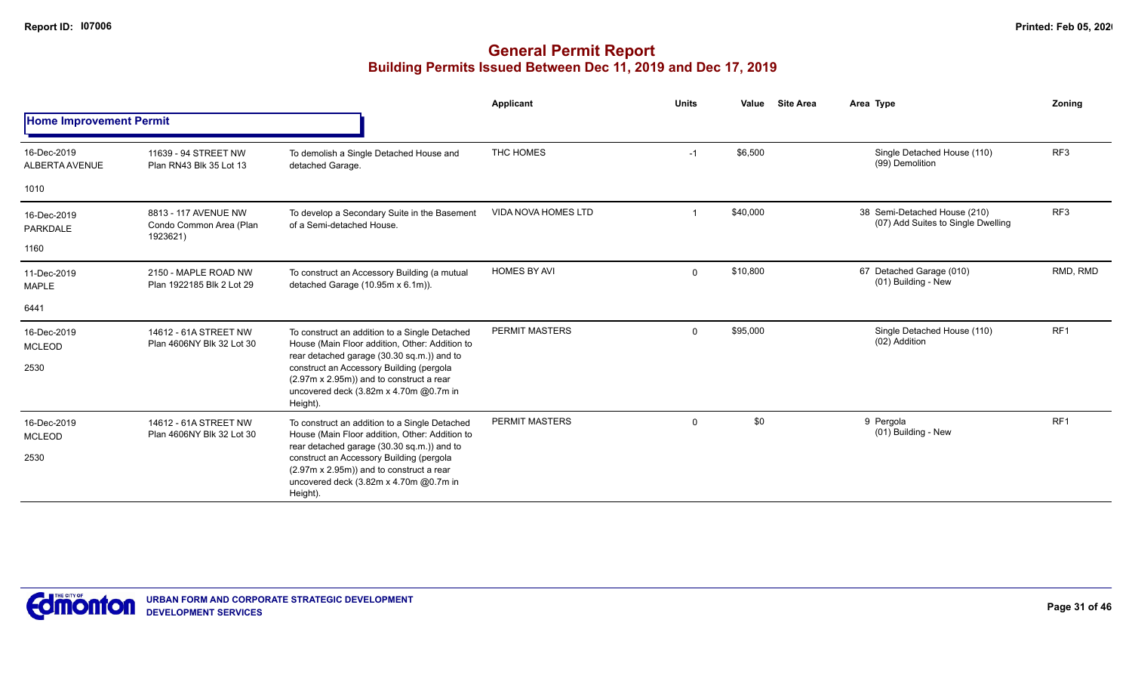|                                      |                                                             |                                                                                                                                                                                                                                                                                             | Applicant                  | <b>Units</b> | Value    | <b>Site Area</b> | Area Type                                                          | Zonina          |
|--------------------------------------|-------------------------------------------------------------|---------------------------------------------------------------------------------------------------------------------------------------------------------------------------------------------------------------------------------------------------------------------------------------------|----------------------------|--------------|----------|------------------|--------------------------------------------------------------------|-----------------|
| <b>Home Improvement Permit</b>       |                                                             |                                                                                                                                                                                                                                                                                             |                            |              |          |                  |                                                                    |                 |
| 16-Dec-2019<br>ALBERTA AVENUE        | 11639 - 94 STREET NW<br>Plan RN43 Blk 35 Lot 13             | To demolish a Single Detached House and<br>detached Garage.                                                                                                                                                                                                                                 | THC HOMES                  | $-1$         | \$6,500  |                  | Single Detached House (110)<br>(99) Demolition                     | RF <sub>3</sub> |
| 1010                                 |                                                             |                                                                                                                                                                                                                                                                                             |                            |              |          |                  |                                                                    |                 |
| 16-Dec-2019<br>PARKDALE<br>1160      | 8813 - 117 AVENUE NW<br>Condo Common Area (Plan<br>1923621) | To develop a Secondary Suite in the Basement<br>of a Semi-detached House.                                                                                                                                                                                                                   | <b>VIDA NOVA HOMES LTD</b> |              | \$40,000 |                  | 38 Semi-Detached House (210)<br>(07) Add Suites to Single Dwelling | RF <sub>3</sub> |
| 11-Dec-2019<br><b>MAPLE</b>          | 2150 - MAPLE ROAD NW<br>Plan 1922185 Blk 2 Lot 29           | To construct an Accessory Building (a mutual<br>detached Garage (10.95m x 6.1m)).                                                                                                                                                                                                           | <b>HOMES BY AVI</b>        | $\mathbf 0$  | \$10,800 |                  | 67 Detached Garage (010)<br>(01) Building - New                    | RMD, RMD        |
| 6441                                 |                                                             |                                                                                                                                                                                                                                                                                             |                            |              |          |                  |                                                                    |                 |
| 16-Dec-2019<br><b>MCLEOD</b><br>2530 | 14612 - 61A STREET NW<br>Plan 4606NY Blk 32 Lot 30          | To construct an addition to a Single Detached<br>House (Main Floor addition, Other: Addition to<br>rear detached garage (30.30 sq.m.)) and to<br>construct an Accessory Building (pergola<br>(2.97m x 2.95m)) and to construct a rear<br>uncovered deck (3.82m x 4.70m @0.7m in<br>Height). | <b>PERMIT MASTERS</b>      | $\mathbf 0$  | \$95,000 |                  | Single Detached House (110)<br>(02) Addition                       | RF <sub>1</sub> |
| 16-Dec-2019<br><b>MCLEOD</b><br>2530 | 14612 - 61A STREET NW<br>Plan 4606NY Blk 32 Lot 30          | To construct an addition to a Single Detached<br>House (Main Floor addition, Other: Addition to<br>rear detached garage (30.30 sq.m.)) and to<br>construct an Accessory Building (pergola<br>(2.97m x 2.95m)) and to construct a rear<br>uncovered deck (3.82m x 4.70m @0.7m in<br>Height). | PERMIT MASTERS             | 0            | \$0      |                  | 9 Pergola<br>(01) Building - New                                   | RF <sub>1</sub> |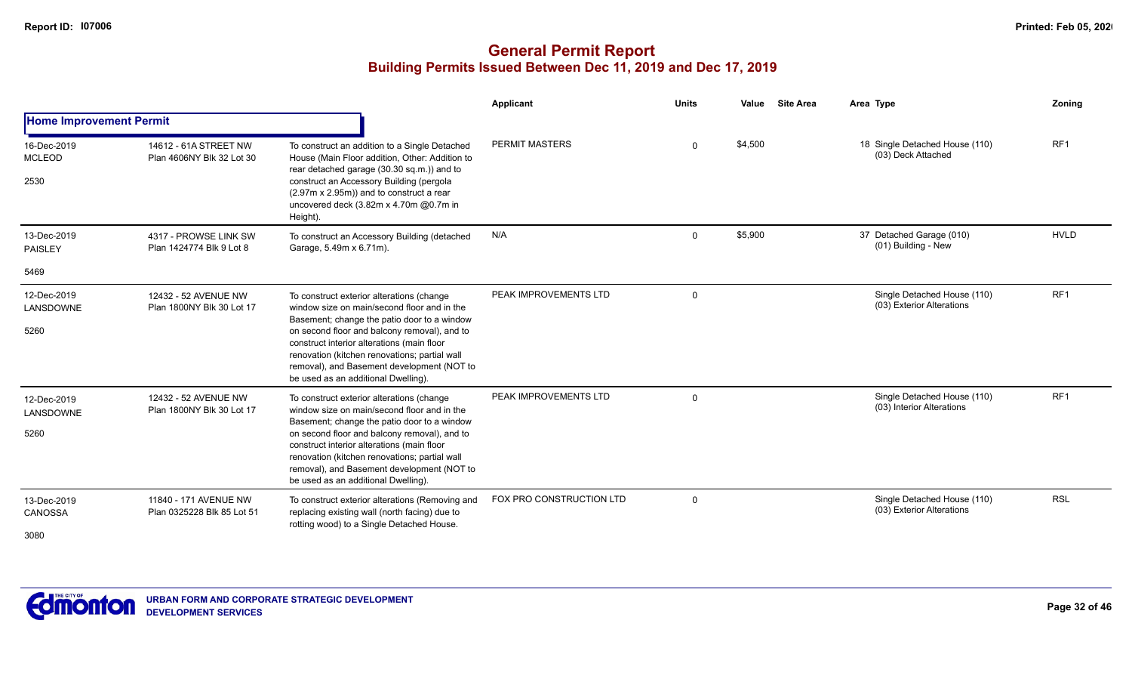|                                      |                                                     |                                                                                                                                                                                                                                                                                                                                                                             | Applicant                | <b>Units</b> | Value   | <b>Site Area</b> | Area Type                                                | <b>Zoning</b>   |
|--------------------------------------|-----------------------------------------------------|-----------------------------------------------------------------------------------------------------------------------------------------------------------------------------------------------------------------------------------------------------------------------------------------------------------------------------------------------------------------------------|--------------------------|--------------|---------|------------------|----------------------------------------------------------|-----------------|
| <b>Home Improvement Permit</b>       |                                                     |                                                                                                                                                                                                                                                                                                                                                                             |                          |              |         |                  |                                                          |                 |
| 16-Dec-2019<br><b>MCLEOD</b><br>2530 | 14612 - 61A STREET NW<br>Plan 4606NY Blk 32 Lot 30  | To construct an addition to a Single Detached<br>House (Main Floor addition, Other: Addition to<br>rear detached garage (30.30 sq.m.)) and to<br>construct an Accessory Building (pergola<br>(2.97m x 2.95m)) and to construct a rear<br>uncovered deck (3.82m x 4.70m @0.7m in<br>Height).                                                                                 | <b>PERMIT MASTERS</b>    | $\Omega$     | \$4,500 |                  | 18 Single Detached House (110)<br>(03) Deck Attached     | RF <sub>1</sub> |
| 13-Dec-2019<br><b>PAISLEY</b>        | 4317 - PROWSE LINK SW<br>Plan 1424774 Blk 9 Lot 8   | To construct an Accessory Building (detached<br>Garage, 5.49m x 6.71m).                                                                                                                                                                                                                                                                                                     | N/A                      | $\Omega$     | \$5,900 |                  | 37 Detached Garage (010)<br>(01) Building - New          | <b>HVLD</b>     |
| 5469                                 |                                                     |                                                                                                                                                                                                                                                                                                                                                                             |                          |              |         |                  |                                                          |                 |
| 12-Dec-2019<br>LANSDOWNE<br>5260     | 12432 - 52 AVENUE NW<br>Plan 1800NY Blk 30 Lot 17   | To construct exterior alterations (change<br>window size on main/second floor and in the<br>Basement; change the patio door to a window<br>on second floor and balcony removal), and to<br>construct interior alterations (main floor<br>renovation (kitchen renovations; partial wall<br>removal), and Basement development (NOT to<br>be used as an additional Dwelling). | PEAK IMPROVEMENTS LTD    | $\Omega$     |         |                  | Single Detached House (110)<br>(03) Exterior Alterations | RF1             |
| 12-Dec-2019<br>LANSDOWNE<br>5260     | 12432 - 52 AVENUE NW<br>Plan 1800NY Blk 30 Lot 17   | To construct exterior alterations (change<br>window size on main/second floor and in the<br>Basement; change the patio door to a window<br>on second floor and balcony removal), and to<br>construct interior alterations (main floor<br>renovation (kitchen renovations; partial wall<br>removal), and Basement development (NOT to<br>be used as an additional Dwelling). | PEAK IMPROVEMENTS LTD    | $\mathbf 0$  |         |                  | Single Detached House (110)<br>(03) Interior Alterations | RF <sub>1</sub> |
| 13-Dec-2019<br>CANOSSA<br>3080       | 11840 - 171 AVENUE NW<br>Plan 0325228 Blk 85 Lot 51 | To construct exterior alterations (Removing and<br>replacing existing wall (north facing) due to<br>rotting wood) to a Single Detached House.                                                                                                                                                                                                                               | FOX PRO CONSTRUCTION LTD | $\mathbf 0$  |         |                  | Single Detached House (110)<br>(03) Exterior Alterations | <b>RSL</b>      |

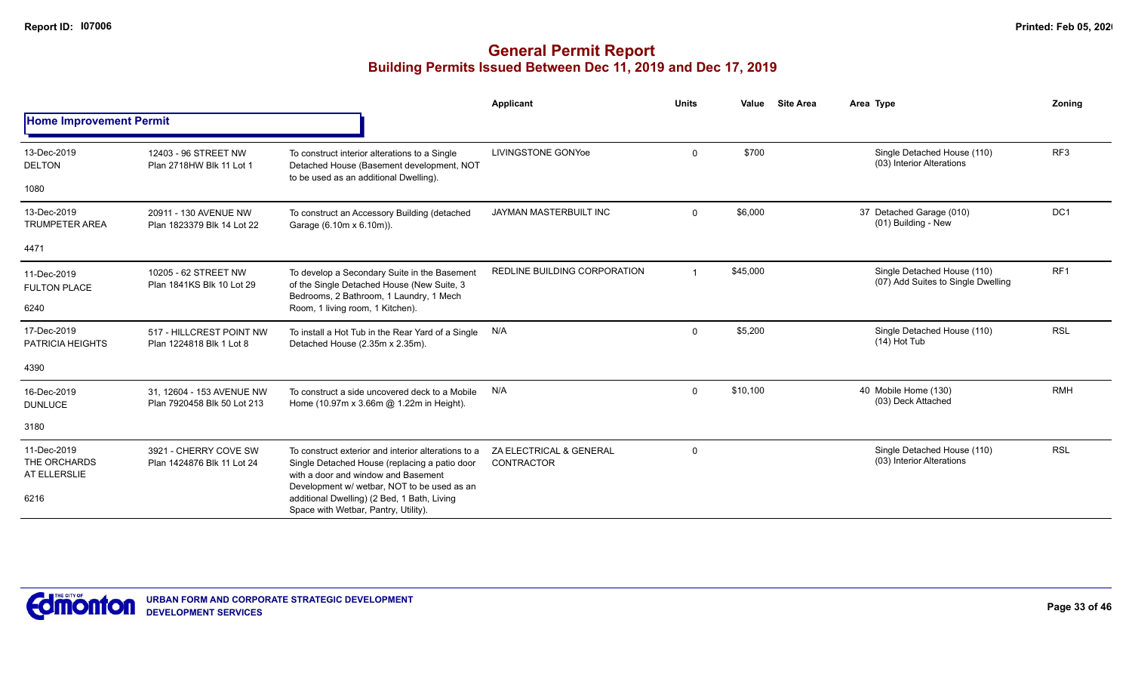|                                                     |                                                          |                                                                                                                                                                                                                                           | Applicant                                    | <b>Units</b> | Value    | <b>Site Area</b> | Area Type                                                         | Zoning          |
|-----------------------------------------------------|----------------------------------------------------------|-------------------------------------------------------------------------------------------------------------------------------------------------------------------------------------------------------------------------------------------|----------------------------------------------|--------------|----------|------------------|-------------------------------------------------------------------|-----------------|
| <b>Home Improvement Permit</b>                      |                                                          |                                                                                                                                                                                                                                           |                                              |              |          |                  |                                                                   |                 |
| 13-Dec-2019<br><b>DELTON</b>                        | 12403 - 96 STREET NW<br>Plan 2718HW Blk 11 Lot 1         | To construct interior alterations to a Single<br>Detached House (Basement development, NOT<br>to be used as an additional Dwelling).                                                                                                      | <b>LIVINGSTONE GONYoe</b>                    | $\mathbf 0$  | \$700    |                  | Single Detached House (110)<br>(03) Interior Alterations          | RF <sub>3</sub> |
| 1080                                                |                                                          |                                                                                                                                                                                                                                           |                                              |              |          |                  |                                                                   |                 |
| 13-Dec-2019<br><b>TRUMPETER AREA</b>                | 20911 - 130 AVENUE NW<br>Plan 1823379 Blk 14 Lot 22      | To construct an Accessory Building (detached<br>Garage (6.10m x 6.10m)).                                                                                                                                                                  | JAYMAN MASTERBUILT INC                       | $\mathbf 0$  | \$6,000  |                  | 37 Detached Garage (010)<br>(01) Building - New                   | DC <sub>1</sub> |
| 4471                                                |                                                          |                                                                                                                                                                                                                                           |                                              |              |          |                  |                                                                   |                 |
| 11-Dec-2019<br><b>FULTON PLACE</b>                  | 10205 - 62 STREET NW<br>Plan 1841KS Blk 10 Lot 29        | To develop a Secondary Suite in the Basement<br>of the Single Detached House (New Suite, 3<br>Bedrooms, 2 Bathroom, 1 Laundry, 1 Mech                                                                                                     | REDLINE BUILDING CORPORATION                 |              | \$45,000 |                  | Single Detached House (110)<br>(07) Add Suites to Single Dwelling | RF <sub>1</sub> |
| 6240                                                |                                                          | Room, 1 living room, 1 Kitchen).                                                                                                                                                                                                          |                                              |              |          |                  |                                                                   |                 |
| 17-Dec-2019<br><b>PATRICIA HEIGHTS</b>              | 517 - HILLCREST POINT NW<br>Plan 1224818 Blk 1 Lot 8     | To install a Hot Tub in the Rear Yard of a Single<br>Detached House (2.35m x 2.35m).                                                                                                                                                      | N/A                                          | $\mathbf 0$  | \$5,200  |                  | Single Detached House (110)<br>$(14)$ Hot Tub                     | <b>RSL</b>      |
| 4390                                                |                                                          |                                                                                                                                                                                                                                           |                                              |              |          |                  |                                                                   |                 |
| 16-Dec-2019<br><b>DUNLUCE</b>                       | 31, 12604 - 153 AVENUE NW<br>Plan 7920458 Blk 50 Lot 213 | To construct a side uncovered deck to a Mobile<br>Home (10.97m x 3.66m @ 1.22m in Height).                                                                                                                                                | N/A                                          | $\mathbf 0$  | \$10,100 |                  | 40 Mobile Home (130)<br>(03) Deck Attached                        | <b>RMH</b>      |
| 3180                                                |                                                          |                                                                                                                                                                                                                                           |                                              |              |          |                  |                                                                   |                 |
| 11-Dec-2019<br>THE ORCHARDS<br>AT ELLERSLIE<br>6216 | 3921 - CHERRY COVE SW<br>Plan 1424876 Blk 11 Lot 24      | To construct exterior and interior alterations to a<br>Single Detached House (replacing a patio door<br>with a door and window and Basement<br>Development w/ wetbar, NOT to be used as an<br>additional Dwelling) (2 Bed, 1 Bath, Living | ZA ELECTRICAL & GENERAL<br><b>CONTRACTOR</b> | $\mathbf 0$  |          |                  | Single Detached House (110)<br>(03) Interior Alterations          | <b>RSL</b>      |
|                                                     |                                                          | Space with Wetbar, Pantry, Utility).                                                                                                                                                                                                      |                                              |              |          |                  |                                                                   |                 |

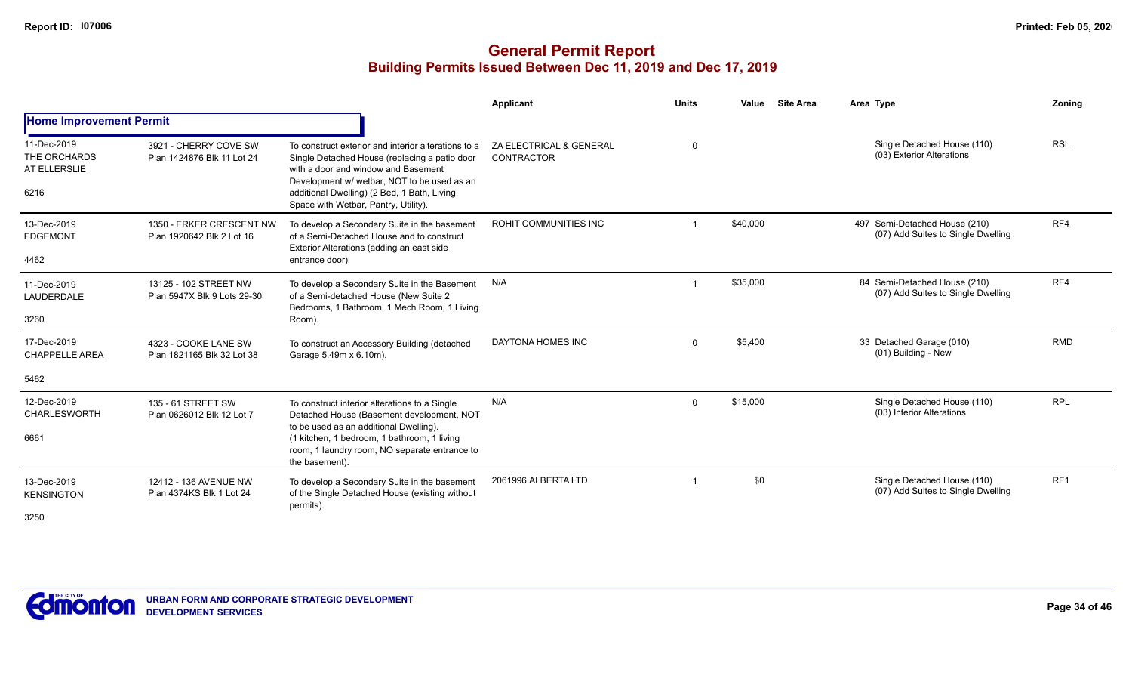|                                                     |                                                       |                                                                                                                                                                                                                                                                                   | Applicant                             | <b>Units</b> | Value    | <b>Site Area</b> | Area Type                                                           | Zonina     |
|-----------------------------------------------------|-------------------------------------------------------|-----------------------------------------------------------------------------------------------------------------------------------------------------------------------------------------------------------------------------------------------------------------------------------|---------------------------------------|--------------|----------|------------------|---------------------------------------------------------------------|------------|
| <b>Home Improvement Permit</b>                      |                                                       |                                                                                                                                                                                                                                                                                   |                                       |              |          |                  |                                                                     |            |
| 11-Dec-2019<br>THE ORCHARDS<br>AT ELLERSLIE<br>6216 | 3921 - CHERRY COVE SW<br>Plan 1424876 Blk 11 Lot 24   | To construct exterior and interior alterations to a<br>Single Detached House (replacing a patio door<br>with a door and window and Basement<br>Development w/ wetbar. NOT to be used as an<br>additional Dwelling) (2 Bed, 1 Bath, Living<br>Space with Wetbar, Pantry, Utility). | ZA ELECTRICAL & GENERAL<br>CONTRACTOR | $\Omega$     |          |                  | Single Detached House (110)<br>(03) Exterior Alterations            | <b>RSL</b> |
| 13-Dec-2019<br><b>EDGEMONT</b><br>4462              | 1350 - ERKER CRESCENT NW<br>Plan 1920642 Blk 2 Lot 16 | To develop a Secondary Suite in the basement<br>of a Semi-Detached House and to construct<br>Exterior Alterations (adding an east side<br>entrance door).                                                                                                                         | ROHIT COMMUNITIES INC                 |              | \$40,000 |                  | 497 Semi-Detached House (210)<br>(07) Add Suites to Single Dwelling | RF4        |
| 11-Dec-2019<br>LAUDERDALE<br>3260                   | 13125 - 102 STREET NW<br>Plan 5947X Blk 9 Lots 29-30  | To develop a Secondary Suite in the Basement<br>of a Semi-detached House (New Suite 2<br>Bedrooms, 1 Bathroom, 1 Mech Room, 1 Living<br>Room).                                                                                                                                    | N/A                                   |              | \$35,000 |                  | 84 Semi-Detached House (210)<br>(07) Add Suites to Single Dwelling  | RF4        |
| 17-Dec-2019<br><b>CHAPPELLE AREA</b>                | 4323 - COOKE LANE SW<br>Plan 1821165 Blk 32 Lot 38    | To construct an Accessory Building (detached<br>Garage 5.49m x 6.10m).                                                                                                                                                                                                            | DAYTONA HOMES INC                     | $\Omega$     | \$5.400  |                  | 33 Detached Garage (010)<br>(01) Building - New                     | <b>RMD</b> |
| 5462                                                |                                                       |                                                                                                                                                                                                                                                                                   |                                       |              |          |                  |                                                                     |            |
| 12-Dec-2019<br><b>CHARLESWORTH</b><br>6661          | 135 - 61 STREET SW<br>Plan 0626012 Blk 12 Lot 7       | To construct interior alterations to a Single<br>Detached House (Basement development, NOT<br>to be used as an additional Dwelling).<br>(1 kitchen, 1 bedroom, 1 bathroom, 1 living<br>room, 1 laundry room, NO separate entrance to<br>the basement).                            | N/A                                   | $\Omega$     | \$15,000 |                  | Single Detached House (110)<br>(03) Interior Alterations            | <b>RPL</b> |
| 13-Dec-2019<br><b>KENSINGTON</b><br>3250            | 12412 - 136 AVENUE NW<br>Plan 4374KS Blk 1 Lot 24     | To develop a Secondary Suite in the basement<br>of the Single Detached House (existing without<br>permits).                                                                                                                                                                       | 2061996 ALBERTA LTD                   |              | \$0      |                  | Single Detached House (110)<br>(07) Add Suites to Single Dwelling   | RF1        |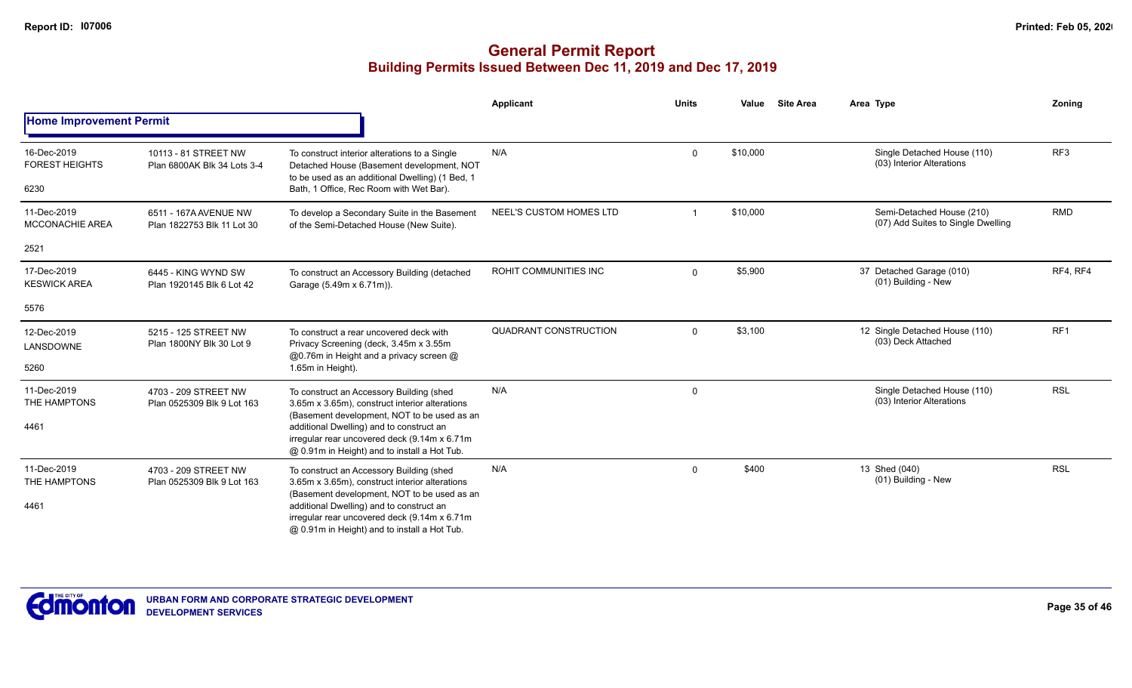|                                              |                                                     |                                                                                                                                                                                          | Applicant                    | <b>Units</b> | Value    | <b>Site Area</b> | Area Type                                                       | Zoning          |
|----------------------------------------------|-----------------------------------------------------|------------------------------------------------------------------------------------------------------------------------------------------------------------------------------------------|------------------------------|--------------|----------|------------------|-----------------------------------------------------------------|-----------------|
| <b>Home Improvement Permit</b>               |                                                     |                                                                                                                                                                                          |                              |              |          |                  |                                                                 |                 |
| 16-Dec-2019<br><b>FOREST HEIGHTS</b><br>6230 | 10113 - 81 STREET NW<br>Plan 6800AK Blk 34 Lots 3-4 | To construct interior alterations to a Single<br>Detached House (Basement development, NOT<br>to be used as an additional Dwelling) (1 Bed, 1<br>Bath, 1 Office, Rec Room with Wet Bar). | N/A                          | $\mathbf 0$  | \$10,000 |                  | Single Detached House (110)<br>(03) Interior Alterations        | RF <sub>3</sub> |
| 11-Dec-2019<br><b>MCCONACHIE AREA</b>        | 6511 - 167A AVENUE NW<br>Plan 1822753 Blk 11 Lot 30 | To develop a Secondary Suite in the Basement<br>of the Semi-Detached House (New Suite).                                                                                                  | NEEL'S CUSTOM HOMES LTD      |              | \$10,000 |                  | Semi-Detached House (210)<br>(07) Add Suites to Single Dwelling | <b>RMD</b>      |
| 2521                                         |                                                     |                                                                                                                                                                                          |                              |              |          |                  |                                                                 |                 |
| 17-Dec-2019<br><b>KESWICK AREA</b>           | 6445 - KING WYND SW<br>Plan 1920145 Blk 6 Lot 42    | To construct an Accessory Building (detached<br>Garage (5.49m x 6.71m)).                                                                                                                 | <b>ROHIT COMMUNITIES INC</b> | $\mathbf 0$  | \$5,900  |                  | 37 Detached Garage (010)<br>(01) Building - New                 | RF4, RF4        |
| 5576                                         |                                                     |                                                                                                                                                                                          |                              |              |          |                  |                                                                 |                 |
| 12-Dec-2019<br>LANSDOWNE                     | 5215 - 125 STREET NW<br>Plan 1800NY Blk 30 Lot 9    | To construct a rear uncovered deck with<br>Privacy Screening (deck, 3.45m x 3.55m<br>@0.76m in Height and a privacy screen @                                                             | QUADRANT CONSTRUCTION        | $\mathbf 0$  | \$3,100  |                  | 12 Single Detached House (110)<br>(03) Deck Attached            | RF <sub>1</sub> |
| 5260                                         |                                                     | 1.65m in Height).                                                                                                                                                                        |                              |              |          |                  |                                                                 |                 |
| 11-Dec-2019<br>THE HAMPTONS                  | 4703 - 209 STREET NW<br>Plan 0525309 Blk 9 Lot 163  | To construct an Accessory Building (shed<br>3.65m x 3.65m), construct interior alterations                                                                                               | N/A                          | $\mathbf 0$  |          |                  | Single Detached House (110)<br>(03) Interior Alterations        | <b>RSL</b>      |
| 4461                                         |                                                     | (Basement development, NOT to be used as an<br>additional Dwelling) and to construct an<br>irregular rear uncovered deck (9.14m x 6.71m<br>@ 0.91m in Height) and to install a Hot Tub.  |                              |              |          |                  |                                                                 |                 |
| 11-Dec-2019<br>THE HAMPTONS                  | 4703 - 209 STREET NW<br>Plan 0525309 Blk 9 Lot 163  | To construct an Accessory Building (shed<br>3.65m x 3.65m), construct interior alterations<br>(Basement development, NOT to be used as an                                                | N/A                          | $\mathbf 0$  | \$400    |                  | 13 Shed (040)<br>(01) Building - New                            | <b>RSL</b>      |
| 4461                                         |                                                     | additional Dwelling) and to construct an<br>irregular rear uncovered deck (9.14m x 6.71m<br>@ 0.91m in Height) and to install a Hot Tub.                                                 |                              |              |          |                  |                                                                 |                 |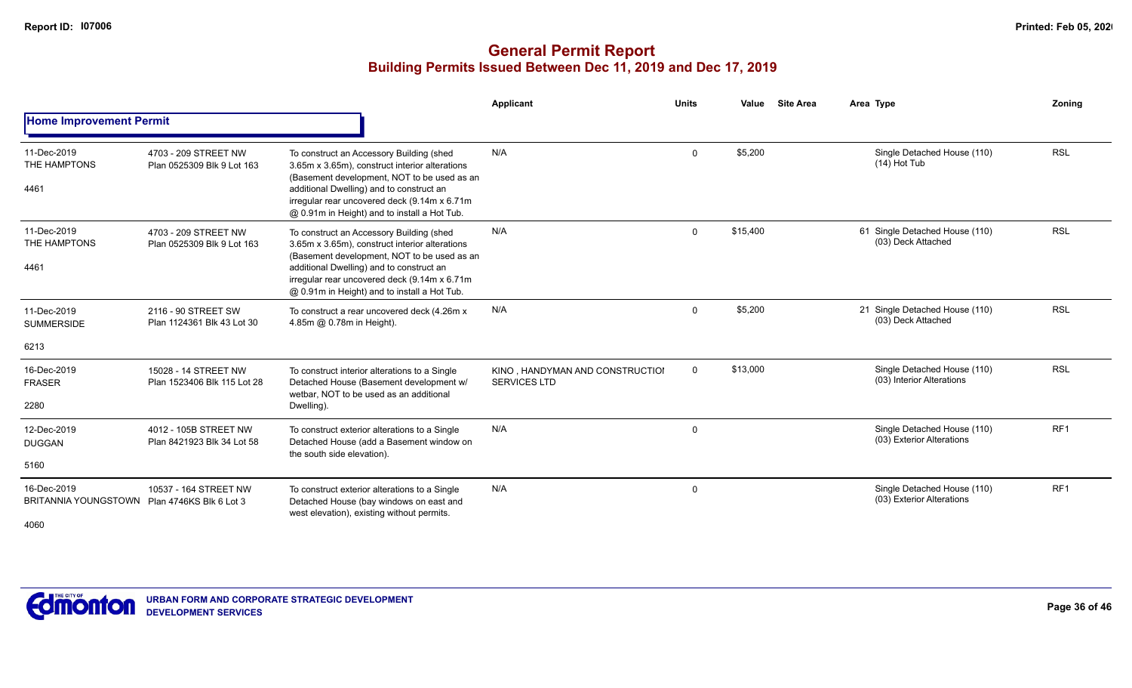# **General Permit Report Building Permits Issued Between Dec 11, 2019 and Dec 17, 2019**

|                                            |                                                     |                                                                                                                                                                                                                                                                                       | Applicant                                              | <b>Units</b> | Value    | <b>Site Area</b> | Area Type                                                | Zonina          |
|--------------------------------------------|-----------------------------------------------------|---------------------------------------------------------------------------------------------------------------------------------------------------------------------------------------------------------------------------------------------------------------------------------------|--------------------------------------------------------|--------------|----------|------------------|----------------------------------------------------------|-----------------|
| <b>Home Improvement Permit</b>             |                                                     |                                                                                                                                                                                                                                                                                       |                                                        |              |          |                  |                                                          |                 |
| 11-Dec-2019<br>THE HAMPTONS<br>4461        | 4703 - 209 STREET NW<br>Plan 0525309 Blk 9 Lot 163  | To construct an Accessory Building (shed<br>3.65m x 3.65m), construct interior alterations<br>(Basement development, NOT to be used as an<br>additional Dwelling) and to construct an<br>irregular rear uncovered deck (9.14m x 6.71m<br>@ 0.91m in Height) and to install a Hot Tub. | N/A                                                    | $\mathbf 0$  | \$5,200  |                  | Single Detached House (110)<br>$(14)$ Hot Tub            | <b>RSL</b>      |
| 11-Dec-2019<br>THE HAMPTONS<br>4461        | 4703 - 209 STREET NW<br>Plan 0525309 Blk 9 Lot 163  | To construct an Accessory Building (shed<br>3.65m x 3.65m), construct interior alterations<br>(Basement development, NOT to be used as an<br>additional Dwelling) and to construct an<br>irregular rear uncovered deck (9.14m x 6.71m<br>@ 0.91m in Height) and to install a Hot Tub. | N/A                                                    | $\mathbf 0$  | \$15,400 |                  | 61 Single Detached House (110)<br>(03) Deck Attached     | <b>RSL</b>      |
| 11-Dec-2019<br><b>SUMMERSIDE</b>           | 2116 - 90 STREET SW<br>Plan 1124361 Blk 43 Lot 30   | To construct a rear uncovered deck (4.26m x<br>4.85m @ 0.78m in Height).                                                                                                                                                                                                              | N/A                                                    | $\mathbf 0$  | \$5,200  |                  | 21 Single Detached House (110)<br>(03) Deck Attached     | <b>RSL</b>      |
| 6213                                       |                                                     |                                                                                                                                                                                                                                                                                       |                                                        |              |          |                  |                                                          |                 |
| 16-Dec-2019<br><b>FRASER</b>               | 15028 - 14 STREET NW<br>Plan 1523406 Blk 115 Lot 28 | To construct interior alterations to a Single<br>Detached House (Basement development w/<br>wetbar, NOT to be used as an additional                                                                                                                                                   | KINO, HANDYMAN AND CONSTRUCTIOI<br><b>SERVICES LTD</b> | $\mathbf 0$  | \$13,000 |                  | Single Detached House (110)<br>(03) Interior Alterations | <b>RSL</b>      |
| 2280                                       |                                                     | Dwelling).                                                                                                                                                                                                                                                                            |                                                        |              |          |                  |                                                          |                 |
| 12-Dec-2019<br><b>DUGGAN</b>               | 4012 - 105B STREET NW<br>Plan 8421923 Blk 34 Lot 58 | To construct exterior alterations to a Single<br>Detached House (add a Basement window on                                                                                                                                                                                             | N/A                                                    | 0            |          |                  | Single Detached House (110)<br>(03) Exterior Alterations | RF <sub>1</sub> |
| 5160                                       | the south side elevation).                          |                                                                                                                                                                                                                                                                                       |                                                        |              |          |                  |                                                          |                 |
| 16-Dec-2019<br><b>BRITANNIA YOUNGSTOWN</b> | 10537 - 164 STREET NW<br>Plan 4746KS Blk 6 Lot 3    | To construct exterior alterations to a Single<br>Detached House (bay windows on east and<br>west elevation), existing without permits.                                                                                                                                                | N/A                                                    | 0            |          |                  | Single Detached House (110)<br>(03) Exterior Alterations | RF <sub>1</sub> |

4060

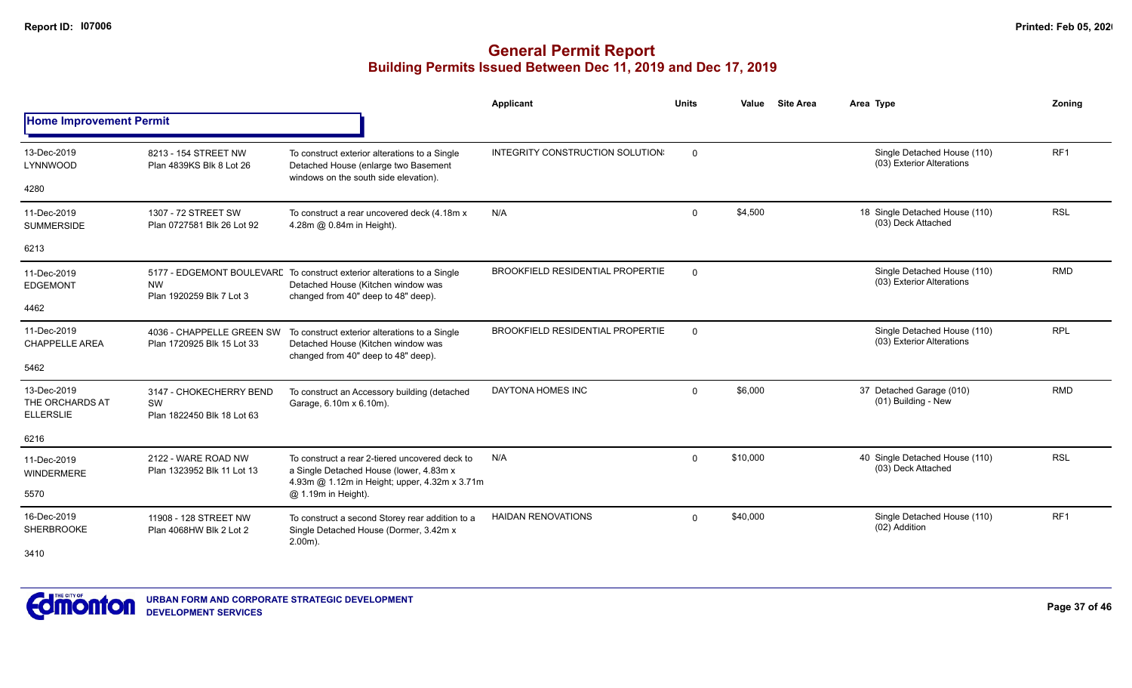|                                                    |                                                                    |                                                                                                                                                      | <b>Applicant</b>                        | <b>Units</b> | Value    | <b>Site Area</b> | Area Type                                                | Zonina          |
|----------------------------------------------------|--------------------------------------------------------------------|------------------------------------------------------------------------------------------------------------------------------------------------------|-----------------------------------------|--------------|----------|------------------|----------------------------------------------------------|-----------------|
| <b>Home Improvement Permit</b>                     |                                                                    |                                                                                                                                                      |                                         |              |          |                  |                                                          |                 |
| 13-Dec-2019<br>LYNNWOOD                            | 8213 - 154 STREET NW<br>Plan 4839KS Blk 8 Lot 26                   | To construct exterior alterations to a Single<br>Detached House (enlarge two Basement<br>windows on the south side elevation).                       | INTEGRITY CONSTRUCTION SOLUTION         | $\mathbf 0$  |          |                  | Single Detached House (110)<br>(03) Exterior Alterations | RF <sub>1</sub> |
| 4280                                               |                                                                    |                                                                                                                                                      |                                         |              |          |                  |                                                          |                 |
| 11-Dec-2019<br><b>SUMMERSIDE</b>                   | 1307 - 72 STREET SW<br>Plan 0727581 Blk 26 Lot 92                  | To construct a rear uncovered deck (4.18m x<br>4.28m @ 0.84m in Height).                                                                             | N/A                                     | $\mathbf{0}$ | \$4,500  |                  | 18 Single Detached House (110)<br>(03) Deck Attached     | <b>RSL</b>      |
| 6213                                               |                                                                    |                                                                                                                                                      |                                         |              |          |                  |                                                          |                 |
| 11-Dec-2019<br><b>EDGEMONT</b>                     | <b>NW</b><br>Plan 1920259 Blk 7 Lot 3                              | 5177 - EDGEMONT BOULEVARE To construct exterior alterations to a Single<br>Detached House (Kitchen window was<br>changed from 40" deep to 48" deep). | <b>BROOKFIELD RESIDENTIAL PROPERTIE</b> | $\mathbf 0$  |          |                  | Single Detached House (110)<br>(03) Exterior Alterations | <b>RMD</b>      |
| 4462                                               |                                                                    |                                                                                                                                                      |                                         |              |          |                  |                                                          |                 |
| 11-Dec-2019<br><b>CHAPPELLE AREA</b>               | 4036 - CHAPPELLE GREEN SW<br>Plan 1720925 Blk 15 Lot 33            | To construct exterior alterations to a Single<br>Detached House (Kitchen window was<br>changed from 40" deep to 48" deep).                           | BROOKFIELD RESIDENTIAL PROPERTIE        | $\Omega$     |          |                  | Single Detached House (110)<br>(03) Exterior Alterations | <b>RPL</b>      |
| 5462                                               |                                                                    |                                                                                                                                                      |                                         |              |          |                  |                                                          |                 |
| 13-Dec-2019<br>THE ORCHARDS AT<br><b>ELLERSLIE</b> | 3147 - CHOKECHERRY BEND<br><b>SW</b><br>Plan 1822450 Blk 18 Lot 63 | To construct an Accessory building (detached<br>Garage, 6.10m x 6.10m).                                                                              | DAYTONA HOMES INC                       | $\mathbf{0}$ | \$6,000  |                  | 37 Detached Garage (010)<br>(01) Building - New          | <b>RMD</b>      |
| 6216                                               |                                                                    |                                                                                                                                                      |                                         |              |          |                  |                                                          |                 |
| 11-Dec-2019<br><b>WINDERMERE</b>                   | 2122 - WARE ROAD NW<br>Plan 1323952 Blk 11 Lot 13                  | To construct a rear 2-tiered uncovered deck to<br>a Single Detached House (lower, 4.83m x<br>4.93m @ 1.12m in Height; upper, 4.32m x 3.71m           | N/A                                     | 0            | \$10,000 |                  | 40 Single Detached House (110)<br>(03) Deck Attached     | <b>RSL</b>      |
| 5570                                               |                                                                    | @ 1.19m in Height).                                                                                                                                  |                                         |              |          |                  |                                                          |                 |
| 16-Dec-2019<br><b>SHERBROOKE</b>                   | 11908 - 128 STREET NW<br>Plan 4068HW Blk 2 Lot 2                   | To construct a second Storey rear addition to a<br>Single Detached House (Dormer, 3.42m x<br>$2.00m$ ).                                              | <b>HAIDAN RENOVATIONS</b>               | $\mathbf{0}$ | \$40,000 |                  | Single Detached House (110)<br>(02) Addition             | RF <sub>1</sub> |
| 3410                                               |                                                                    |                                                                                                                                                      |                                         |              |          |                  |                                                          |                 |

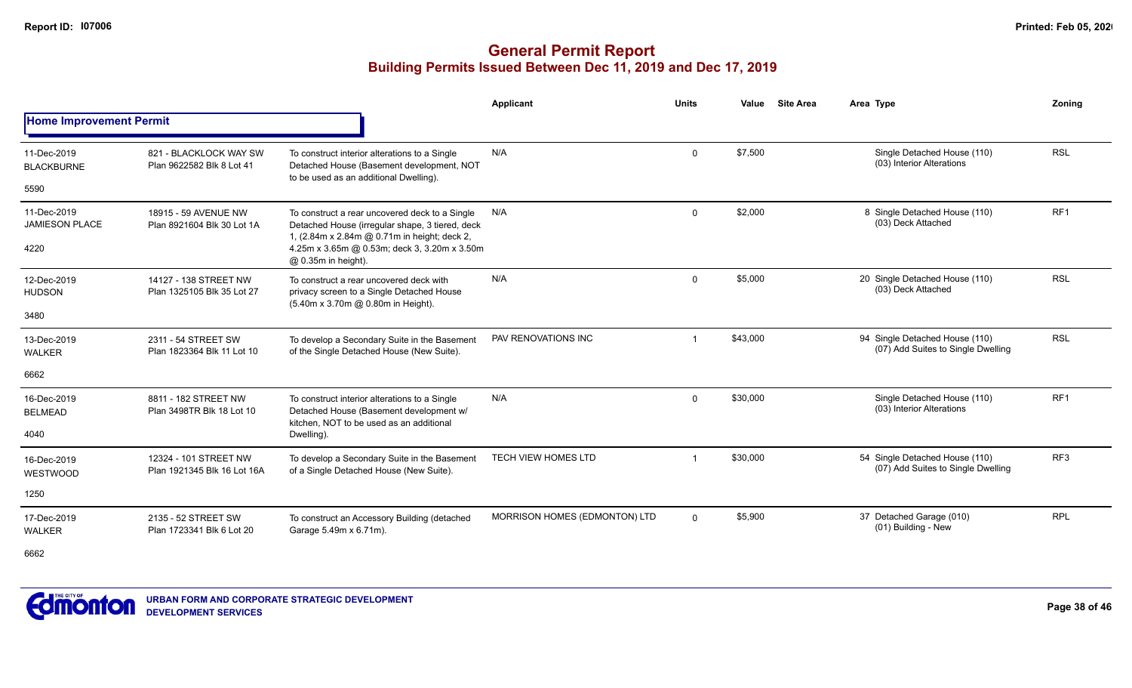|                                      |                                                      |                                                                                                                                                   | <b>Applicant</b>              | <b>Units</b>            | Value    | <b>Site Area</b> | Area Type                                                            | Zoning          |
|--------------------------------------|------------------------------------------------------|---------------------------------------------------------------------------------------------------------------------------------------------------|-------------------------------|-------------------------|----------|------------------|----------------------------------------------------------------------|-----------------|
| <b>Home Improvement Permit</b>       |                                                      |                                                                                                                                                   |                               |                         |          |                  |                                                                      |                 |
| 11-Dec-2019<br><b>BLACKBURNE</b>     | 821 - BLACKLOCK WAY SW<br>Plan 9622582 Blk 8 Lot 41  | To construct interior alterations to a Single<br>Detached House (Basement development, NOT<br>to be used as an additional Dwelling).              | N/A                           | $\Omega$                | \$7,500  |                  | Single Detached House (110)<br>(03) Interior Alterations             | <b>RSL</b>      |
| 5590                                 |                                                      |                                                                                                                                                   |                               |                         |          |                  |                                                                      |                 |
| 11-Dec-2019<br><b>JAMIESON PLACE</b> | 18915 - 59 AVENUE NW<br>Plan 8921604 Blk 30 Lot 1A   | To construct a rear uncovered deck to a Single<br>Detached House (irregular shape, 3 tiered, deck<br>1, (2.84m x 2.84m @ 0.71m in height; deck 2, | N/A                           | $\mathbf 0$             | \$2,000  |                  | 8 Single Detached House (110)<br>(03) Deck Attached                  | RF <sub>1</sub> |
| 4220                                 |                                                      | 4.25m x 3.65m @ 0.53m; deck 3, 3.20m x 3.50m<br>@ 0.35m in height).                                                                               |                               |                         |          |                  |                                                                      |                 |
| 12-Dec-2019<br><b>HUDSON</b>         | 14127 - 138 STREET NW<br>Plan 1325105 Blk 35 Lot 27  | To construct a rear uncovered deck with<br>privacy screen to a Single Detached House<br>(5.40m x 3.70m @ 0.80m in Height).                        | N/A                           | $\mathbf 0$             | \$5,000  |                  | 20 Single Detached House (110)<br>(03) Deck Attached                 | <b>RSL</b>      |
| 3480                                 |                                                      |                                                                                                                                                   |                               |                         |          |                  |                                                                      |                 |
| 13-Dec-2019<br><b>WALKER</b>         | 2311 - 54 STREET SW<br>Plan 1823364 Blk 11 Lot 10    | To develop a Secondary Suite in the Basement<br>of the Single Detached House (New Suite).                                                         | PAV RENOVATIONS INC           |                         | \$43,000 |                  | 94 Single Detached House (110)<br>(07) Add Suites to Single Dwelling | <b>RSL</b>      |
| 6662                                 |                                                      |                                                                                                                                                   |                               |                         |          |                  |                                                                      |                 |
| 16-Dec-2019<br><b>BELMEAD</b>        | 8811 - 182 STREET NW<br>Plan 3498TR Blk 18 Lot 10    | To construct interior alterations to a Single<br>Detached House (Basement development w/<br>kitchen. NOT to be used as an additional              | N/A                           | $\mathbf 0$             | \$30,000 |                  | Single Detached House (110)<br>(03) Interior Alterations             | RF <sub>1</sub> |
| 4040                                 |                                                      | Dwelling).                                                                                                                                        |                               |                         |          |                  |                                                                      |                 |
| 16-Dec-2019<br>WESTWOOD              | 12324 - 101 STREET NW<br>Plan 1921345 Blk 16 Lot 16A | To develop a Secondary Suite in the Basement<br>of a Single Detached House (New Suite).                                                           | <b>TECH VIEW HOMES LTD</b>    | $\overline{\mathbf{1}}$ | \$30,000 |                  | 54 Single Detached House (110)<br>(07) Add Suites to Single Dwelling | RF <sub>3</sub> |
| 1250                                 |                                                      |                                                                                                                                                   |                               |                         |          |                  |                                                                      |                 |
| 17-Dec-2019<br><b>WALKER</b>         | 2135 - 52 STREET SW<br>Plan 1723341 Blk 6 Lot 20     | To construct an Accessory Building (detached<br>Garage 5.49m x 6.71m).                                                                            | MORRISON HOMES (EDMONTON) LTD | $\Omega$                | \$5,900  |                  | 37 Detached Garage (010)<br>(01) Building - New                      | <b>RPL</b>      |
| 6662                                 |                                                      |                                                                                                                                                   |                               |                         |          |                  |                                                                      |                 |

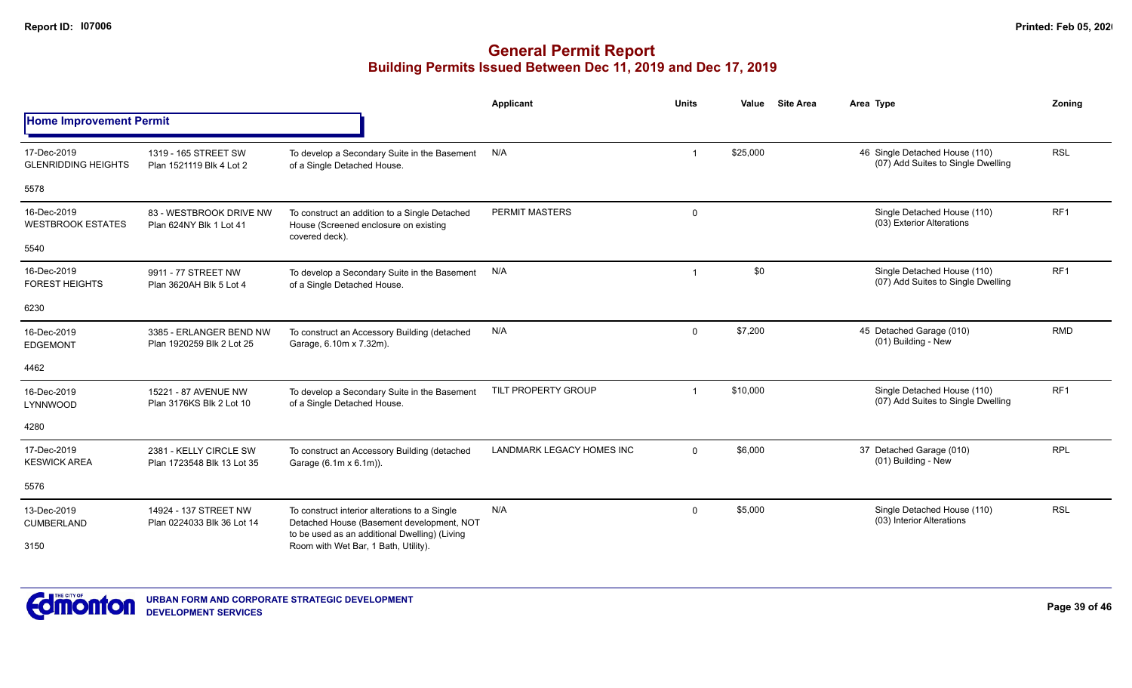|                                           |                                                      |                                                                                                                                             | Applicant                 | <b>Units</b> | Value    | <b>Site Area</b> | Area Type                                                            | Zoning          |
|-------------------------------------------|------------------------------------------------------|---------------------------------------------------------------------------------------------------------------------------------------------|---------------------------|--------------|----------|------------------|----------------------------------------------------------------------|-----------------|
| <b>Home Improvement Permit</b>            |                                                      |                                                                                                                                             |                           |              |          |                  |                                                                      |                 |
| 17-Dec-2019<br><b>GLENRIDDING HEIGHTS</b> | 1319 - 165 STREET SW<br>Plan 1521119 Blk 4 Lot 2     | To develop a Secondary Suite in the Basement<br>of a Single Detached House.                                                                 | N/A                       |              | \$25,000 |                  | 46 Single Detached House (110)<br>(07) Add Suites to Single Dwelling | <b>RSL</b>      |
| 5578                                      |                                                      |                                                                                                                                             |                           |              |          |                  |                                                                      |                 |
| 16-Dec-2019<br><b>WESTBROOK ESTATES</b>   | 83 - WESTBROOK DRIVE NW<br>Plan 624NY Blk 1 Lot 41   | To construct an addition to a Single Detached<br>House (Screened enclosure on existing<br>covered deck).                                    | <b>PERMIT MASTERS</b>     | $\mathbf 0$  |          |                  | Single Detached House (110)<br>(03) Exterior Alterations             | RF <sub>1</sub> |
| 5540                                      |                                                      |                                                                                                                                             |                           |              |          |                  |                                                                      |                 |
| 16-Dec-2019<br><b>FOREST HEIGHTS</b>      | 9911 - 77 STREET NW<br>Plan 3620AH Blk 5 Lot 4       | To develop a Secondary Suite in the Basement<br>of a Single Detached House.                                                                 | N/A                       |              | \$0      |                  | Single Detached House (110)<br>(07) Add Suites to Single Dwelling    | RF <sub>1</sub> |
| 6230                                      |                                                      |                                                                                                                                             |                           |              |          |                  |                                                                      |                 |
| 16-Dec-2019<br><b>EDGEMONT</b>            | 3385 - ERLANGER BEND NW<br>Plan 1920259 Blk 2 Lot 25 | To construct an Accessory Building (detached<br>Garage, 6.10m x 7.32m).                                                                     | N/A                       | $\mathbf 0$  | \$7,200  |                  | 45 Detached Garage (010)<br>(01) Building - New                      | <b>RMD</b>      |
| 4462                                      |                                                      |                                                                                                                                             |                           |              |          |                  |                                                                      |                 |
| 16-Dec-2019<br>LYNNWOOD                   | 15221 - 87 AVENUE NW<br>Plan 3176KS Blk 2 Lot 10     | To develop a Secondary Suite in the Basement<br>of a Single Detached House.                                                                 | TILT PROPERTY GROUP       |              | \$10,000 |                  | Single Detached House (110)<br>(07) Add Suites to Single Dwelling    | RF <sub>1</sub> |
| 4280                                      |                                                      |                                                                                                                                             |                           |              |          |                  |                                                                      |                 |
| 17-Dec-2019<br><b>KESWICK AREA</b>        | 2381 - KELLY CIRCLE SW<br>Plan 1723548 Blk 13 Lot 35 | To construct an Accessory Building (detached<br>Garage (6.1m x 6.1m)).                                                                      | LANDMARK LEGACY HOMES INC | $\Omega$     | \$6,000  |                  | 37 Detached Garage (010)<br>(01) Building - New                      | <b>RPL</b>      |
| 5576                                      |                                                      |                                                                                                                                             |                           |              |          |                  |                                                                      |                 |
| 13-Dec-2019<br><b>CUMBERLAND</b>          | 14924 - 137 STREET NW<br>Plan 0224033 Blk 36 Lot 14  | To construct interior alterations to a Single<br>Detached House (Basement development, NOT<br>to be used as an additional Dwelling) (Living | N/A                       | $\mathbf 0$  | \$5,000  |                  | Single Detached House (110)<br>(03) Interior Alterations             | <b>RSL</b>      |
| 3150                                      |                                                      | Room with Wet Bar, 1 Bath, Utility).                                                                                                        |                           |              |          |                  |                                                                      |                 |

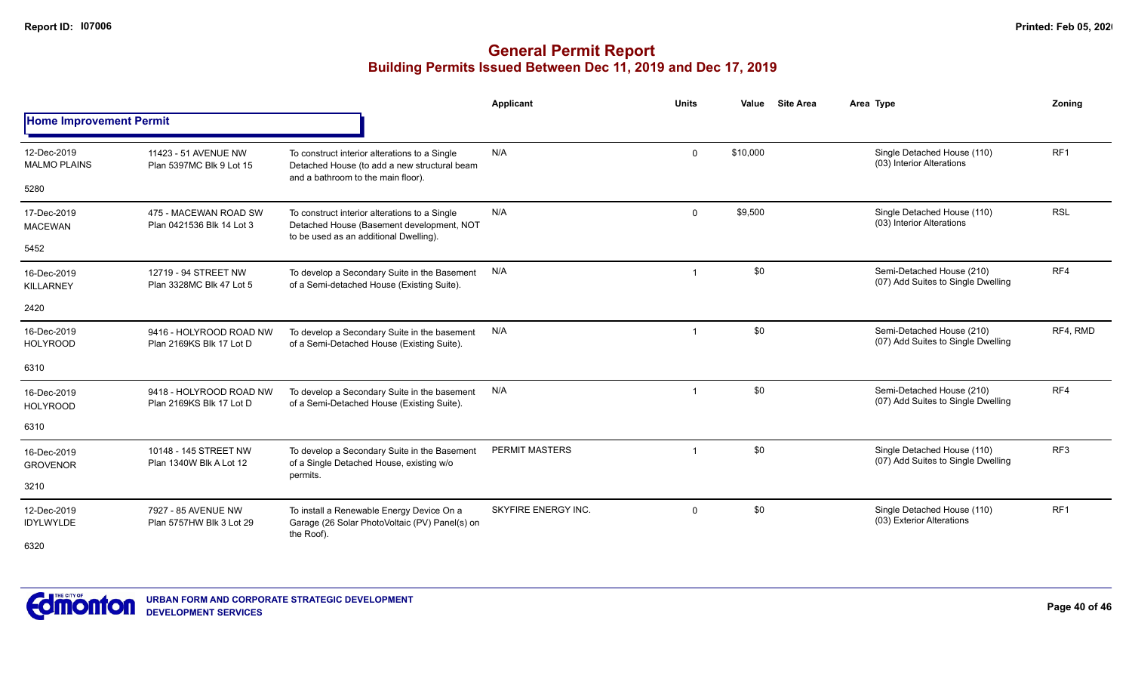|                                         |                                                     |                                                                                                                                      | <b>Applicant</b>      | <b>Units</b>            | Value    | <b>Site Area</b> | Area Type                                                         | Zonina          |
|-----------------------------------------|-----------------------------------------------------|--------------------------------------------------------------------------------------------------------------------------------------|-----------------------|-------------------------|----------|------------------|-------------------------------------------------------------------|-----------------|
| <b>Home Improvement Permit</b>          |                                                     |                                                                                                                                      |                       |                         |          |                  |                                                                   |                 |
| 12-Dec-2019<br><b>MALMO PLAINS</b>      | 11423 - 51 AVENUE NW<br>Plan 5397MC Blk 9 Lot 15    | To construct interior alterations to a Single<br>Detached House (to add a new structural beam<br>and a bathroom to the main floor).  | N/A                   | $\mathbf 0$             | \$10,000 |                  | Single Detached House (110)<br>(03) Interior Alterations          | RF1             |
| 5280                                    |                                                     |                                                                                                                                      |                       |                         |          |                  |                                                                   |                 |
| 17-Dec-2019<br><b>MACEWAN</b>           | 475 - MACEWAN ROAD SW<br>Plan 0421536 Blk 14 Lot 3  | To construct interior alterations to a Single<br>Detached House (Basement development, NOT<br>to be used as an additional Dwelling). | N/A                   | $\mathbf 0$             | \$9,500  |                  | Single Detached House (110)<br>(03) Interior Alterations          | <b>RSL</b>      |
| 5452                                    |                                                     |                                                                                                                                      |                       |                         |          |                  |                                                                   |                 |
| 16-Dec-2019<br><b>KILLARNEY</b>         | 12719 - 94 STREET NW<br>Plan 3328MC Blk 47 Lot 5    | To develop a Secondary Suite in the Basement<br>of a Semi-detached House (Existing Suite).                                           | N/A                   | -1                      | \$0      |                  | Semi-Detached House (210)<br>(07) Add Suites to Single Dwelling   | RF4             |
| 2420                                    |                                                     |                                                                                                                                      |                       |                         |          |                  |                                                                   |                 |
| 16-Dec-2019<br><b>HOLYROOD</b>          | 9416 - HOLYROOD ROAD NW<br>Plan 2169KS Blk 17 Lot D | To develop a Secondary Suite in the basement<br>of a Semi-Detached House (Existing Suite).                                           | N/A                   | -1                      | \$0      |                  | Semi-Detached House (210)<br>(07) Add Suites to Single Dwelling   | RF4, RMD        |
| 6310                                    |                                                     |                                                                                                                                      |                       |                         |          |                  |                                                                   |                 |
| 16-Dec-2019<br><b>HOLYROOD</b>          | 9418 - HOLYROOD ROAD NW<br>Plan 2169KS Blk 17 Lot D | To develop a Secondary Suite in the basement<br>of a Semi-Detached House (Existing Suite).                                           | N/A                   |                         | \$0      |                  | Semi-Detached House (210)<br>(07) Add Suites to Single Dwelling   | RF4             |
| 6310                                    |                                                     |                                                                                                                                      |                       |                         |          |                  |                                                                   |                 |
| 16-Dec-2019<br><b>GROVENOR</b>          | 10148 - 145 STREET NW<br>Plan 1340W Blk A Lot 12    | To develop a Secondary Suite in the Basement<br>of a Single Detached House, existing w/o<br>permits.                                 | <b>PERMIT MASTERS</b> | $\overline{\mathbf{1}}$ | \$0      |                  | Single Detached House (110)<br>(07) Add Suites to Single Dwelling | RF <sub>3</sub> |
| 3210                                    |                                                     |                                                                                                                                      |                       |                         |          |                  |                                                                   |                 |
| 12-Dec-2019<br><b>IDYLWYLDE</b><br>6320 | 7927 - 85 AVENUE NW<br>Plan 5757HW Blk 3 Lot 29     | To install a Renewable Energy Device On a<br>Garage (26 Solar PhotoVoltaic (PV) Panel(s) on<br>the Roof).                            | SKYFIRE ENERGY INC.   | $\mathbf 0$             | \$0      |                  | Single Detached House (110)<br>(03) Exterior Alterations          | RF <sub>1</sub> |
|                                         |                                                     |                                                                                                                                      |                       |                         |          |                  |                                                                   |                 |

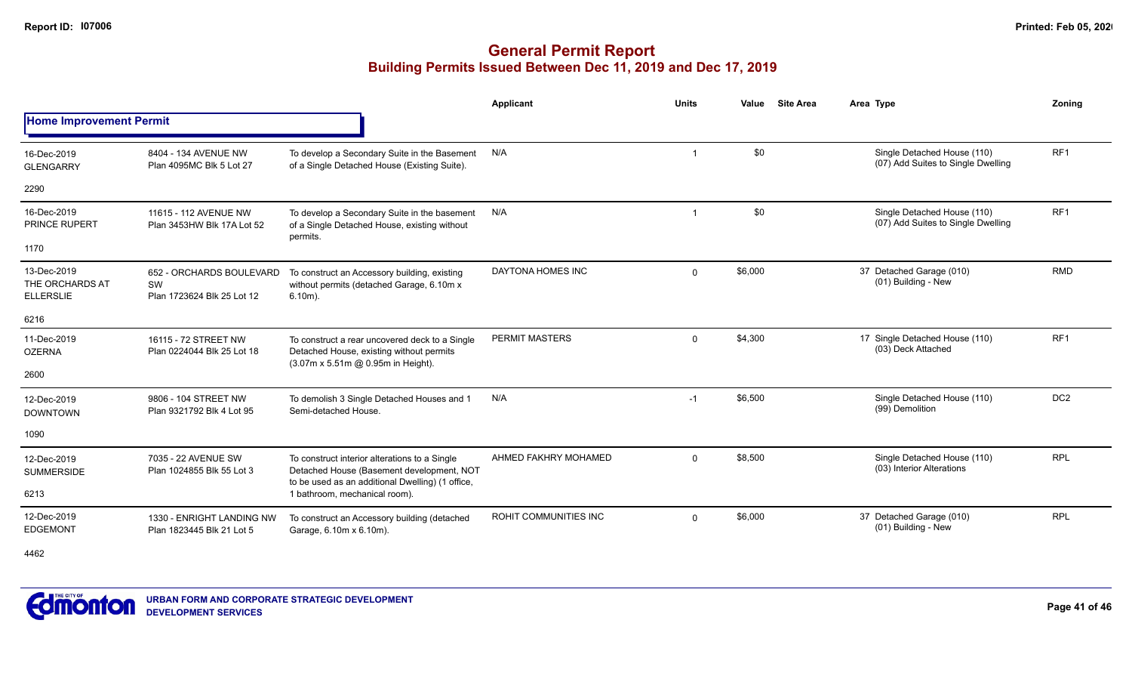|                                                    |                                                                                                                                                                                                                                                                                                                                                                                                                                                                                                                                                                                                                                                                                                                                                                                                                                                                                                                                                                                                                                                                                                                                                                                                                                                                                                                                                         |                                                                                                                                                | Applicant             | <b>Units</b> | Value   | <b>Site Area</b> | Area Type                                                | Zoning     |
|----------------------------------------------------|---------------------------------------------------------------------------------------------------------------------------------------------------------------------------------------------------------------------------------------------------------------------------------------------------------------------------------------------------------------------------------------------------------------------------------------------------------------------------------------------------------------------------------------------------------------------------------------------------------------------------------------------------------------------------------------------------------------------------------------------------------------------------------------------------------------------------------------------------------------------------------------------------------------------------------------------------------------------------------------------------------------------------------------------------------------------------------------------------------------------------------------------------------------------------------------------------------------------------------------------------------------------------------------------------------------------------------------------------------|------------------------------------------------------------------------------------------------------------------------------------------------|-----------------------|--------------|---------|------------------|----------------------------------------------------------|------------|
|                                                    | <b>Home Improvement Permit</b><br>\$0<br>Single Detached House (110)<br>RF <sub>1</sub><br>N/A<br>8404 - 134 AVENUE NW<br>To develop a Secondary Suite in the Basement<br>-1<br>(07) Add Suites to Single Dwelling<br>of a Single Detached House (Existing Suite).<br>Plan 4095MC Blk 5 Lot 27<br>\$0<br>RF <sub>1</sub><br>Single Detached House (110)<br>N/A<br>11615 - 112 AVENUE NW<br>To develop a Secondary Suite in the basement<br>-1<br>(07) Add Suites to Single Dwelling<br>of a Single Detached House, existing without<br>Plan 3453HW Blk 17A Lot 52<br>permits.<br>DAYTONA HOMES INC<br>\$6,000<br>37 Detached Garage (010)<br>$\mathbf 0$<br>To construct an Accessory building, existing<br>652 - ORCHARDS BOULEVARD<br>(01) Building - New<br>SW<br>without permits (detached Garage, 6.10m x<br>Plan 1723624 Blk 25 Lot 12<br>$6.10m$ ).<br><b>PERMIT MASTERS</b><br>\$4,300<br>17 Single Detached House (110)<br>RF <sub>1</sub><br>$\mathbf 0$<br>16115 - 72 STREET NW<br>To construct a rear uncovered deck to a Single<br>(03) Deck Attached<br>Detached House, existing without permits<br>Plan 0224044 Blk 25 Lot 18<br>(3.07m x 5.51m @ 0.95m in Height).<br>DC <sub>2</sub><br>\$6,500<br>N/A<br>Single Detached House (110)<br>$-1$<br>9806 - 104 STREET NW<br>To demolish 3 Single Detached Houses and 1<br>(99) Demolition |                                                                                                                                                |                       |              |         |                  |                                                          |            |
| 16-Dec-2019<br><b>GLENGARRY</b>                    |                                                                                                                                                                                                                                                                                                                                                                                                                                                                                                                                                                                                                                                                                                                                                                                                                                                                                                                                                                                                                                                                                                                                                                                                                                                                                                                                                         |                                                                                                                                                |                       |              |         |                  |                                                          |            |
| 2290                                               |                                                                                                                                                                                                                                                                                                                                                                                                                                                                                                                                                                                                                                                                                                                                                                                                                                                                                                                                                                                                                                                                                                                                                                                                                                                                                                                                                         |                                                                                                                                                |                       |              |         |                  |                                                          |            |
| 16-Dec-2019<br><b>PRINCE RUPERT</b>                |                                                                                                                                                                                                                                                                                                                                                                                                                                                                                                                                                                                                                                                                                                                                                                                                                                                                                                                                                                                                                                                                                                                                                                                                                                                                                                                                                         |                                                                                                                                                |                       |              |         |                  |                                                          |            |
| 1170                                               |                                                                                                                                                                                                                                                                                                                                                                                                                                                                                                                                                                                                                                                                                                                                                                                                                                                                                                                                                                                                                                                                                                                                                                                                                                                                                                                                                         |                                                                                                                                                |                       |              |         |                  |                                                          |            |
| 13-Dec-2019<br>THE ORCHARDS AT<br><b>ELLERSLIE</b> |                                                                                                                                                                                                                                                                                                                                                                                                                                                                                                                                                                                                                                                                                                                                                                                                                                                                                                                                                                                                                                                                                                                                                                                                                                                                                                                                                         |                                                                                                                                                |                       |              |         |                  |                                                          | <b>RMD</b> |
| 6216                                               |                                                                                                                                                                                                                                                                                                                                                                                                                                                                                                                                                                                                                                                                                                                                                                                                                                                                                                                                                                                                                                                                                                                                                                                                                                                                                                                                                         |                                                                                                                                                |                       |              |         |                  |                                                          |            |
| 11-Dec-2019<br><b>OZERNA</b>                       |                                                                                                                                                                                                                                                                                                                                                                                                                                                                                                                                                                                                                                                                                                                                                                                                                                                                                                                                                                                                                                                                                                                                                                                                                                                                                                                                                         |                                                                                                                                                |                       |              |         |                  |                                                          |            |
| 2600                                               |                                                                                                                                                                                                                                                                                                                                                                                                                                                                                                                                                                                                                                                                                                                                                                                                                                                                                                                                                                                                                                                                                                                                                                                                                                                                                                                                                         |                                                                                                                                                |                       |              |         |                  |                                                          |            |
| 12-Dec-2019<br><b>DOWNTOWN</b>                     | Plan 9321792 Blk 4 Lot 95                                                                                                                                                                                                                                                                                                                                                                                                                                                                                                                                                                                                                                                                                                                                                                                                                                                                                                                                                                                                                                                                                                                                                                                                                                                                                                                               | Semi-detached House.                                                                                                                           |                       |              |         |                  |                                                          |            |
| 1090                                               |                                                                                                                                                                                                                                                                                                                                                                                                                                                                                                                                                                                                                                                                                                                                                                                                                                                                                                                                                                                                                                                                                                                                                                                                                                                                                                                                                         |                                                                                                                                                |                       |              |         |                  |                                                          |            |
| 12-Dec-2019<br><b>SUMMERSIDE</b>                   | 7035 - 22 AVENUE SW<br>Plan 1024855 Blk 55 Lot 3                                                                                                                                                                                                                                                                                                                                                                                                                                                                                                                                                                                                                                                                                                                                                                                                                                                                                                                                                                                                                                                                                                                                                                                                                                                                                                        | To construct interior alterations to a Single<br>Detached House (Basement development, NOT<br>to be used as an additional Dwelling) (1 office, | AHMED FAKHRY MOHAMED  | $\Omega$     | \$8,500 |                  | Single Detached House (110)<br>(03) Interior Alterations | <b>RPL</b> |
| 6213                                               |                                                                                                                                                                                                                                                                                                                                                                                                                                                                                                                                                                                                                                                                                                                                                                                                                                                                                                                                                                                                                                                                                                                                                                                                                                                                                                                                                         | 1 bathroom, mechanical room).                                                                                                                  |                       |              |         |                  |                                                          |            |
| 12-Dec-2019<br><b>EDGEMONT</b>                     | 1330 - ENRIGHT LANDING NW<br>Plan 1823445 Blk 21 Lot 5                                                                                                                                                                                                                                                                                                                                                                                                                                                                                                                                                                                                                                                                                                                                                                                                                                                                                                                                                                                                                                                                                                                                                                                                                                                                                                  | To construct an Accessory building (detached<br>Garage, 6.10m x 6.10m).                                                                        | ROHIT COMMUNITIES INC | $\Omega$     | \$6,000 |                  | 37 Detached Garage (010)<br>(01) Building - New          | <b>RPL</b> |
| 4462                                               |                                                                                                                                                                                                                                                                                                                                                                                                                                                                                                                                                                                                                                                                                                                                                                                                                                                                                                                                                                                                                                                                                                                                                                                                                                                                                                                                                         |                                                                                                                                                |                       |              |         |                  |                                                          |            |

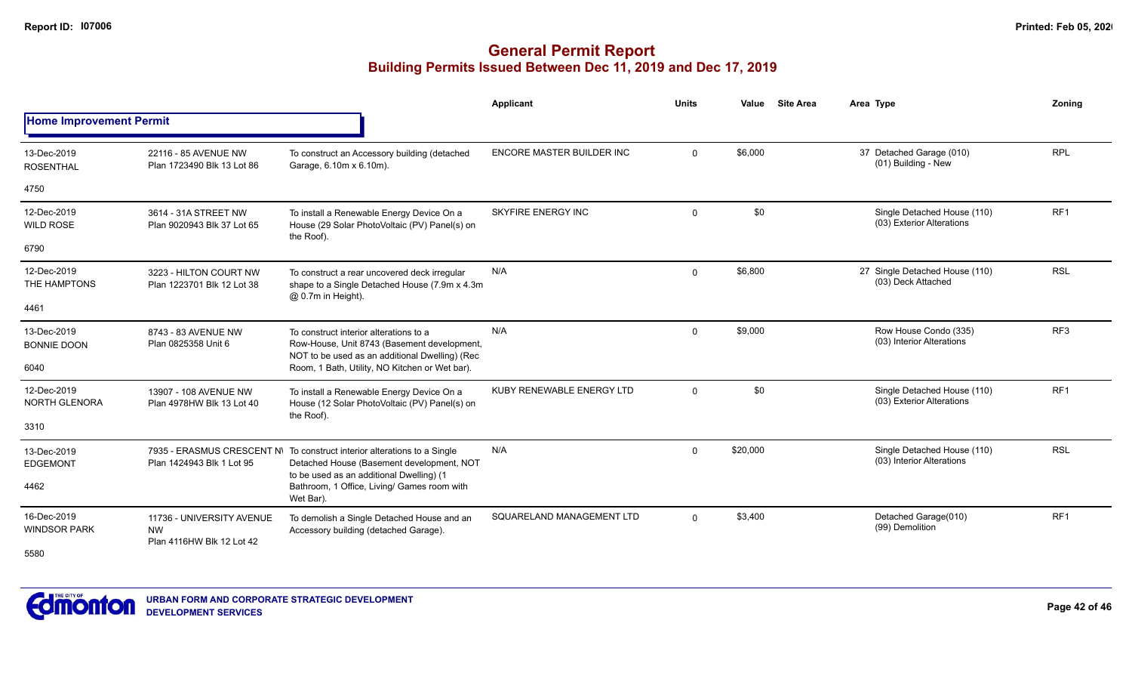|                                     |                                                                     |                                                                                                                                                                   | Applicant                 | <b>Units</b> | Value    | <b>Site Area</b> | Area Type                                                | Zonina          |
|-------------------------------------|---------------------------------------------------------------------|-------------------------------------------------------------------------------------------------------------------------------------------------------------------|---------------------------|--------------|----------|------------------|----------------------------------------------------------|-----------------|
| <b>Home Improvement Permit</b>      |                                                                     |                                                                                                                                                                   |                           |              |          |                  |                                                          |                 |
| 13-Dec-2019<br><b>ROSENTHAL</b>     | 22116 - 85 AVENUE NW<br>Plan 1723490 Blk 13 Lot 86                  | To construct an Accessory building (detached<br>Garage, 6.10m x 6.10m).                                                                                           | ENCORE MASTER BUILDER INC | $\mathbf{0}$ | \$6,000  |                  | 37 Detached Garage (010)<br>(01) Building - New          | <b>RPL</b>      |
| 4750                                |                                                                     |                                                                                                                                                                   |                           |              |          |                  |                                                          |                 |
| 12-Dec-2019<br><b>WILD ROSE</b>     | 3614 - 31A STREET NW<br>Plan 9020943 Blk 37 Lot 65                  | To install a Renewable Energy Device On a<br>House (29 Solar PhotoVoltaic (PV) Panel(s) on<br>the Roof).                                                          | <b>SKYFIRE ENERGY INC</b> | $\mathbf 0$  | \$0      |                  | Single Detached House (110)<br>(03) Exterior Alterations | RF <sub>1</sub> |
| 6790                                |                                                                     |                                                                                                                                                                   |                           |              |          |                  |                                                          |                 |
| 12-Dec-2019<br>THE HAMPTONS         | 3223 - HILTON COURT NW<br>Plan 1223701 Blk 12 Lot 38                | To construct a rear uncovered deck irregular<br>shape to a Single Detached House (7.9m x 4.3m<br>@ 0.7m in Height).                                               | N/A                       | $\Omega$     | \$6,800  |                  | 27 Single Detached House (110)<br>(03) Deck Attached     | <b>RSL</b>      |
| 4461                                |                                                                     |                                                                                                                                                                   |                           |              |          |                  |                                                          |                 |
| 13-Dec-2019<br><b>BONNIE DOON</b>   | 8743 - 83 AVENUE NW<br>Plan 0825358 Unit 6                          | To construct interior alterations to a<br>Row-House, Unit 8743 (Basement development,<br>NOT to be used as an additional Dwelling) (Rec                           | N/A                       | $\mathbf 0$  | \$9,000  |                  | Row House Condo (335)<br>(03) Interior Alterations       | RF <sub>3</sub> |
| 6040                                |                                                                     | Room, 1 Bath, Utility, NO Kitchen or Wet bar).                                                                                                                    |                           |              |          |                  |                                                          |                 |
| 12-Dec-2019<br><b>NORTH GLENORA</b> | 13907 - 108 AVENUE NW<br>Plan 4978HW Blk 13 Lot 40                  | To install a Renewable Energy Device On a<br>House (12 Solar PhotoVoltaic (PV) Panel(s) on<br>the Roof).                                                          | KUBY RENEWABLE ENERGY LTD | $\Omega$     | \$0      |                  | Single Detached House (110)<br>(03) Exterior Alterations | RF <sub>1</sub> |
| 3310                                |                                                                     |                                                                                                                                                                   |                           |              |          |                  |                                                          |                 |
| 13-Dec-2019<br><b>EDGEMONT</b>      | Plan 1424943 Blk 1 Lot 95                                           | 7935 - ERASMUS CRESCENT N\ To construct interior alterations to a Single<br>Detached House (Basement development, NOT<br>to be used as an additional Dwelling) (1 | N/A                       | $\mathbf{0}$ | \$20,000 |                  | Single Detached House (110)<br>(03) Interior Alterations | <b>RSL</b>      |
| 4462                                |                                                                     | Bathroom, 1 Office, Living/ Games room with<br>Wet Bar).                                                                                                          |                           |              |          |                  |                                                          |                 |
| 16-Dec-2019<br><b>WINDSOR PARK</b>  | 11736 - UNIVERSITY AVENUE<br><b>NW</b><br>Plan 4116HW Blk 12 Lot 42 | To demolish a Single Detached House and an<br>Accessory building (detached Garage).                                                                               | SQUARELAND MANAGEMENT LTD | $\Omega$     | \$3,400  |                  | Detached Garage(010)<br>(99) Demolition                  | RF <sub>1</sub> |
| 5580                                |                                                                     |                                                                                                                                                                   |                           |              |          |                  |                                                          |                 |

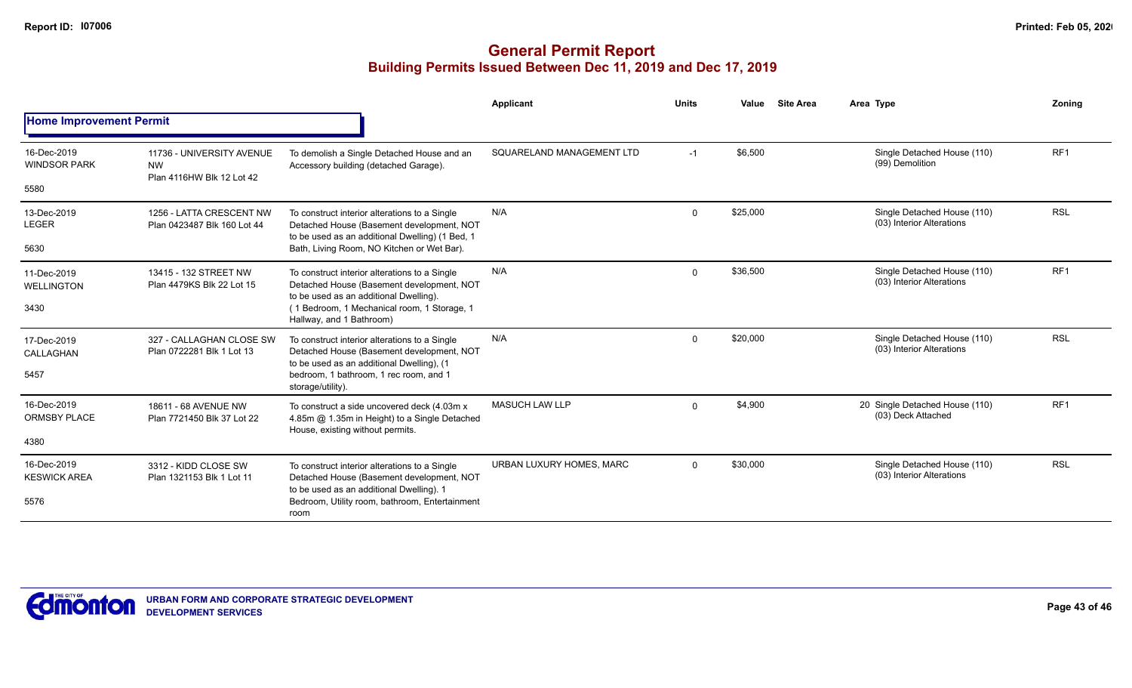|                                            |                                                                     |                                                                                                                                                                                                                 | <b>Applicant</b>          | <b>Units</b> | <b>Site Area</b><br>Value | Area Type                                                | Zonina          |
|--------------------------------------------|---------------------------------------------------------------------|-----------------------------------------------------------------------------------------------------------------------------------------------------------------------------------------------------------------|---------------------------|--------------|---------------------------|----------------------------------------------------------|-----------------|
| <b>Home Improvement Permit</b>             |                                                                     |                                                                                                                                                                                                                 |                           |              |                           |                                                          |                 |
| 16-Dec-2019<br><b>WINDSOR PARK</b><br>5580 | 11736 - UNIVERSITY AVENUE<br><b>NW</b><br>Plan 4116HW Blk 12 Lot 42 | To demolish a Single Detached House and an<br>Accessory building (detached Garage).                                                                                                                             | SQUARELAND MANAGEMENT LTD | $-1$         | \$6,500                   | Single Detached House (110)<br>(99) Demolition           | RF <sub>1</sub> |
| 13-Dec-2019<br><b>LEGER</b><br>5630        | 1256 - LATTA CRESCENT NW<br>Plan 0423487 Blk 160 Lot 44             | To construct interior alterations to a Single<br>Detached House (Basement development, NOT<br>to be used as an additional Dwelling) (1 Bed, 1<br>Bath, Living Room, NO Kitchen or Wet Bar).                     | N/A                       | $\mathbf 0$  | \$25,000                  | Single Detached House (110)<br>(03) Interior Alterations | <b>RSL</b>      |
| 11-Dec-2019<br><b>WELLINGTON</b><br>3430   | 13415 - 132 STREET NW<br>Plan 4479KS Blk 22 Lot 15                  | To construct interior alterations to a Single<br>Detached House (Basement development, NOT<br>to be used as an additional Dwelling).<br>(1 Bedroom, 1 Mechanical room, 1 Storage, 1<br>Hallway, and 1 Bathroom) | N/A                       | $\mathbf 0$  | \$36,500                  | Single Detached House (110)<br>(03) Interior Alterations | RF <sub>1</sub> |
| 17-Dec-2019<br>CALLAGHAN<br>5457           | 327 - CALLAGHAN CLOSE SW<br>Plan 0722281 Blk 1 Lot 13               | To construct interior alterations to a Single<br>Detached House (Basement development, NOT<br>to be used as an additional Dwelling), (1<br>bedroom, 1 bathroom, 1 rec room, and 1<br>storage/utility).          | N/A                       | $\Omega$     | \$20,000                  | Single Detached House (110)<br>(03) Interior Alterations | <b>RSL</b>      |
| 16-Dec-2019<br><b>ORMSBY PLACE</b><br>4380 | 18611 - 68 AVENUE NW<br>Plan 7721450 Blk 37 Lot 22                  | To construct a side uncovered deck (4.03m x)<br>4.85m @ 1.35m in Height) to a Single Detached<br>House, existing without permits.                                                                               | <b>MASUCH LAW LLP</b>     | $\mathbf 0$  | \$4,900                   | 20 Single Detached House (110)<br>(03) Deck Attached     | RF <sub>1</sub> |
| 16-Dec-2019<br><b>KESWICK AREA</b><br>5576 | 3312 - KIDD CLOSE SW<br>Plan 1321153 Blk 1 Lot 11                   | To construct interior alterations to a Single<br>Detached House (Basement development, NOT<br>to be used as an additional Dwelling). 1<br>Bedroom, Utility room, bathroom, Entertainment<br>room                | URBAN LUXURY HOMES, MARC  | $\Omega$     | \$30,000                  | Single Detached House (110)<br>(03) Interior Alterations | <b>RSL</b>      |

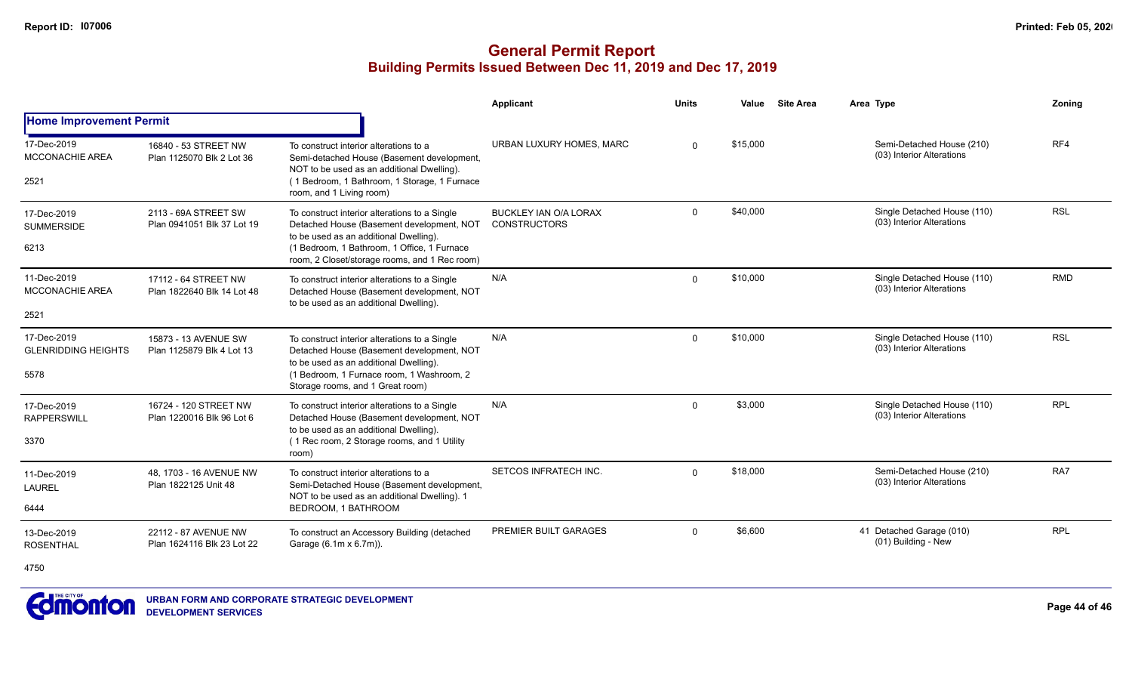### **General Permit Report Building Permits Issued Between Dec 11, 2019 and Dec 17, 2019**

|                                                   |                                                    |                                                                                                                                                                                                                                      | Applicant                                    | <b>Units</b> | Value    | <b>Site Area</b> | Area Type                                                | Zoning     |
|---------------------------------------------------|----------------------------------------------------|--------------------------------------------------------------------------------------------------------------------------------------------------------------------------------------------------------------------------------------|----------------------------------------------|--------------|----------|------------------|----------------------------------------------------------|------------|
| <b>Home Improvement Permit</b>                    |                                                    |                                                                                                                                                                                                                                      |                                              |              |          |                  |                                                          |            |
| 17-Dec-2019<br><b>MCCONACHIE AREA</b><br>2521     | 16840 - 53 STREET NW<br>Plan 1125070 Blk 2 Lot 36  | To construct interior alterations to a<br>Semi-detached House (Basement development,<br>NOT to be used as an additional Dwelling).<br>(1 Bedroom, 1 Bathroom, 1 Storage, 1 Furnace<br>room, and 1 Living room)                       | URBAN LUXURY HOMES, MARC                     | $\Omega$     | \$15,000 |                  | Semi-Detached House (210)<br>(03) Interior Alterations   | RF4        |
| 17-Dec-2019<br><b>SUMMERSIDE</b><br>6213          | 2113 - 69A STREET SW<br>Plan 0941051 Blk 37 Lot 19 | To construct interior alterations to a Single<br>Detached House (Basement development, NOT<br>to be used as an additional Dwelling).<br>(1 Bedroom, 1 Bathroom, 1 Office, 1 Furnace<br>room, 2 Closet/storage rooms, and 1 Rec room) | BUCKLEY IAN O/A LORAX<br><b>CONSTRUCTORS</b> | $\Omega$     | \$40,000 |                  | Single Detached House (110)<br>(03) Interior Alterations | <b>RSL</b> |
| 11-Dec-2019<br><b>MCCONACHIE AREA</b>             | 17112 - 64 STREET NW<br>Plan 1822640 Blk 14 Lot 48 | To construct interior alterations to a Single<br>Detached House (Basement development, NOT<br>to be used as an additional Dwelling).                                                                                                 | N/A                                          | $\Omega$     | \$10,000 |                  | Single Detached House (110)<br>(03) Interior Alterations | <b>RMD</b> |
| 2521                                              |                                                    |                                                                                                                                                                                                                                      |                                              |              |          |                  |                                                          |            |
| 17-Dec-2019<br><b>GLENRIDDING HEIGHTS</b><br>5578 | 15873 - 13 AVENUE SW<br>Plan 1125879 Blk 4 Lot 13  | To construct interior alterations to a Single<br>Detached House (Basement development, NOT<br>to be used as an additional Dwelling).<br>(1 Bedroom, 1 Furnace room, 1 Washroom, 2<br>Storage rooms, and 1 Great room)                | N/A                                          | $\Omega$     | \$10,000 |                  | Single Detached House (110)<br>(03) Interior Alterations | <b>RSL</b> |
| 17-Dec-2019<br><b>RAPPERSWILL</b><br>3370         | 16724 - 120 STREET NW<br>Plan 1220016 Blk 96 Lot 6 | To construct interior alterations to a Single<br>Detached House (Basement development, NOT<br>to be used as an additional Dwelling).<br>(1 Rec room, 2 Storage rooms, and 1 Utility<br>room)                                         | N/A                                          | $\Omega$     | \$3,000  |                  | Single Detached House (110)<br>(03) Interior Alterations | <b>RPL</b> |
| 11-Dec-2019<br><b>LAUREL</b><br>6444              | 48, 1703 - 16 AVENUE NW<br>Plan 1822125 Unit 48    | To construct interior alterations to a<br>Semi-Detached House (Basement development,<br>NOT to be used as an additional Dwelling). 1<br>BEDROOM, 1 BATHROOM                                                                          | SETCOS INFRATECH INC.                        | $\Omega$     | \$18,000 |                  | Semi-Detached House (210)<br>(03) Interior Alterations   | RA7        |
| 13-Dec-2019<br><b>ROSENTHAL</b>                   | 22112 - 87 AVENUE NW<br>Plan 1624116 Blk 23 Lot 22 | To construct an Accessory Building (detached<br>Garage (6.1m x 6.7m)).                                                                                                                                                               | PREMIER BUILT GARAGES                        | $\Omega$     | \$6,600  |                  | 41 Detached Garage (010)<br>(01) Building - New          | <b>RPL</b> |

4750

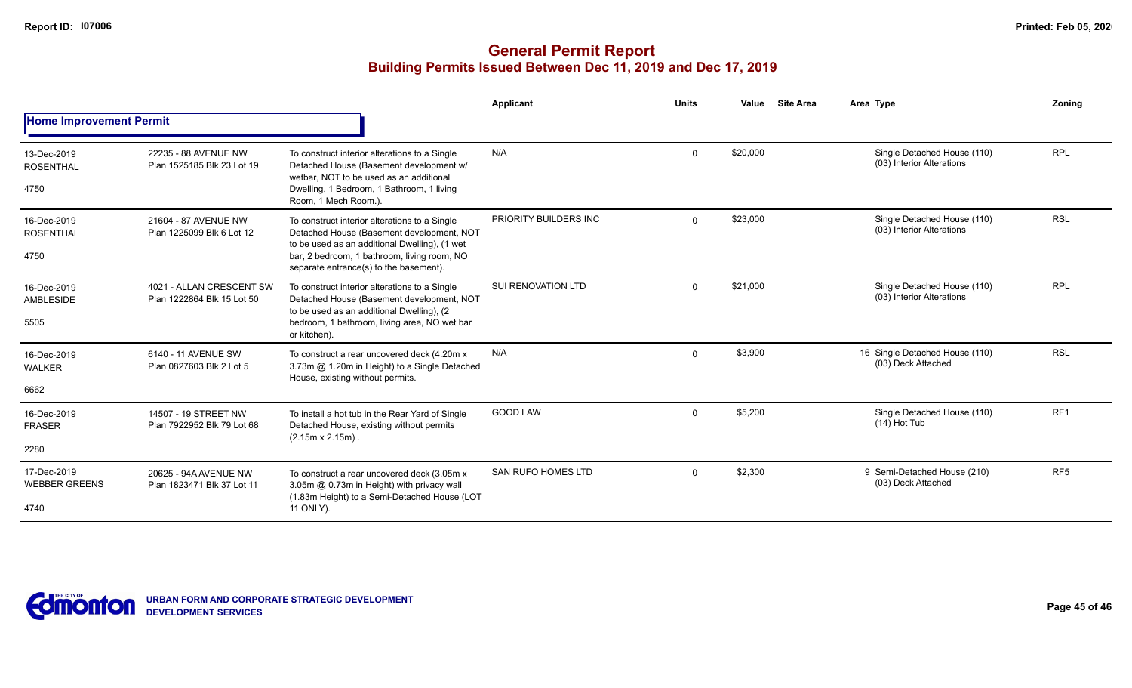|                                             |                                                        |                                                                                                                                                                                                                                      | Applicant                 | <b>Units</b> | Value    | <b>Site Area</b> | Area Type                                                | Zonina          |
|---------------------------------------------|--------------------------------------------------------|--------------------------------------------------------------------------------------------------------------------------------------------------------------------------------------------------------------------------------------|---------------------------|--------------|----------|------------------|----------------------------------------------------------|-----------------|
| <b>Home Improvement Permit</b>              |                                                        |                                                                                                                                                                                                                                      |                           |              |          |                  |                                                          |                 |
| 13-Dec-2019<br><b>ROSENTHAL</b><br>4750     | 22235 - 88 AVENUE NW<br>Plan 1525185 Blk 23 Lot 19     | To construct interior alterations to a Single<br>Detached House (Basement development w/<br>wetbar. NOT to be used as an additional<br>Dwelling, 1 Bedroom, 1 Bathroom, 1 living<br>Room, 1 Mech Room.).                             | N/A                       | $\mathbf 0$  | \$20,000 |                  | Single Detached House (110)<br>(03) Interior Alterations | <b>RPL</b>      |
| 16-Dec-2019<br><b>ROSENTHAL</b><br>4750     | 21604 - 87 AVENUE NW<br>Plan 1225099 Blk 6 Lot 12      | To construct interior alterations to a Single<br>Detached House (Basement development, NOT<br>to be used as an additional Dwelling), (1 wet<br>bar, 2 bedroom, 1 bathroom, living room, NO<br>separate entrance(s) to the basement). | PRIORITY BUILDERS INC     | $\Omega$     | \$23,000 |                  | Single Detached House (110)<br>(03) Interior Alterations | <b>RSL</b>      |
| 16-Dec-2019<br>AMBLESIDE<br>5505            | 4021 - ALLAN CRESCENT SW<br>Plan 1222864 Blk 15 Lot 50 | To construct interior alterations to a Single<br>Detached House (Basement development, NOT<br>to be used as an additional Dwelling), (2<br>bedroom, 1 bathroom, living area, NO wet bar<br>or kitchen).                              | SUI RENOVATION LTD        | $\Omega$     | \$21,000 |                  | Single Detached House (110)<br>(03) Interior Alterations | <b>RPL</b>      |
| 16-Dec-2019<br><b>WALKER</b><br>6662        | 6140 - 11 AVENUE SW<br>Plan 0827603 Blk 2 Lot 5        | To construct a rear uncovered deck (4.20m x)<br>3.73m @ 1.20m in Height) to a Single Detached<br>House, existing without permits.                                                                                                    | N/A                       | $\Omega$     | \$3,900  |                  | 16 Single Detached House (110)<br>(03) Deck Attached     | <b>RSL</b>      |
| 16-Dec-2019<br><b>FRASER</b><br>2280        | 14507 - 19 STREET NW<br>Plan 7922952 Blk 79 Lot 68     | To install a hot tub in the Rear Yard of Single<br>Detached House, existing without permits<br>$(2.15m \times 2.15m)$ .                                                                                                              | <b>GOOD LAW</b>           | $\mathbf 0$  | \$5,200  |                  | Single Detached House (110)<br>$(14)$ Hot Tub            | RF <sub>1</sub> |
| 17-Dec-2019<br><b>WEBBER GREENS</b><br>4740 | 20625 - 94A AVENUE NW<br>Plan 1823471 Blk 37 Lot 11    | To construct a rear uncovered deck (3.05m x)<br>3.05m @ 0.73m in Height) with privacy wall<br>(1.83m Height) to a Semi-Detached House (LOT<br>11 ONLY).                                                                              | <b>SAN RUFO HOMES LTD</b> | $\mathbf 0$  | \$2,300  |                  | 9 Semi-Detached House (210)<br>(03) Deck Attached        | RF <sub>5</sub> |